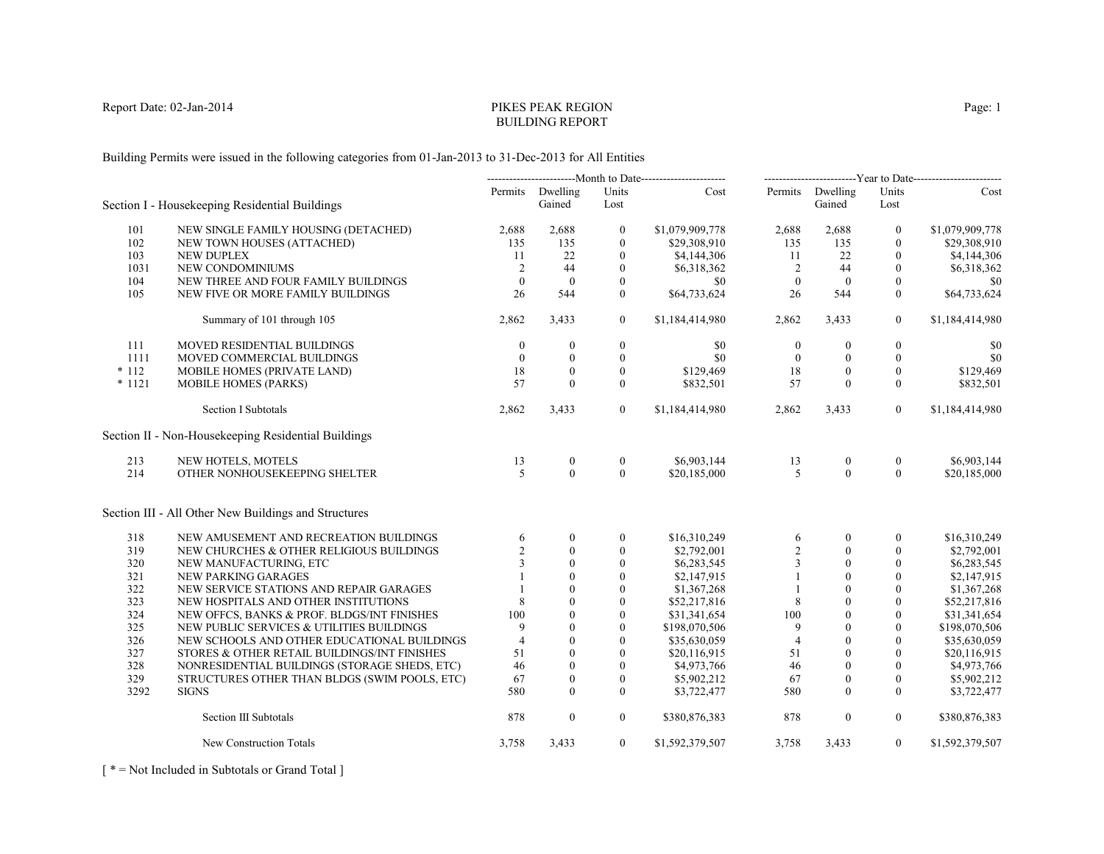# PIKES PEAK REGIONBUILDING REPORT

Building Permits were issued in the following categories from 01-Jan-2013 to 31-Dec-2013 for All Entities

|          |                                                      |                |                            | ------------------------Year to Date------------------------ |                 |                  |                            |                  |                 |
|----------|------------------------------------------------------|----------------|----------------------------|--------------------------------------------------------------|-----------------|------------------|----------------------------|------------------|-----------------|
|          | Section I - Housekeeping Residential Buildings       |                | Permits Dwelling<br>Gained | Units<br>Lost                                                | Cost            |                  | Permits Dwelling<br>Gained | Units<br>Lost    | Cost            |
| 101      | NEW SINGLE FAMILY HOUSING (DETACHED)                 | 2,688          | 2,688                      | $\boldsymbol{0}$                                             | \$1,079,909,778 | 2,688            | 2,688                      | $\bf{0}$         | \$1,079,909,778 |
| 102      | NEW TOWN HOUSES (ATTACHED)                           | 135            | 135                        | $\theta$                                                     | \$29,308,910    | 135              | 135                        | $\theta$         | \$29,308,910    |
| 103      | <b>NEW DUPLEX</b>                                    | 11             | 22                         | $\mathbf{0}$                                                 | \$4,144,306     | -11              | 22                         | $\theta$         | \$4,144,306     |
| 1031     | NEW CONDOMINIUMS                                     | 2              | 44                         | $\mathbf{0}$                                                 | \$6,318,362     | 2                | 44                         | $\mathbf{0}$     | \$6,318,362     |
| 104      | NEW THREE AND FOUR FAMILY BUILDINGS                  | $\overline{0}$ | $\mathbf{0}$               | $\mathbf{0}$                                                 | \$0             | $\mathbf{0}$     | $\overline{0}$             | $\boldsymbol{0}$ | \$0             |
| 105      | NEW FIVE OR MORE FAMILY BUILDINGS                    | 26             | 544                        | $\theta$                                                     | \$64,733,624    | 26               | 544                        | $\mathbf{0}$     | \$64,733,624    |
|          | Summary of 101 through 105                           | 2,862          | 3,433                      | $\overline{0}$                                               | \$1,184,414,980 | 2,862            | 3,433                      | $\boldsymbol{0}$ | \$1,184,414,980 |
| 111      | MOVED RESIDENTIAL BUILDINGS                          | $\mathbf{0}$   | $\boldsymbol{0}$           | $\boldsymbol{0}$                                             | \$0             | $\boldsymbol{0}$ | $\boldsymbol{0}$           | $\boldsymbol{0}$ | \$0             |
| 1111     | MOVED COMMERCIAL BUILDINGS                           | $\theta$       | $\mathbf{0}$               | $\mathbf{0}$                                                 | \$0             | $\mathbf{0}$     | $\mathbf{0}$               | $\mathbf{0}$     | \$0             |
| $*112$   | MOBILE HOMES (PRIVATE LAND)                          | 18             | $\mathbf{0}$               | $\mathbf{0}$                                                 | \$129,469       | 18               | $\mathbf{0}$               | $\mathbf{0}$     | \$129,469       |
| $* 1121$ | <b>MOBILE HOMES (PARKS)</b>                          | 57             | $\theta$                   | $\mathbf{0}$                                                 | \$832,501       | 57               | $\mathbf{0}$               | $\mathbf{0}$     | \$832,501       |
|          | <b>Section I Subtotals</b>                           | 2,862          | 3,433                      | $\overline{0}$                                               | \$1,184,414,980 | 2,862            | 3,433                      | $\overline{0}$   | \$1,184,414,980 |
|          | Section II - Non-Housekeeping Residential Buildings  |                |                            |                                                              |                 |                  |                            |                  |                 |
| 213      | NEW HOTELS, MOTELS                                   | 13             | $\boldsymbol{0}$           | $\boldsymbol{0}$                                             | \$6,903,144     | 13               | $\boldsymbol{0}$           | $\boldsymbol{0}$ | \$6,903,144     |
| 214      | OTHER NONHOUSEKEEPING SHELTER                        | 5              | $\Omega$                   | $\theta$                                                     | \$20,185,000    | $\overline{5}$   | $\Omega$                   | $\theta$         | \$20,185,000    |
|          | Section III - All Other New Buildings and Structures |                |                            |                                                              |                 |                  |                            |                  |                 |
| 318      | NEW AMUSEMENT AND RECREATION BUILDINGS               | 6              | $\mathbf{0}$               | $\mathbf{0}$                                                 | \$16,310,249    | 6                | $\Omega$                   | $\mathbf{0}$     | \$16,310,249    |
| 319      | NEW CHURCHES & OTHER RELIGIOUS BUILDINGS             | 2              | $\Omega$                   | $\theta$                                                     | \$2,792,001     | $\overline{2}$   | $\Omega$                   | $\theta$         | \$2,792,001     |
| 320      | NEW MANUFACTURING, ETC                               | 3              | $\theta$                   | $\mathbf{0}$                                                 | \$6,283,545     | $\overline{3}$   | $\mathbf{0}$               | $\mathbf{0}$     | \$6,283,545     |
| 321      | NEW PARKING GARAGES                                  |                | $\theta$                   | $\theta$                                                     | \$2,147,915     |                  | $\theta$                   | $\theta$         | \$2,147,915     |
| 322      | NEW SERVICE STATIONS AND REPAIR GARAGES              |                | $\Omega$                   | $\theta$                                                     | \$1,367,268     |                  | $\Omega$                   | $\theta$         | \$1,367,268     |
| 323      | NEW HOSPITALS AND OTHER INSTITUTIONS                 | 8              | $\theta$                   | $\mathbf{0}$                                                 | \$52,217,816    | 8                | $\theta$                   | $\mathbf{0}$     | \$52,217,816    |
| 324      | NEW OFFCS, BANKS & PROF. BLDGS/INT FINISHES          | 100            | $\theta$                   | $\theta$                                                     | \$31,341,654    | 100              | $\theta$                   | $\mathbf{0}$     | \$31,341,654    |
| 325      | NEW PUBLIC SERVICES & UTILITIES BUILDINGS            | 9              | $\theta$                   | $\theta$                                                     | \$198,070,506   | 9                | $\theta$                   | $\theta$         | \$198,070,506   |
| 326      | NEW SCHOOLS AND OTHER EDUCATIONAL BUILDINGS          | $\overline{4}$ | $\mathbf{0}$               | $\mathbf{0}$                                                 | \$35,630,059    | $\overline{4}$   | $\mathbf{0}$               | $\mathbf{0}$     | \$35,630,059    |
| 327      | STORES & OTHER RETAIL BUILDINGS/INT FINISHES         | 51             | $\mathbf{0}$               | $\mathbf{0}$                                                 | \$20,116,915    | 51               | $\mathbf{0}$               | $\mathbf{0}$     | \$20,116,915    |
| 328      | NONRESIDENTIAL BUILDINGS (STORAGE SHEDS, ETC)        | 46             | $\theta$                   | $\mathbf{0}$                                                 | \$4,973,766     | 46               | $\Omega$                   | $\theta$         | \$4,973,766     |
| 329      | STRUCTURES OTHER THAN BLDGS (SWIM POOLS, ETC)        | 67             | $\mathbf{0}$               | $\boldsymbol{0}$                                             | \$5,902,212     | 67               | $\boldsymbol{0}$           | $\boldsymbol{0}$ | \$5,902,212     |
| 3292     | <b>SIGNS</b>                                         | 580            | $\mathbf{0}$               | $\mathbf{0}$                                                 | \$3,722,477     | 580              | $\mathbf{0}$               | $\mathbf{0}$     | \$3,722,477     |
|          | Section III Subtotals                                | 878            | $\mathbf{0}$               | $\overline{0}$                                               | \$380,876,383   | 878              | $\boldsymbol{0}$           | $\overline{0}$   | \$380,876,383   |
|          | New Construction Totals                              | 3,758          | 3,433                      | $\overline{0}$                                               | \$1,592,379,507 | 3,758            | 3,433                      | $\overline{0}$   | \$1,592,379,507 |

[ \* = Not Included in Subtotals or Grand Total ]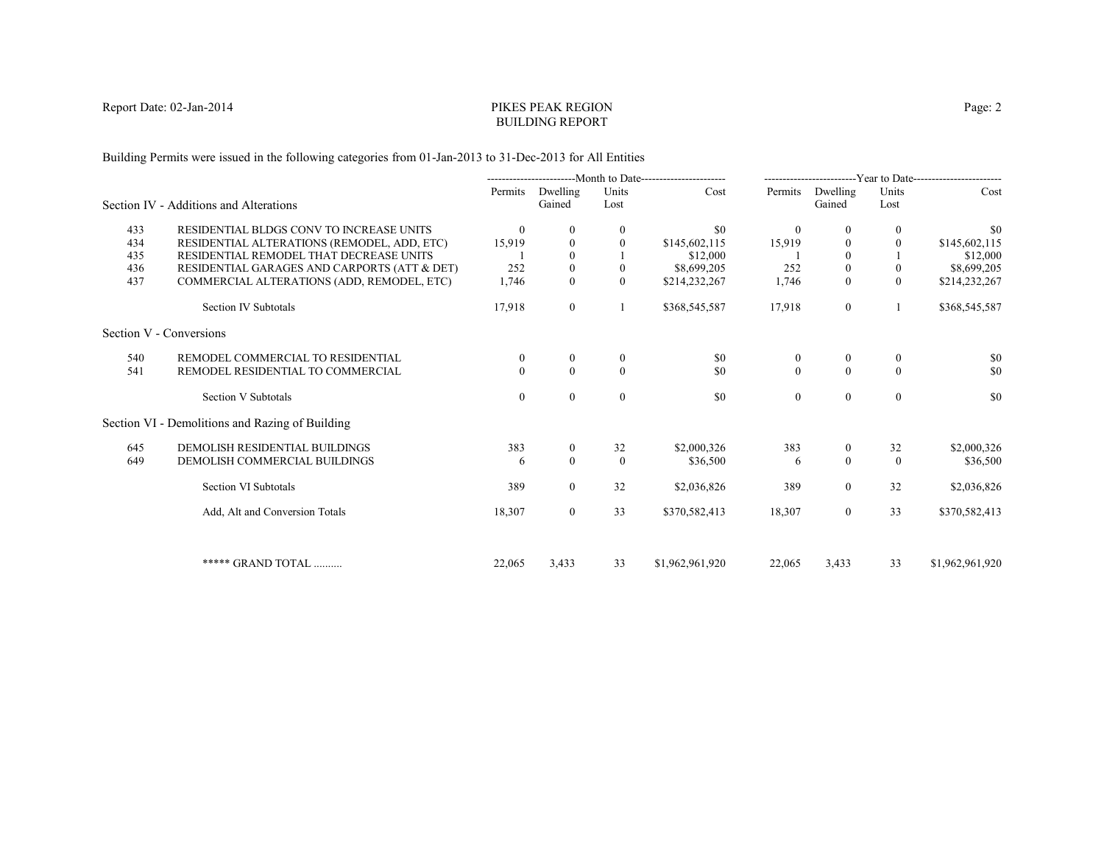# PIKES PEAK REGIONBUILDING REPORT

Building Permits were issued in the following categories from 01-Jan-2013 to 31-Dec-2013 for All Entities

|     |                                                 |              |                    |                | Month to Date---------------------- |                  |                    |                  | -------------------------Year to Date------------------------ |
|-----|-------------------------------------------------|--------------|--------------------|----------------|-------------------------------------|------------------|--------------------|------------------|---------------------------------------------------------------|
|     | Section IV - Additions and Alterations          | Permits      | Dwelling<br>Gained | Units<br>Lost  | Cost                                | Permits          | Dwelling<br>Gained | Units<br>Lost    | Cost                                                          |
| 433 | RESIDENTIAL BLDGS CONV TO INCREASE UNITS        | $\theta$     |                    | 0              | \$0                                 | $\theta$         | $\theta$           | $\theta$         | \$0                                                           |
| 434 | RESIDENTIAL ALTERATIONS (REMODEL, ADD, ETC)     | 15,919       | $\mathbf{0}$       | $\theta$       | \$145,602,115                       | 15,919           | $\theta$           | $\theta$         | \$145,602,115                                                 |
| 435 | RESIDENTIAL REMODEL THAT DECREASE UNITS         |              |                    |                | \$12,000                            |                  | $\Omega$           |                  | \$12,000                                                      |
| 436 | RESIDENTIAL GARAGES AND CARPORTS (ATT & DET)    | 252          | $\mathbf{0}$       | $\mathbf{0}$   | \$8,699,205                         | 252              | $\boldsymbol{0}$   | $\boldsymbol{0}$ | \$8,699,205                                                   |
| 437 | COMMERCIAL ALTERATIONS (ADD, REMODEL, ETC)      | 1,746        | $\Omega$           | $\theta$       | \$214,232,267                       | 1,746            | $\theta$           | $\theta$         | \$214,232,267                                                 |
|     | Section IV Subtotals                            | 17,918       | $\overline{0}$     |                | \$368,545,587                       | 17,918           | $\mathbf{0}$       | 1                | \$368,545,587                                                 |
|     | Section V - Conversions                         |              |                    |                |                                     |                  |                    |                  |                                                               |
| 540 | REMODEL COMMERCIAL TO RESIDENTIAL               | $\theta$     |                    | 0              | \$0                                 | $\bf{0}$         | $\theta$           | $\mathbf{0}$     | \$0                                                           |
| 541 | REMODEL RESIDENTIAL TO COMMERCIAL               | $\Omega$     | $\Omega$           | $\theta$       | \$0                                 | $\mathbf{0}$     | $\theta$           | $\Omega$         | \$0                                                           |
|     | <b>Section V Subtotals</b>                      | $\mathbf{0}$ | $\theta$           | $\overline{0}$ | \$0                                 | $\boldsymbol{0}$ | $\boldsymbol{0}$   | $\mathbf{0}$     | \$0                                                           |
|     | Section VI - Demolitions and Razing of Building |              |                    |                |                                     |                  |                    |                  |                                                               |
| 645 | DEMOLISH RESIDENTIAL BUILDINGS                  | 383          | $\overline{0}$     | 32             | \$2,000,326                         | 383              | $\mathbf{0}$       | 32               | \$2,000,326                                                   |
| 649 | DEMOLISH COMMERCIAL BUILDINGS                   | 6            | $\theta$           | $\theta$       | \$36,500                            | 6                | $\mathbf{0}$       | $\theta$         | \$36,500                                                      |
|     | Section VI Subtotals                            | 389          | $\overline{0}$     | 32             | \$2,036,826                         | 389              | $\overline{0}$     | 32               | \$2,036,826                                                   |
|     | Add, Alt and Conversion Totals                  | 18,307       | $\overline{0}$     | 33             | \$370,582,413                       | 18,307           | $\overline{0}$     | 33               | \$370,582,413                                                 |
|     |                                                 |              |                    |                |                                     |                  |                    |                  |                                                               |
|     | ***** GRAND TOTAL                               | 22,065       | 3,433              | 33             | \$1,962,961,920                     | 22,065           | 3.433              | 33               | \$1,962,961,920                                               |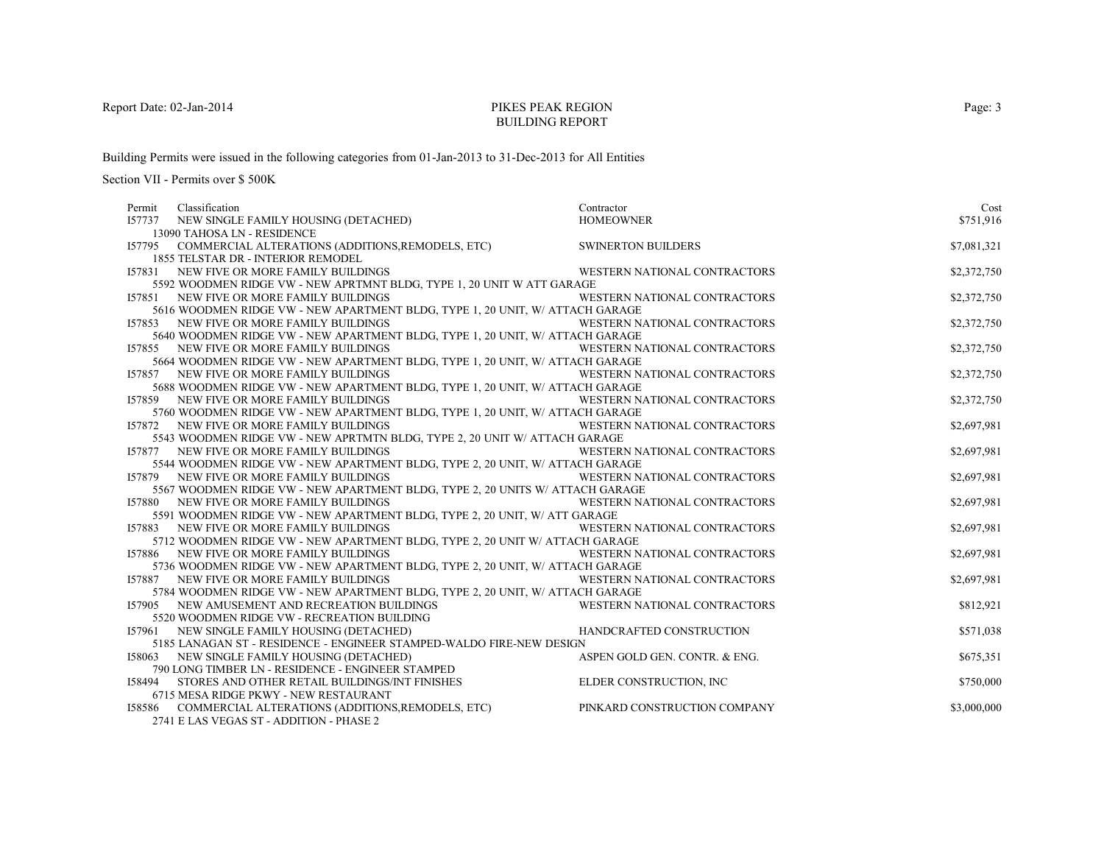# PIKES PEAK REGIONBUILDING REPORT

Building Permits were issued in the following categories from 01-Jan-2013 to 31-Dec-2013 for All Entities

| I57737 NEW SINGLE FAMILY HOUSING (DETACHED)<br>\$751,916<br><b>HOMEOWNER</b><br>13090 TAHOSA LN - RESIDENCE<br>I57795 COMMERCIAL ALTERATIONS (ADDITIONS, REMODELS, ETC)<br><b>SWINERTON BUILDERS</b><br>\$7,081,321<br>1855 TELSTAR DR - INTERIOR REMODEL<br>\$2,372,750<br>WESTERN NATIONAL CONTRACTORS<br>157831<br>NEW FIVE OR MORE FAMILY BUILDINGS<br>5592 WOODMEN RIDGE VW - NEW APRTMNT BLDG, TYPE 1, 20 UNIT W ATT GARAGE<br>WESTERN NATIONAL CONTRACTORS<br>\$2,372,750<br>157851 NEW FIVE OR MORE FAMILY BUILDINGS<br>5616 WOODMEN RIDGE VW - NEW APARTMENT BLDG, TYPE 1, 20 UNIT, W/ ATTACH GARAGE<br>WESTERN NATIONAL CONTRACTORS<br>\$2,372,750<br><b>I57853 NEW FIVE OR MORE FAMILY BUILDINGS</b><br>5640 WOODMEN RIDGE VW - NEW APARTMENT BLDG, TYPE 1, 20 UNIT, W/ ATTACH GARAGE |
|--------------------------------------------------------------------------------------------------------------------------------------------------------------------------------------------------------------------------------------------------------------------------------------------------------------------------------------------------------------------------------------------------------------------------------------------------------------------------------------------------------------------------------------------------------------------------------------------------------------------------------------------------------------------------------------------------------------------------------------------------------------------------------------------------|
|                                                                                                                                                                                                                                                                                                                                                                                                                                                                                                                                                                                                                                                                                                                                                                                                  |
|                                                                                                                                                                                                                                                                                                                                                                                                                                                                                                                                                                                                                                                                                                                                                                                                  |
|                                                                                                                                                                                                                                                                                                                                                                                                                                                                                                                                                                                                                                                                                                                                                                                                  |
|                                                                                                                                                                                                                                                                                                                                                                                                                                                                                                                                                                                                                                                                                                                                                                                                  |
|                                                                                                                                                                                                                                                                                                                                                                                                                                                                                                                                                                                                                                                                                                                                                                                                  |
|                                                                                                                                                                                                                                                                                                                                                                                                                                                                                                                                                                                                                                                                                                                                                                                                  |
|                                                                                                                                                                                                                                                                                                                                                                                                                                                                                                                                                                                                                                                                                                                                                                                                  |
|                                                                                                                                                                                                                                                                                                                                                                                                                                                                                                                                                                                                                                                                                                                                                                                                  |
|                                                                                                                                                                                                                                                                                                                                                                                                                                                                                                                                                                                                                                                                                                                                                                                                  |
|                                                                                                                                                                                                                                                                                                                                                                                                                                                                                                                                                                                                                                                                                                                                                                                                  |
| WESTERN NATIONAL CONTRACTORS<br>\$2,372,750<br>157855 NEW FIVE OR MORE FAMILY BUILDINGS                                                                                                                                                                                                                                                                                                                                                                                                                                                                                                                                                                                                                                                                                                          |
| 5664 WOODMEN RIDGE VW - NEW APARTMENT BLDG, TYPE 1, 20 UNIT, W/ ATTACH GARAGE                                                                                                                                                                                                                                                                                                                                                                                                                                                                                                                                                                                                                                                                                                                    |
| <b>I57857 NEW FIVE OR MORE FAMILY BUILDINGS</b><br>WESTERN NATIONAL CONTRACTORS<br>\$2,372,750                                                                                                                                                                                                                                                                                                                                                                                                                                                                                                                                                                                                                                                                                                   |
| 5688 WOODMEN RIDGE VW - NEW APARTMENT BLDG, TYPE 1, 20 UNIT, W/ ATTACH GARAGE                                                                                                                                                                                                                                                                                                                                                                                                                                                                                                                                                                                                                                                                                                                    |
| WESTERN NATIONAL CONTRACTORS<br>\$2,372,750<br><b>157859 NEW FIVE OR MORE FAMILY BUILDINGS</b>                                                                                                                                                                                                                                                                                                                                                                                                                                                                                                                                                                                                                                                                                                   |
| 5760 WOODMEN RIDGE VW - NEW APARTMENT BLDG, TYPE 1, 20 UNIT, W/ ATTACH GARAGE                                                                                                                                                                                                                                                                                                                                                                                                                                                                                                                                                                                                                                                                                                                    |
| $72$ NEW FIVE OR MORE FAMILY BUILDINGS $$\tt WESTERN\ NATIONAL\tt CONTRACTORS\,$ 5543 WOODMEN RIDGE VW - NEW APRTMTN BLDG, TYPE 2, 20 UNIT W/ ATTACH GARAGE<br>\$2,697,981<br>157872 NEW FIVE OR MORE FAMILY BUILDINGS                                                                                                                                                                                                                                                                                                                                                                                                                                                                                                                                                                           |
|                                                                                                                                                                                                                                                                                                                                                                                                                                                                                                                                                                                                                                                                                                                                                                                                  |
| WESTERN NATIONAL CONTRACTORS<br>\$2,697,981<br>157877 NEW FIVE OR MORE FAMILY BUILDINGS                                                                                                                                                                                                                                                                                                                                                                                                                                                                                                                                                                                                                                                                                                          |
| 5544 WOODMEN RIDGE VW - NEW APARTMENT BLDG, TYPE 2, 20 UNIT, W/ ATTACH GARAGE                                                                                                                                                                                                                                                                                                                                                                                                                                                                                                                                                                                                                                                                                                                    |
| WESTERN NATIONAL CONTRACTORS<br>\$2,697,981<br>157879 NEW FIVE OR MORE FAMILY BUILDINGS                                                                                                                                                                                                                                                                                                                                                                                                                                                                                                                                                                                                                                                                                                          |
| 5567 WOODMEN RIDGE VW - NEW APARTMENT BLDG, TYPE 2, 20 UNITS W/ ATTACH GARAGE                                                                                                                                                                                                                                                                                                                                                                                                                                                                                                                                                                                                                                                                                                                    |
| \$2,697,981<br>WESTERN NATIONAL CONTRACTORS<br>157880 NEW FIVE OR MORE FAMILY BUILDINGS                                                                                                                                                                                                                                                                                                                                                                                                                                                                                                                                                                                                                                                                                                          |
| 5591 WOODMEN RIDGE VW - NEW APARTMENT BLDG, TYPE 2, 20 UNIT, W/ ATT GARAGE                                                                                                                                                                                                                                                                                                                                                                                                                                                                                                                                                                                                                                                                                                                       |
| \$2,697,981<br>157883 NEW FIVE OR MORE FAMILY BUILDINGS<br>WESTERN NATIONAL CONTRACTORS                                                                                                                                                                                                                                                                                                                                                                                                                                                                                                                                                                                                                                                                                                          |
| 5712 WOODMEN RIDGE VW - NEW APARTMENT BLDG, TYPE 2, 20 UNIT W/ ATTACH GARAGE                                                                                                                                                                                                                                                                                                                                                                                                                                                                                                                                                                                                                                                                                                                     |
| WESTERN NATIONAL CONTRACTORS<br>\$2,697,981<br><b>157886 NEW FIVE OR MORE FAMILY BUILDINGS</b>                                                                                                                                                                                                                                                                                                                                                                                                                                                                                                                                                                                                                                                                                                   |
| 5736 WOODMEN RIDGE VW - NEW APARTMENT BLDG, TYPE 2, 20 UNIT, W/ ATTACH GARAGE                                                                                                                                                                                                                                                                                                                                                                                                                                                                                                                                                                                                                                                                                                                    |
| \$2,697,981<br>WESTERN NATIONAL CONTRACTORS<br>157887 NEW FIVE OR MORE FAMILY BUILDINGS<br>5784 WOODMEN RIDGE VW - NEW APARTMENT BLDG, TYPE 2, 20 UNIT, W/ ATTACH GARAGE                                                                                                                                                                                                                                                                                                                                                                                                                                                                                                                                                                                                                         |
|                                                                                                                                                                                                                                                                                                                                                                                                                                                                                                                                                                                                                                                                                                                                                                                                  |
| \$812,921<br>WESTERN NATIONAL CONTRACTORS<br>157905<br>NEW AMUSEMENT AND RECREATION BUILDINGS                                                                                                                                                                                                                                                                                                                                                                                                                                                                                                                                                                                                                                                                                                    |
| 5520 WOODMEN RIDGE VW - RECREATION BUILDING                                                                                                                                                                                                                                                                                                                                                                                                                                                                                                                                                                                                                                                                                                                                                      |
| \$571,038<br>NEW SINGLE FAMILY HOUSING (DETACHED)<br>HANDCRAFTED CONSTRUCTION<br>157961<br>5185 LANAGAN ST - RESIDENCE - ENGINEER STAMPED-WALDO FIRE-NEW DESIGN                                                                                                                                                                                                                                                                                                                                                                                                                                                                                                                                                                                                                                  |
|                                                                                                                                                                                                                                                                                                                                                                                                                                                                                                                                                                                                                                                                                                                                                                                                  |
| ASPEN GOLD GEN. CONTR. & ENG.<br>\$675,351<br>158063 NEW SINGLE FAMILY HOUSING (DETACHED)                                                                                                                                                                                                                                                                                                                                                                                                                                                                                                                                                                                                                                                                                                        |
| 790 LONG TIMBER LN - RESIDENCE - ENGINEER STAMPED                                                                                                                                                                                                                                                                                                                                                                                                                                                                                                                                                                                                                                                                                                                                                |
| ELDER CONSTRUCTION, INC<br>\$750,000<br>STORES AND OTHER RETAIL BUILDINGS/INT FINISHES<br>158494<br>6715 MESA RIDGE PKWY - NEW RESTAURANT                                                                                                                                                                                                                                                                                                                                                                                                                                                                                                                                                                                                                                                        |
| PINKARD CONSTRUCTION COMPANY<br>COMMERCIAL ALTERATIONS (ADDITIONS,REMODELS, ETC)<br>\$3,000,000<br>158586                                                                                                                                                                                                                                                                                                                                                                                                                                                                                                                                                                                                                                                                                        |
| 2741 E LAS VEGAS ST - ADDITION - PHASE 2                                                                                                                                                                                                                                                                                                                                                                                                                                                                                                                                                                                                                                                                                                                                                         |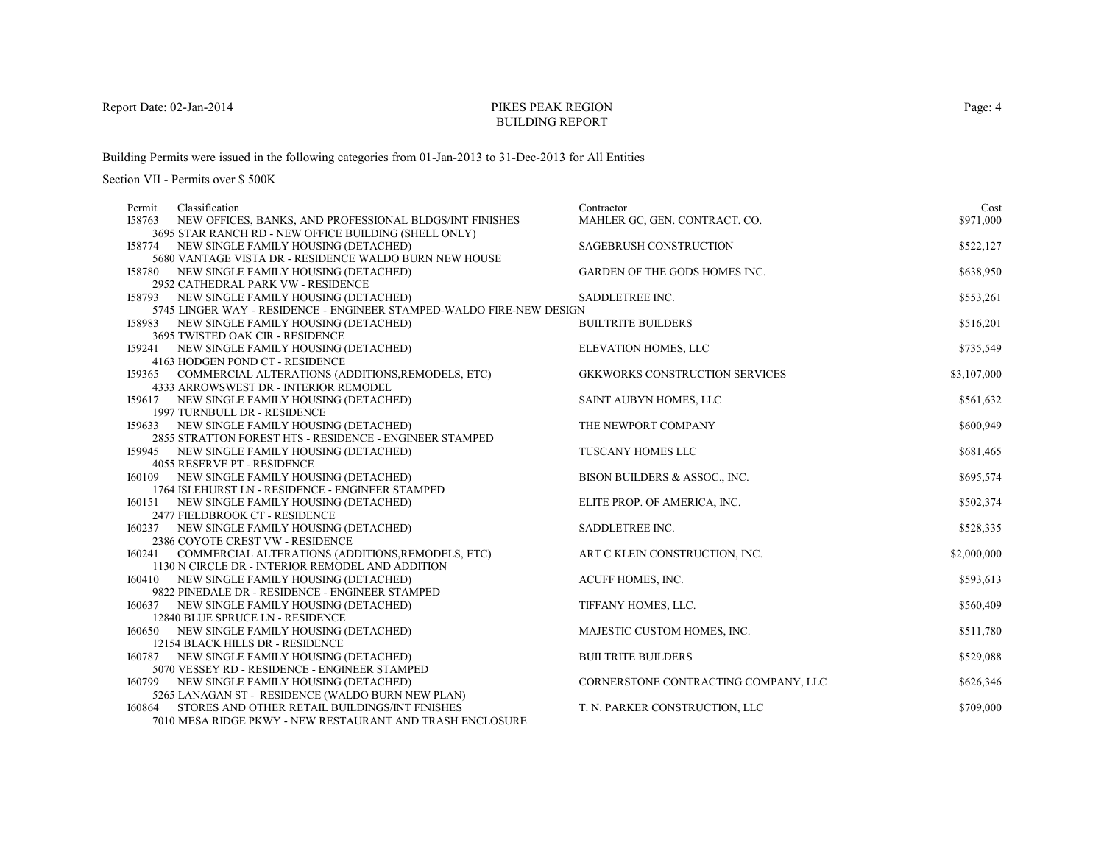# PIKES PEAK REGIONBUILDING REPORT

Building Permits were issued in the following categories from 01-Jan-2013 to 31-Dec-2013 for All Entities

| Classification<br>Permit                                                                       | Contractor                            | Cost        |
|------------------------------------------------------------------------------------------------|---------------------------------------|-------------|
| I58763<br>NEW OFFICES, BANKS, AND PROFESSIONAL BLDGS/INT FINISHES                              | MAHLER GC, GEN. CONTRACT. CO.         | \$971,000   |
| 3695 STAR RANCH RD - NEW OFFICE BUILDING (SHELL ONLY)                                          |                                       |             |
| 158774 NEW SINGLE FAMILY HOUSING (DETACHED)                                                    | <b>SAGEBRUSH CONSTRUCTION</b>         | \$522,127   |
| 5680 VANTAGE VISTA DR - RESIDENCE WALDO BURN NEW HOUSE                                         |                                       |             |
| 158780 NEW SINGLE FAMILY HOUSING (DETACHED)                                                    | GARDEN OF THE GODS HOMES INC.         | \$638,950   |
| 2952 CATHEDRAL PARK VW - RESIDENCE                                                             |                                       |             |
| 158793 NEW SINGLE FAMILY HOUSING (DETACHED)                                                    | SADDLETREE INC.                       | \$553,261   |
| 5745 LINGER WAY - RESIDENCE - ENGINEER STAMPED-WALDO FIRE-NEW DESIGN                           |                                       |             |
| 158983 NEW SINGLE FAMILY HOUSING (DETACHED)                                                    | <b>BUILTRITE BUILDERS</b>             | \$516,201   |
| 3695 TWISTED OAK CIR - RESIDENCE                                                               |                                       |             |
| 159241 NEW SINGLE FAMILY HOUSING (DETACHED)                                                    | ELEVATION HOMES, LLC                  | \$735,549   |
| 4163 HODGEN POND CT - RESIDENCE                                                                |                                       |             |
| 159365 COMMERCIAL ALTERATIONS (ADDITIONS, REMODELS, ETC)                                       | <b>GKKWORKS CONSTRUCTION SERVICES</b> | \$3,107,000 |
| 4333 ARROWSWEST DR - INTERIOR REMODEL                                                          |                                       |             |
| 159617 NEW SINGLE FAMILY HOUSING (DETACHED)                                                    | SAINT AUBYN HOMES, LLC                | \$561,632   |
| 1997 TURNBULL DR - RESIDENCE                                                                   |                                       |             |
| 159633 NEW SINGLE FAMILY HOUSING (DETACHED)                                                    | THE NEWPORT COMPANY                   | \$600,949   |
| 2855 STRATTON FOREST HTS - RESIDENCE - ENGINEER STAMPED                                        |                                       |             |
| 159945 NEW SINGLE FAMILY HOUSING (DETACHED)                                                    | TUSCANY HOMES LLC                     | \$681,465   |
| 4055 RESERVE PT - RESIDENCE                                                                    |                                       |             |
| 160109 NEW SINGLE FAMILY HOUSING (DETACHED)                                                    | BISON BUILDERS & ASSOC., INC.         | \$695,574   |
| 1764 ISLEHURST LN - RESIDENCE - ENGINEER STAMPED                                               |                                       |             |
| 160151 NEW SINGLE FAMILY HOUSING (DETACHED)                                                    | ELITE PROP. OF AMERICA, INC.          | \$502,374   |
| 2477 FIELDBROOK CT - RESIDENCE                                                                 |                                       |             |
| 160237 NEW SINGLE FAMILY HOUSING (DETACHED)                                                    | SADDLETREE INC.                       | \$528,335   |
| 2386 COYOTE CREST VW - RESIDENCE                                                               |                                       |             |
| I60241 COMMERCIAL ALTERATIONS (ADDITIONS, REMODELS, ETC)                                       | ART C KLEIN CONSTRUCTION, INC.        | \$2,000,000 |
| 1130 N CIRCLE DR - INTERIOR REMODEL AND ADDITION                                               | ACUFF HOMES, INC.                     |             |
| 160410 NEW SINGLE FAMILY HOUSING (DETACHED)<br>9822 PINEDALE DR - RESIDENCE - ENGINEER STAMPED |                                       | \$593,613   |
| 160637 NEW SINGLE FAMILY HOUSING (DETACHED)                                                    | TIFFANY HOMES, LLC.                   | \$560,409   |
| 12840 BLUE SPRUCE LN - RESIDENCE                                                               |                                       |             |
| 160650 NEW SINGLE FAMILY HOUSING (DETACHED)                                                    | MAJESTIC CUSTOM HOMES, INC.           | \$511,780   |
| 12154 BLACK HILLS DR - RESIDENCE                                                               |                                       |             |
| 160787 NEW SINGLE FAMILY HOUSING (DETACHED)                                                    | <b>BUILTRITE BUILDERS</b>             | \$529,088   |
| 5070 VESSEY RD - RESIDENCE - ENGINEER STAMPED                                                  |                                       |             |
| 160799 NEW SINGLE FAMILY HOUSING (DETACHED)                                                    | CORNERSTONE CONTRACTING COMPANY, LLC  | \$626,346   |
| 5265 LANAGAN ST - RESIDENCE (WALDO BURN NEW PLAN)                                              |                                       |             |
| STORES AND OTHER RETAIL BUILDINGS/INT FINISHES<br>160864                                       | T. N. PARKER CONSTRUCTION, LLC        | \$709,000   |
| 7010 MESA RIDGE PKWY - NEW RESTAURANT AND TRASH ENCLOSURE                                      |                                       |             |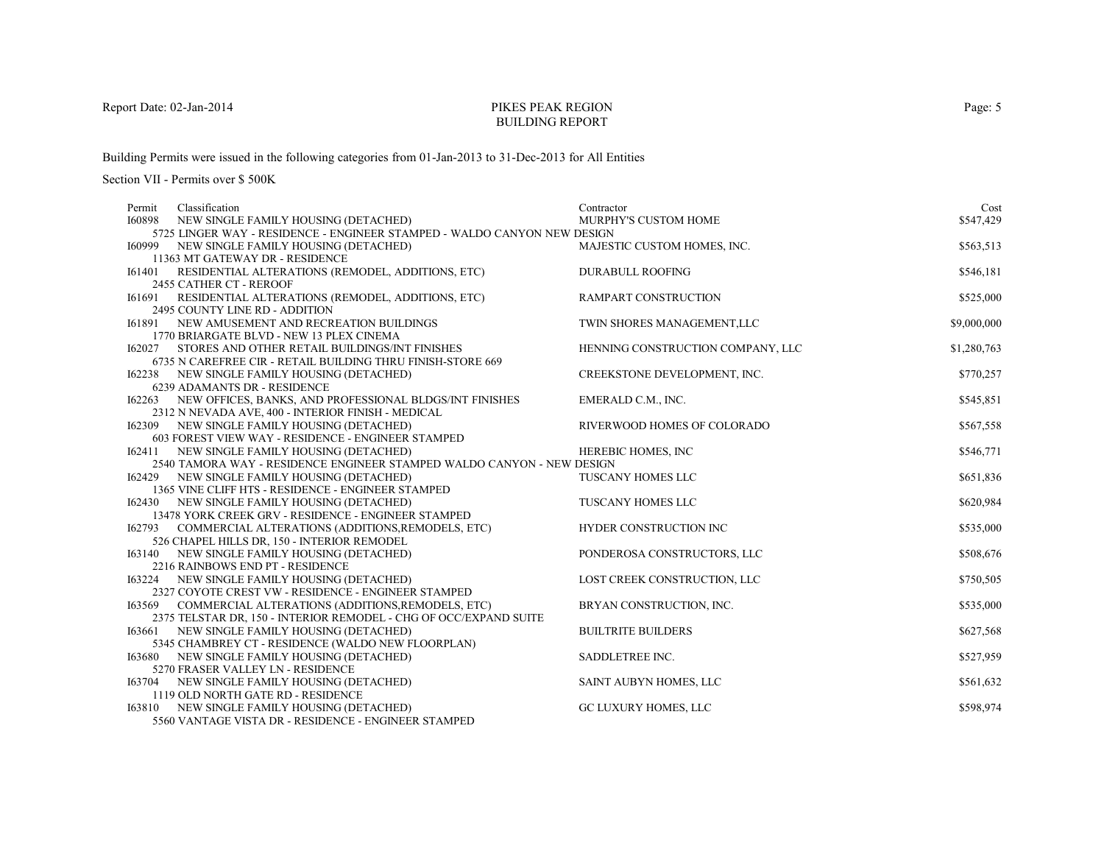# PIKES PEAK REGIONBUILDING REPORT

Building Permits were issued in the following categories from 01-Jan-2013 to 31-Dec-2013 for All Entities

| Permit        | Classification                                                                                                  | Contractor                        | Cost        |
|---------------|-----------------------------------------------------------------------------------------------------------------|-----------------------------------|-------------|
| <b>I60898</b> | NEW SINGLE FAMILY HOUSING (DETACHED)                                                                            | MURPHY'S CUSTOM HOME              | \$547,429   |
|               | 5725 LINGER WAY - RESIDENCE - ENGINEER STAMPED - WALDO CANYON NEW DESIGN                                        |                                   |             |
| 160999        | NEW SINGLE FAMILY HOUSING (DETACHED)                                                                            | MAJESTIC CUSTOM HOMES, INC.       | \$563,513   |
|               | 11363 MT GATEWAY DR - RESIDENCE                                                                                 |                                   |             |
|               | 161401 RESIDENTIAL ALTERATIONS (REMODEL, ADDITIONS, ETC)                                                        | <b>DURABULL ROOFING</b>           | \$546,181   |
|               | 2455 CATHER CT - REROOF                                                                                         |                                   |             |
| 161691        | RESIDENTIAL ALTERATIONS (REMODEL, ADDITIONS, ETC)                                                               | <b>RAMPART CONSTRUCTION</b>       | \$525,000   |
|               | 2495 COUNTY LINE RD - ADDITION                                                                                  | TWIN SHORES MANAGEMENT, LLC       |             |
| 161891        | NEW AMUSEMENT AND RECREATION BUILDINGS<br>1770 BRIARGATE BLVD - NEW 13 PLEX CINEMA                              |                                   | \$9,000,000 |
|               | <b>I62027 STORES AND OTHER RETAIL BUILDINGS/INT FINISHES</b>                                                    | HENNING CONSTRUCTION COMPANY, LLC | \$1,280,763 |
|               | 6735 N CAREFREE CIR - RETAIL BUILDING THRU FINISH-STORE 669                                                     |                                   |             |
|               | 162238 NEW SINGLE FAMILY HOUSING (DETACHED)                                                                     | CREEKSTONE DEVELOPMENT, INC.      | \$770,257   |
|               | 6239 ADAMANTS DR - RESIDENCE                                                                                    |                                   |             |
|               | 162263 NEW OFFICES, BANKS, AND PROFESSIONAL BLDGS/INT FINISHES                                                  | EMERALD C.M., INC.                | \$545,851   |
|               | 2312 N NEVADA AVE, 400 - INTERIOR FINISH - MEDICAL                                                              |                                   |             |
|               | 162309 NEW SINGLE FAMILY HOUSING (DETACHED)                                                                     | RIVERWOOD HOMES OF COLORADO       | \$567,558   |
|               | 603 FOREST VIEW WAY - RESIDENCE - ENGINEER STAMPED                                                              |                                   |             |
|               | 162411 NEW SINGLE FAMILY HOUSING (DETACHED)                                                                     | HEREBIC HOMES, INC                | \$546,771   |
|               | 2540 TAMORA WAY - RESIDENCE ENGINEER STAMPED WALDO CANYON - NEW DESIGN                                          |                                   |             |
| 162429        | NEW SINGLE FAMILY HOUSING (DETACHED)                                                                            | TUSCANY HOMES LLC                 | \$651,836   |
|               | 1365 VINE CLIFF HTS - RESIDENCE - ENGINEER STAMPED                                                              |                                   |             |
|               | 162430 NEW SINGLE FAMILY HOUSING (DETACHED)                                                                     | TUSCANY HOMES LLC                 | \$620,984   |
|               | 13478 YORK CREEK GRV - RESIDENCE - ENGINEER STAMPED<br>162793 COMMERCIAL ALTERATIONS (ADDITIONS, REMODELS, ETC) | HYDER CONSTRUCTION INC            | \$535,000   |
|               | 526 CHAPEL HILLS DR, 150 - INTERIOR REMODEL                                                                     |                                   |             |
|               | 163140 NEW SINGLE FAMILY HOUSING (DETACHED)                                                                     | PONDEROSA CONSTRUCTORS, LLC       | \$508,676   |
|               | 2216 RAINBOWS END PT - RESIDENCE                                                                                |                                   |             |
|               | 163224 NEW SINGLE FAMILY HOUSING (DETACHED)                                                                     | LOST CREEK CONSTRUCTION, LLC      | \$750,505   |
|               | 2327 COYOTE CREST VW - RESIDENCE - ENGINEER STAMPED                                                             |                                   |             |
| 163569        | COMMERCIAL ALTERATIONS (ADDITIONS, REMODELS, ETC)                                                               | BRYAN CONSTRUCTION, INC.          | \$535,000   |
|               | 2375 TELSTAR DR, 150 - INTERIOR REMODEL - CHG OF OCC/EXPAND SUITE                                               |                                   |             |
| 163661        | NEW SINGLE FAMILY HOUSING (DETACHED)                                                                            | <b>BUILTRITE BUILDERS</b>         | \$627,568   |
|               | 5345 CHAMBREY CT - RESIDENCE (WALDO NEW FLOORPLAN)                                                              |                                   |             |
| 163680        | NEW SINGLE FAMILY HOUSING (DETACHED)                                                                            | SADDLETREE INC.                   | \$527,959   |
|               | 5270 FRASER VALLEY LN - RESIDENCE                                                                               |                                   |             |
|               | 163704 NEW SINGLE FAMILY HOUSING (DETACHED)                                                                     | SAINT AUBYN HOMES, LLC            | \$561,632   |
|               | 1119 OLD NORTH GATE RD - RESIDENCE                                                                              |                                   |             |
|               | 163810 NEW SINGLE FAMILY HOUSING (DETACHED)<br>5560 VANTAGE VISTA DR - RESIDENCE - ENGINEER STAMPED             | GC LUXURY HOMES, LLC              | \$598,974   |
|               |                                                                                                                 |                                   |             |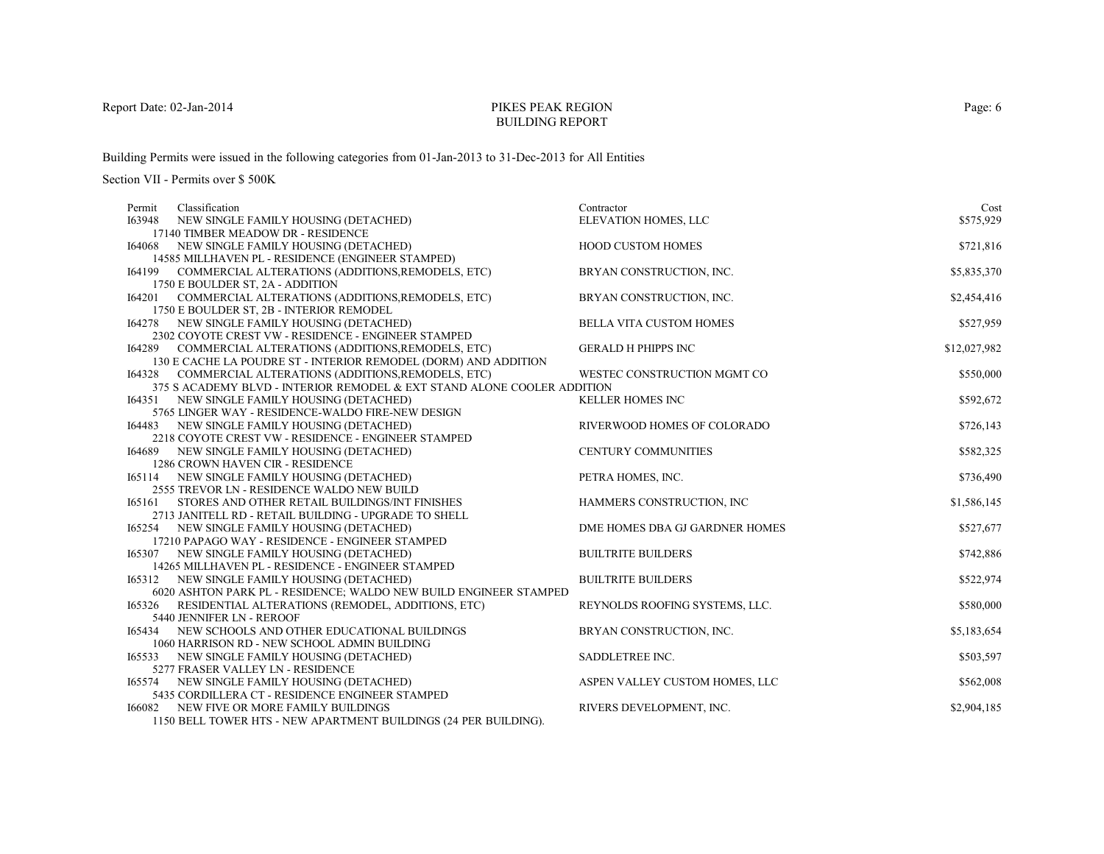# PIKES PEAK REGIONBUILDING REPORT

Building Permits were issued in the following categories from 01-Jan-2013 to 31-Dec-2013 for All Entities

| Classification<br>Contractor<br>Permit                                                                                           | Cost         |
|----------------------------------------------------------------------------------------------------------------------------------|--------------|
| I63948<br>ELEVATION HOMES, LLC<br>NEW SINGLE FAMILY HOUSING (DETACHED)                                                           | \$575,929    |
| 17140 TIMBER MEADOW DR - RESIDENCE                                                                                               |              |
| HOOD CUSTOM HOMES<br>NEW SINGLE FAMILY HOUSING (DETACHED)<br>164068                                                              | \$721,816    |
| 14585 MILLHAVEN PL - RESIDENCE (ENGINEER STAMPED)                                                                                |              |
| 164199<br>COMMERCIAL ALTERATIONS (ADDITIONS, REMODELS, ETC)<br>BRYAN CONSTRUCTION, INC.                                          | \$5,835,370  |
| 1750 E BOULDER ST, 2A - ADDITION                                                                                                 |              |
| COMMERCIAL ALTERATIONS (ADDITIONS, REMODELS, ETC)<br>BRYAN CONSTRUCTION, INC.<br>164201                                          | \$2,454,416  |
| 1750 E BOULDER ST, 2B - INTERIOR REMODEL                                                                                         |              |
| NEW SINGLE FAMILY HOUSING (DETACHED)<br><b>BELLA VITA CUSTOM HOMES</b><br>164278                                                 | \$527,959    |
| 2302 COYOTE CREST VW - RESIDENCE - ENGINEER STAMPED                                                                              |              |
| COMMERCIAL ALTERATIONS (ADDITIONS, REMODELS, ETC)<br><b>GERALD H PHIPPS INC</b><br>164289                                        | \$12,027,982 |
| 130 E CACHE LA POUDRE ST - INTERIOR REMODEL (DORM) AND ADDITION                                                                  |              |
| COMMERCIAL ALTERATIONS (ADDITIONS, REMODELS, ETC)<br>WESTEC CONSTRUCTION MGMT CO<br>164328                                       | \$550,000    |
| 375 S ACADEMY BLVD - INTERIOR REMODEL & EXT STAND ALONE COOLER ADDITION                                                          |              |
| <b>KELLER HOMES INC</b><br>164351 NEW SINGLE FAMILY HOUSING (DETACHED)                                                           | \$592,672    |
| 5765 LINGER WAY - RESIDENCE-WALDO FIRE-NEW DESIGN                                                                                |              |
| RIVERWOOD HOMES OF COLORADO<br>164483 NEW SINGLE FAMILY HOUSING (DETACHED)                                                       | \$726,143    |
| 2218 COYOTE CREST VW - RESIDENCE - ENGINEER STAMPED                                                                              |              |
| <b>CENTURY COMMUNITIES</b><br>164689 NEW SINGLE FAMILY HOUSING (DETACHED)                                                        | \$582,325    |
| 1286 CROWN HAVEN CIR - RESIDENCE                                                                                                 |              |
| NEW SINGLE FAMILY HOUSING (DETACHED)<br>PETRA HOMES, INC.<br>165114                                                              | \$736,490    |
| 2555 TREVOR LN - RESIDENCE WALDO NEW BUILD                                                                                       |              |
| STORES AND OTHER RETAIL BUILDINGS/INT FINISHES<br>HAMMERS CONSTRUCTION, INC<br>165161                                            | \$1,586,145  |
| 2713 JANITELL RD - RETAIL BUILDING - UPGRADE TO SHELL                                                                            |              |
| DME HOMES DBA GJ GARDNER HOMES<br>165254 NEW SINGLE FAMILY HOUSING (DETACHED)<br>17210 PAPAGO WAY - RESIDENCE - ENGINEER STAMPED | \$527,677    |
| <b>BUILTRITE BUILDERS</b>                                                                                                        |              |
| NEW SINGLE FAMILY HOUSING (DETACHED)<br>165307<br>14265 MILLHAVEN PL - RESIDENCE - ENGINEER STAMPED                              | \$742,886    |
| 165312 NEW SINGLE FAMILY HOUSING (DETACHED)<br><b>BUILTRITE BUILDERS</b>                                                         | \$522,974    |
| 6020 ASHTON PARK PL - RESIDENCE; WALDO NEW BUILD ENGINEER STAMPED                                                                |              |
| RESIDENTIAL ALTERATIONS (REMODEL, ADDITIONS, ETC)<br>REYNOLDS ROOFING SYSTEMS, LLC.<br>165326                                    | \$580,000    |
| 5440 JENNIFER LN - REROOF                                                                                                        |              |
| NEW SCHOOLS AND OTHER EDUCATIONAL BUILDINGS<br>BRYAN CONSTRUCTION, INC.<br>165434                                                | \$5,183,654  |
| 1060 HARRISON RD - NEW SCHOOL ADMIN BUILDING                                                                                     |              |
| SADDLETREE INC.<br>165533<br>NEW SINGLE FAMILY HOUSING (DETACHED)                                                                | \$503,597    |
| 5277 FRASER VALLEY LN - RESIDENCE                                                                                                |              |
| NEW SINGLE FAMILY HOUSING (DETACHED)<br>ASPEN VALLEY CUSTOM HOMES, LLC<br>165574                                                 | \$562,008    |
| 5435 CORDILLERA CT - RESIDENCE ENGINEER STAMPED                                                                                  |              |
| RIVERS DEVELOPMENT, INC.<br>166082<br>NEW FIVE OR MORE FAMILY BUILDINGS                                                          | \$2,904,185  |
| 1150 BELL TOWER HTS - NEW APARTMENT BUILDINGS (24 PER BUILDING).                                                                 |              |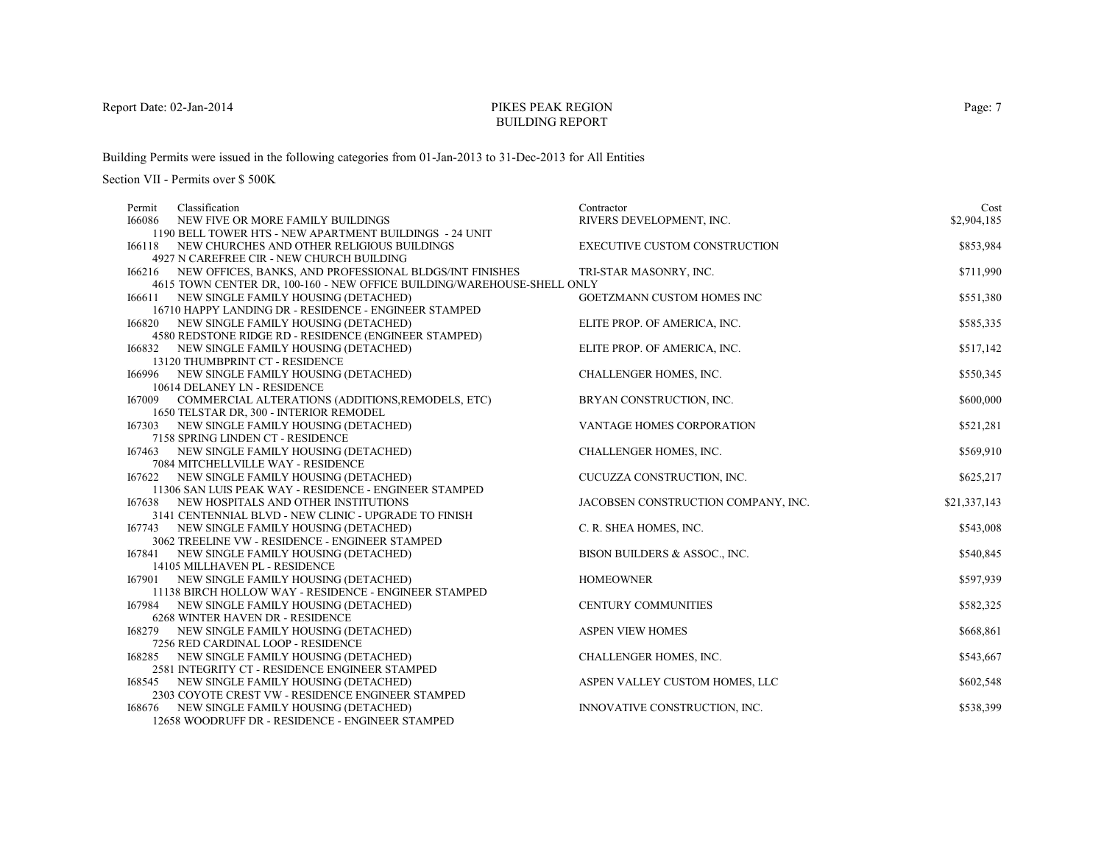# PIKES PEAK REGIONBUILDING REPORT

Building Permits were issued in the following categories from 01-Jan-2013 to 31-Dec-2013 for All Entities

| Classification<br>Permit                                                                             | Contractor                           | Cost         |
|------------------------------------------------------------------------------------------------------|--------------------------------------|--------------|
| 166086<br>NEW FIVE OR MORE FAMILY BUILDINGS                                                          | RIVERS DEVELOPMENT, INC.             | \$2,904,185  |
| 1190 BELL TOWER HTS - NEW APARTMENT BUILDINGS - 24 UNIT                                              |                                      |              |
| 166118 NEW CHURCHES AND OTHER RELIGIOUS BUILDINGS                                                    | <b>EXECUTIVE CUSTOM CONSTRUCTION</b> | \$853,984    |
| 4927 N CAREFREE CIR - NEW CHURCH BUILDING                                                            |                                      |              |
| 166216 NEW OFFICES, BANKS, AND PROFESSIONAL BLDGS/INT FINISHES                                       | TRI-STAR MASONRY, INC.               | \$711,990    |
| 4615 TOWN CENTER DR, 100-160 - NEW OFFICE BUILDING/WAREHOUSE-SHELL ONLY                              |                                      |              |
| 166611 NEW SINGLE FAMILY HOUSING (DETACHED)                                                          | <b>GOETZMANN CUSTOM HOMES INC</b>    | \$551,380    |
| 16710 HAPPY LANDING DR - RESIDENCE - ENGINEER STAMPED                                                |                                      |              |
| NEW SINGLE FAMILY HOUSING (DETACHED)<br>166820                                                       | ELITE PROP. OF AMERICA, INC.         | \$585,335    |
| 4580 REDSTONE RIDGE RD - RESIDENCE (ENGINEER STAMPED)                                                |                                      |              |
| 166832 NEW SINGLE FAMILY HOUSING (DETACHED)                                                          | ELITE PROP. OF AMERICA, INC.         | \$517,142    |
| 13120 THUMBPRINT CT - RESIDENCE                                                                      |                                      |              |
| 166996 NEW SINGLE FAMILY HOUSING (DETACHED)                                                          | CHALLENGER HOMES, INC.               | \$550,345    |
| 10614 DELANEY LN - RESIDENCE                                                                         |                                      |              |
| 167009 COMMERCIAL ALTERATIONS (ADDITIONS, REMODELS, ETC)                                             | BRYAN CONSTRUCTION, INC.             | \$600,000    |
| 1650 TELSTAR DR, 300 - INTERIOR REMODEL                                                              |                                      |              |
| 167303 NEW SINGLE FAMILY HOUSING (DETACHED)                                                          | VANTAGE HOMES CORPORATION            | \$521,281    |
| 7158 SPRING LINDEN CT - RESIDENCE                                                                    |                                      |              |
| 167463 NEW SINGLE FAMILY HOUSING (DETACHED)                                                          | CHALLENGER HOMES, INC.               | \$569,910    |
| 7084 MITCHELLVILLE WAY - RESIDENCE                                                                   |                                      |              |
| 167622 NEW SINGLE FAMILY HOUSING (DETACHED)                                                          | CUCUZZA CONSTRUCTION, INC.           | \$625,217    |
| 11306 SAN LUIS PEAK WAY - RESIDENCE - ENGINEER STAMPED                                               |                                      |              |
| 167638 NEW HOSPITALS AND OTHER INSTITUTIONS<br>3141 CENTENNIAL BLVD - NEW CLINIC - UPGRADE TO FINISH | JACOBSEN CONSTRUCTION COMPANY, INC.  | \$21,337,143 |
| 167743 NEW SINGLE FAMILY HOUSING (DETACHED)                                                          | C. R. SHEA HOMES, INC.               | \$543,008    |
| 3062 TREELINE VW - RESIDENCE - ENGINEER STAMPED                                                      |                                      |              |
| 167841 NEW SINGLE FAMILY HOUSING (DETACHED)                                                          | BISON BUILDERS & ASSOC., INC.        | \$540,845    |
| 14105 MILLHAVEN PL - RESIDENCE                                                                       |                                      |              |
| 167901 NEW SINGLE FAMILY HOUSING (DETACHED)                                                          | <b>HOMEOWNER</b>                     | \$597,939    |
| 11138 BIRCH HOLLOW WAY - RESIDENCE - ENGINEER STAMPED                                                |                                      |              |
| 167984 NEW SINGLE FAMILY HOUSING (DETACHED)                                                          | <b>CENTURY COMMUNITIES</b>           | \$582,325    |
| 6268 WINTER HAVEN DR - RESIDENCE                                                                     |                                      |              |
| NEW SINGLE FAMILY HOUSING (DETACHED)<br>168279                                                       | <b>ASPEN VIEW HOMES</b>              | \$668,861    |
| 7256 RED CARDINAL LOOP - RESIDENCE                                                                   |                                      |              |
| NEW SINGLE FAMILY HOUSING (DETACHED)<br>168285                                                       | <b>CHALLENGER HOMES, INC.</b>        | \$543,667    |
| 2581 INTEGRITY CT - RESIDENCE ENGINEER STAMPED                                                       |                                      |              |
| 168545 NEW SINGLE FAMILY HOUSING (DETACHED)                                                          | ASPEN VALLEY CUSTOM HOMES, LLC       | \$602,548    |
| 2303 COYOTE CREST VW - RESIDENCE ENGINEER STAMPED                                                    |                                      |              |
| NEW SINGLE FAMILY HOUSING (DETACHED)<br>168676                                                       | INNOVATIVE CONSTRUCTION, INC.        | \$538,399    |
| 12658 WOODRUFF DR - RESIDENCE - ENGINEER STAMPED                                                     |                                      |              |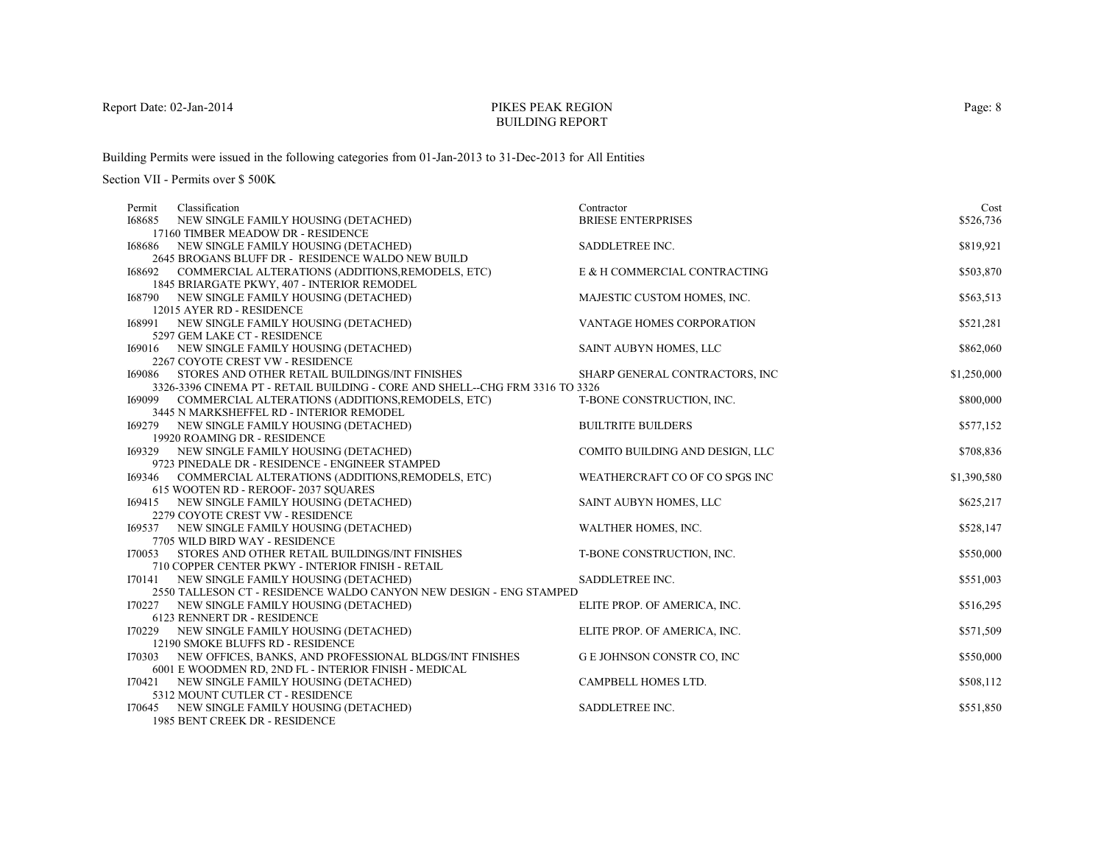# PIKES PEAK REGIONBUILDING REPORT

Building Permits were issued in the following categories from 01-Jan-2013 to 31-Dec-2013 for All Entities

Section VII - Permits over \$ 500K

| Classification<br>Permit                                                      | Contractor                       | Cost        |
|-------------------------------------------------------------------------------|----------------------------------|-------------|
| 168685<br>NEW SINGLE FAMILY HOUSING (DETACHED)                                | <b>BRIESE ENTERPRISES</b>        | \$526,736   |
| 17160 TIMBER MEADOW DR - RESIDENCE                                            |                                  |             |
| 168686 NEW SINGLE FAMILY HOUSING (DETACHED)                                   | SADDLETREE INC.                  | \$819,921   |
| 2645 BROGANS BLUFF DR - RESIDENCE WALDO NEW BUILD                             |                                  |             |
| 168692 COMMERCIAL ALTERATIONS (ADDITIONS, REMODELS, ETC)                      | E & H COMMERCIAL CONTRACTING     | \$503,870   |
| 1845 BRIARGATE PKWY, 407 - INTERIOR REMODEL                                   |                                  |             |
| 168790 NEW SINGLE FAMILY HOUSING (DETACHED)                                   | MAJESTIC CUSTOM HOMES, INC.      | \$563,513   |
| 12015 AYER RD - RESIDENCE                                                     |                                  |             |
| NEW SINGLE FAMILY HOUSING (DETACHED)<br>168991                                | VANTAGE HOMES CORPORATION        | \$521,281   |
| 5297 GEM LAKE CT - RESIDENCE                                                  |                                  |             |
| 169016 NEW SINGLE FAMILY HOUSING (DETACHED)                                   | SAINT AUBYN HOMES, LLC           | \$862,060   |
| 2267 COYOTE CREST VW - RESIDENCE                                              |                                  |             |
| <b>I69086 STORES AND OTHER RETAIL BUILDINGS/INT FINISHES</b>                  | SHARP GENERAL CONTRACTORS, INC   | \$1,250,000 |
| 3326-3396 CINEMA PT - RETAIL BUILDING - CORE AND SHELL--CHG FRM 3316 TO 3326  |                                  |             |
| 169099 COMMERCIAL ALTERATIONS (ADDITIONS, REMODELS, ETC)                      | T-BONE CONSTRUCTION, INC.        | \$800,000   |
| 3445 N MARKSHEFFEL RD - INTERIOR REMODEL                                      |                                  |             |
| 169279 NEW SINGLE FAMILY HOUSING (DETACHED)                                   | <b>BUILTRITE BUILDERS</b>        | \$577,152   |
| 19920 ROAMING DR - RESIDENCE                                                  |                                  |             |
| 169329 NEW SINGLE FAMILY HOUSING (DETACHED)                                   | COMITO BUILDING AND DESIGN, LLC  | \$708,836   |
| 9723 PINEDALE DR - RESIDENCE - ENGINEER STAMPED                               |                                  |             |
| COMMERCIAL ALTERATIONS (ADDITIONS, REMODELS, ETC)<br>169346                   | WEATHERCRAFT CO OF CO SPGS INC   | \$1,390,580 |
| 615 WOOTEN RD - REROOF-2037 SQUARES                                           |                                  |             |
| 169415 NEW SINGLE FAMILY HOUSING (DETACHED)                                   | SAINT AUBYN HOMES, LLC           | \$625,217   |
| 2279 COYOTE CREST VW - RESIDENCE                                              |                                  | \$528,147   |
| 169537 NEW SINGLE FAMILY HOUSING (DETACHED)<br>7705 WILD BIRD WAY - RESIDENCE | WALTHER HOMES, INC.              |             |
| STORES AND OTHER RETAIL BUILDINGS/INT FINISHES<br>I70053                      | T-BONE CONSTRUCTION, INC.        | \$550,000   |
| 710 COPPER CENTER PKWY - INTERIOR FINISH - RETAIL                             |                                  |             |
| 170141 NEW SINGLE FAMILY HOUSING (DETACHED)                                   | SADDLETREE INC.                  | \$551,003   |
| 2550 TALLESON CT - RESIDENCE WALDO CANYON NEW DESIGN - ENG STAMPED            |                                  |             |
| 170227 NEW SINGLE FAMILY HOUSING (DETACHED)                                   | ELITE PROP. OF AMERICA, INC.     | \$516,295   |
| 6123 RENNERT DR - RESIDENCE                                                   |                                  |             |
| I70229<br>NEW SINGLE FAMILY HOUSING (DETACHED)                                | ELITE PROP. OF AMERICA, INC.     | \$571,509   |
| 12190 SMOKE BLUFFS RD - RESIDENCE                                             |                                  |             |
| NEW OFFICES, BANKS, AND PROFESSIONAL BLDGS/INT FINISHES<br>170303             | <b>GE JOHNSON CONSTR CO, INC</b> | \$550,000   |
| 6001 E WOODMEN RD, 2ND FL - INTERIOR FINISH - MEDICAL                         |                                  |             |
| 170421 NEW SINGLE FAMILY HOUSING (DETACHED)                                   | CAMPBELL HOMES LTD.              | \$508,112   |
| 5312 MOUNT CUTLER CT - RESIDENCE                                              |                                  |             |
| 170645 NEW SINGLE FAMILY HOUSING (DETACHED)                                   | SADDLETREE INC.                  | \$551,850   |
| 1985 BENT CREEK DR - RESIDENCE                                                |                                  |             |

Page: 8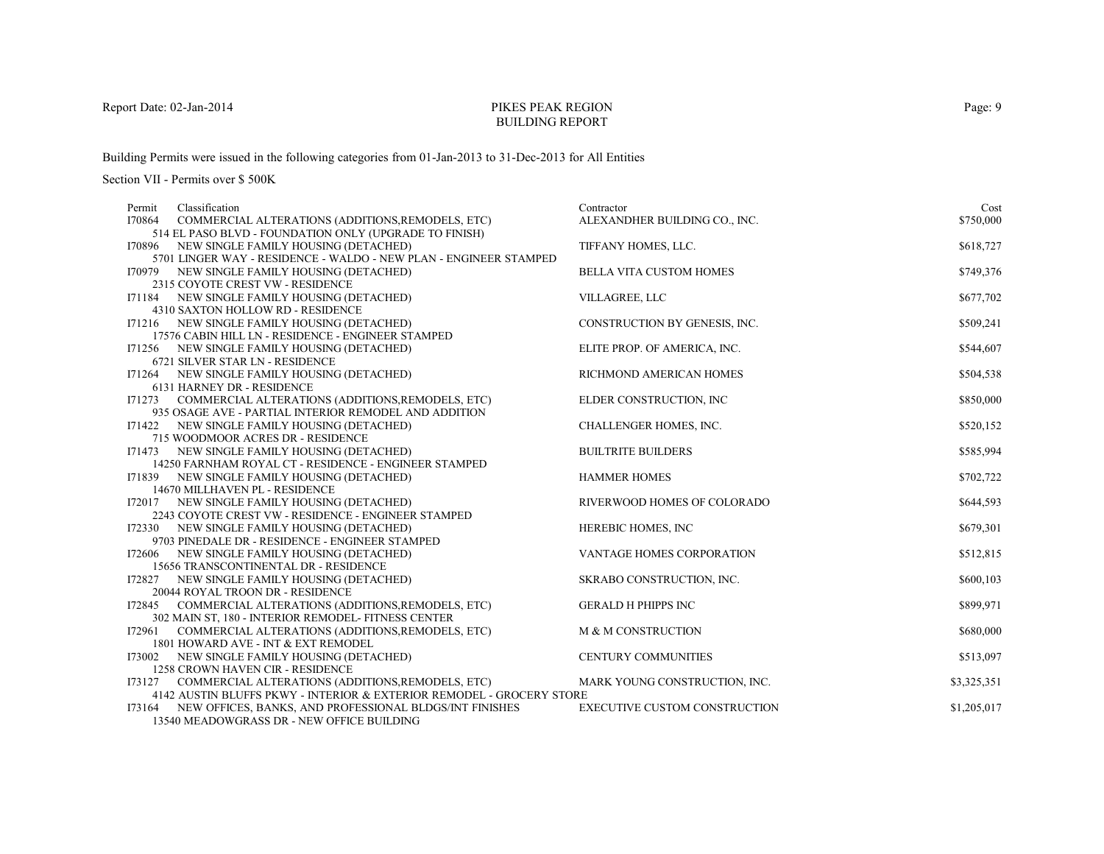# PIKES PEAK REGIONBUILDING REPORT

Building Permits were issued in the following categories from 01-Jan-2013 to 31-Dec-2013 for All Entities

| Classification<br>Permit                                                                           | Contractor                           | Cost        |
|----------------------------------------------------------------------------------------------------|--------------------------------------|-------------|
| I70864<br>COMMERCIAL ALTERATIONS (ADDITIONS, REMODELS, ETC)                                        | ALEXANDHER BUILDING CO., INC.        | \$750,000   |
| 514 EL PASO BLVD - FOUNDATION ONLY (UPGRADE TO FINISH)                                             |                                      |             |
| 170896 NEW SINGLE FAMILY HOUSING (DETACHED)                                                        | TIFFANY HOMES, LLC.                  | \$618,727   |
| 5701 LINGER WAY - RESIDENCE - WALDO - NEW PLAN - ENGINEER STAMPED                                  |                                      |             |
| 170979 NEW SINGLE FAMILY HOUSING (DETACHED)                                                        | <b>BELLA VITA CUSTOM HOMES</b>       | \$749,376   |
| 2315 COYOTE CREST VW - RESIDENCE                                                                   |                                      |             |
| I71184 NEW SINGLE FAMILY HOUSING (DETACHED)                                                        | VILLAGREE, LLC                       | \$677,702   |
| 4310 SAXTON HOLLOW RD - RESIDENCE                                                                  |                                      |             |
| I71216 NEW SINGLE FAMILY HOUSING (DETACHED)                                                        | CONSTRUCTION BY GENESIS, INC.        | \$509,241   |
| 17576 CABIN HILL LN - RESIDENCE - ENGINEER STAMPED                                                 |                                      |             |
| I71256 NEW SINGLE FAMILY HOUSING (DETACHED)                                                        | ELITE PROP. OF AMERICA, INC.         | \$544,607   |
| 6721 SILVER STAR LN - RESIDENCE                                                                    |                                      |             |
| I71264 NEW SINGLE FAMILY HOUSING (DETACHED)                                                        | RICHMOND AMERICAN HOMES              | \$504,538   |
| 6131 HARNEY DR - RESIDENCE                                                                         |                                      |             |
| I71273 COMMERCIAL ALTERATIONS (ADDITIONS, REMODELS, ETC)                                           | ELDER CONSTRUCTION, INC              | \$850,000   |
| 935 OSAGE AVE - PARTIAL INTERIOR REMODEL AND ADDITION                                              |                                      |             |
| I71422 NEW SINGLE FAMILY HOUSING (DETACHED)                                                        | CHALLENGER HOMES, INC.               | \$520,152   |
| 715 WOODMOOR ACRES DR - RESIDENCE                                                                  |                                      |             |
| 171473 NEW SINGLE FAMILY HOUSING (DETACHED)                                                        | <b>BUILTRITE BUILDERS</b>            | \$585,994   |
| 14250 FARNHAM ROYAL CT - RESIDENCE - ENGINEER STAMPED                                              |                                      |             |
| 171839 NEW SINGLE FAMILY HOUSING (DETACHED)                                                        | <b>HAMMER HOMES</b>                  | \$702,722   |
| 14670 MILLHAVEN PL - RESIDENCE                                                                     | RIVERWOOD HOMES OF COLORADO          | \$644,593   |
| 172017 NEW SINGLE FAMILY HOUSING (DETACHED)<br>2243 COYOTE CREST VW - RESIDENCE - ENGINEER STAMPED |                                      |             |
| 172330 NEW SINGLE FAMILY HOUSING (DETACHED)                                                        | HEREBIC HOMES, INC                   | \$679,301   |
| 9703 PINEDALE DR - RESIDENCE - ENGINEER STAMPED                                                    |                                      |             |
| 172606 NEW SINGLE FAMILY HOUSING (DETACHED)                                                        | VANTAGE HOMES CORPORATION            | \$512,815   |
| 15656 TRANSCONTINENTAL DR - RESIDENCE                                                              |                                      |             |
| 172827 NEW SINGLE FAMILY HOUSING (DETACHED)                                                        | SKRABO CONSTRUCTION, INC.            | \$600,103   |
| 20044 ROYAL TROON DR - RESIDENCE                                                                   |                                      |             |
| I72845 COMMERCIAL ALTERATIONS (ADDITIONS, REMODELS, ETC)                                           | <b>GERALD H PHIPPS INC</b>           | \$899,971   |
| 302 MAIN ST, 180 - INTERIOR REMODEL- FITNESS CENTER                                                |                                      |             |
| COMMERCIAL ALTERATIONS (ADDITIONS, REMODELS, ETC)<br>172961                                        | M & M CONSTRUCTION                   | \$680,000   |
| 1801 HOWARD AVE - INT & EXT REMODEL                                                                |                                      |             |
| 173002 NEW SINGLE FAMILY HOUSING (DETACHED)                                                        | <b>CENTURY COMMUNITIES</b>           | \$513,097   |
| 1258 CROWN HAVEN CIR - RESIDENCE                                                                   |                                      |             |
| I73127 COMMERCIAL ALTERATIONS (ADDITIONS, REMODELS, ETC)                                           | MARK YOUNG CONSTRUCTION, INC.        | \$3,325,351 |
| 4142 AUSTIN BLUFFS PKWY - INTERIOR & EXTERIOR REMODEL - GROCERY STORE                              |                                      |             |
| 173164 NEW OFFICES, BANKS, AND PROFESSIONAL BLDGS/INT FINISHES                                     | <b>EXECUTIVE CUSTOM CONSTRUCTION</b> | \$1,205,017 |
| 13540 MEADOWGRASS DR - NEW OFFICE BUILDING                                                         |                                      |             |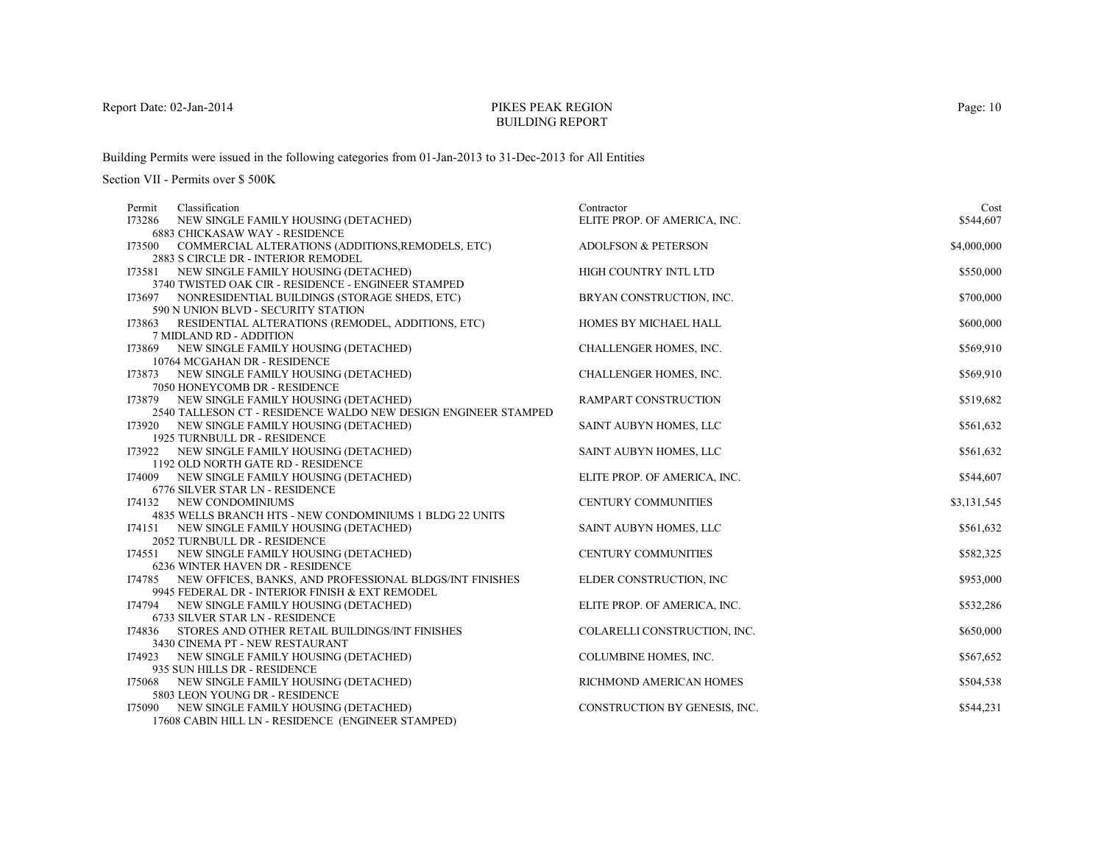# PIKES PEAK REGIONBUILDING REPORT

Building Permits were issued in the following categories from 01-Jan-2013 to 31-Dec-2013 for All Entities

| Classification<br>Permit                                                                           | Contractor                     | Cost        |
|----------------------------------------------------------------------------------------------------|--------------------------------|-------------|
| 173286 NEW SINGLE FAMILY HOUSING (DETACHED)                                                        | ELITE PROP. OF AMERICA, INC.   | \$544,607   |
| <b>6883 CHICKASAW WAY - RESIDENCE</b>                                                              |                                |             |
| I73500 COMMERCIAL ALTERATIONS (ADDITIONS, REMODELS, ETC)<br>2883 S CIRCLE DR - INTERIOR REMODEL    | <b>ADOLFSON &amp; PETERSON</b> | \$4,000,000 |
| 173581 NEW SINGLE FAMILY HOUSING (DETACHED)                                                        | HIGH COUNTRY INTL LTD          | \$550,000   |
| 3740 TWISTED OAK CIR - RESIDENCE - ENGINEER STAMPED                                                |                                |             |
| 173697 NONRESIDENTIAL BUILDINGS (STORAGE SHEDS, ETC)                                               | BRYAN CONSTRUCTION, INC.       | \$700,000   |
| 590 N UNION BLVD - SECURITY STATION                                                                |                                |             |
| RESIDENTIAL ALTERATIONS (REMODEL, ADDITIONS, ETC)<br>173863                                        | HOMES BY MICHAEL HALL          | \$600,000   |
| 7 MIDLAND RD - ADDITION                                                                            |                                |             |
| 173869 NEW SINGLE FAMILY HOUSING (DETACHED)                                                        | CHALLENGER HOMES, INC.         | \$569,910   |
| 10764 MCGAHAN DR - RESIDENCE                                                                       |                                |             |
| 173873 NEW SINGLE FAMILY HOUSING (DETACHED)                                                        | <b>CHALLENGER HOMES, INC.</b>  | \$569,910   |
| 7050 HONEYCOMB DR - RESIDENCE<br>173879 NEW SINGLE FAMILY HOUSING (DETACHED)                       | RAMPART CONSTRUCTION           | \$519,682   |
| 2540 TALLESON CT - RESIDENCE WALDO NEW DESIGN ENGINEER STAMPED                                     |                                |             |
| 173920 NEW SINGLE FAMILY HOUSING (DETACHED)                                                        | SAINT AUBYN HOMES, LLC         | \$561,632   |
| 1925 TURNBULL DR - RESIDENCE                                                                       |                                |             |
| 173922 NEW SINGLE FAMILY HOUSING (DETACHED)                                                        | SAINT AUBYN HOMES, LLC         | \$561,632   |
| 1192 OLD NORTH GATE RD - RESIDENCE                                                                 |                                |             |
| NEW SINGLE FAMILY HOUSING (DETACHED)<br>174009                                                     | ELITE PROP. OF AMERICA, INC.   | \$544,607   |
| 6776 SILVER STAR LN - RESIDENCE                                                                    |                                |             |
| 174132 NEW CONDOMINIUMS                                                                            | CENTURY COMMUNITIES            | \$3,131,545 |
| 4835 WELLS BRANCH HTS - NEW CONDOMINIUMS 1 BLDG 22 UNITS                                           |                                |             |
| 174151 NEW SINGLE FAMILY HOUSING (DETACHED)                                                        | SAINT AUBYN HOMES, LLC         | \$561,632   |
| 2052 TURNBULL DR - RESIDENCE                                                                       |                                |             |
| 174551 NEW SINGLE FAMILY HOUSING (DETACHED)                                                        | <b>CENTURY COMMUNITIES</b>     | \$582,325   |
| 6236 WINTER HAVEN DR - RESIDENCE<br>174785 NEW OFFICES, BANKS, AND PROFESSIONAL BLDGS/INT FINISHES | ELDER CONSTRUCTION, INC        | \$953,000   |
| 9945 FEDERAL DR - INTERIOR FINISH & EXT REMODEL                                                    |                                |             |
| 174794 NEW SINGLE FAMILY HOUSING (DETACHED)                                                        | ELITE PROP. OF AMERICA, INC.   | \$532,286   |
| 6733 SILVER STAR LN - RESIDENCE                                                                    |                                |             |
| STORES AND OTHER RETAIL BUILDINGS/INT FINISHES<br>174836                                           | COLARELLI CONSTRUCTION, INC.   | \$650,000   |
| 3430 CINEMA PT - NEW RESTAURANT                                                                    |                                |             |
| 174923 NEW SINGLE FAMILY HOUSING (DETACHED)                                                        | COLUMBINE HOMES, INC.          | \$567,652   |
| 935 SUN HILLS DR - RESIDENCE                                                                       |                                |             |
| NEW SINGLE FAMILY HOUSING (DETACHED)<br>I75068                                                     | RICHMOND AMERICAN HOMES        | \$504,538   |
| 5803 LEON YOUNG DR - RESIDENCE                                                                     |                                |             |
| 175090 NEW SINGLE FAMILY HOUSING (DETACHED)                                                        | CONSTRUCTION BY GENESIS, INC.  | \$544,231   |
| 17608 CABIN HILL LN - RESIDENCE (ENGINEER STAMPED)                                                 |                                |             |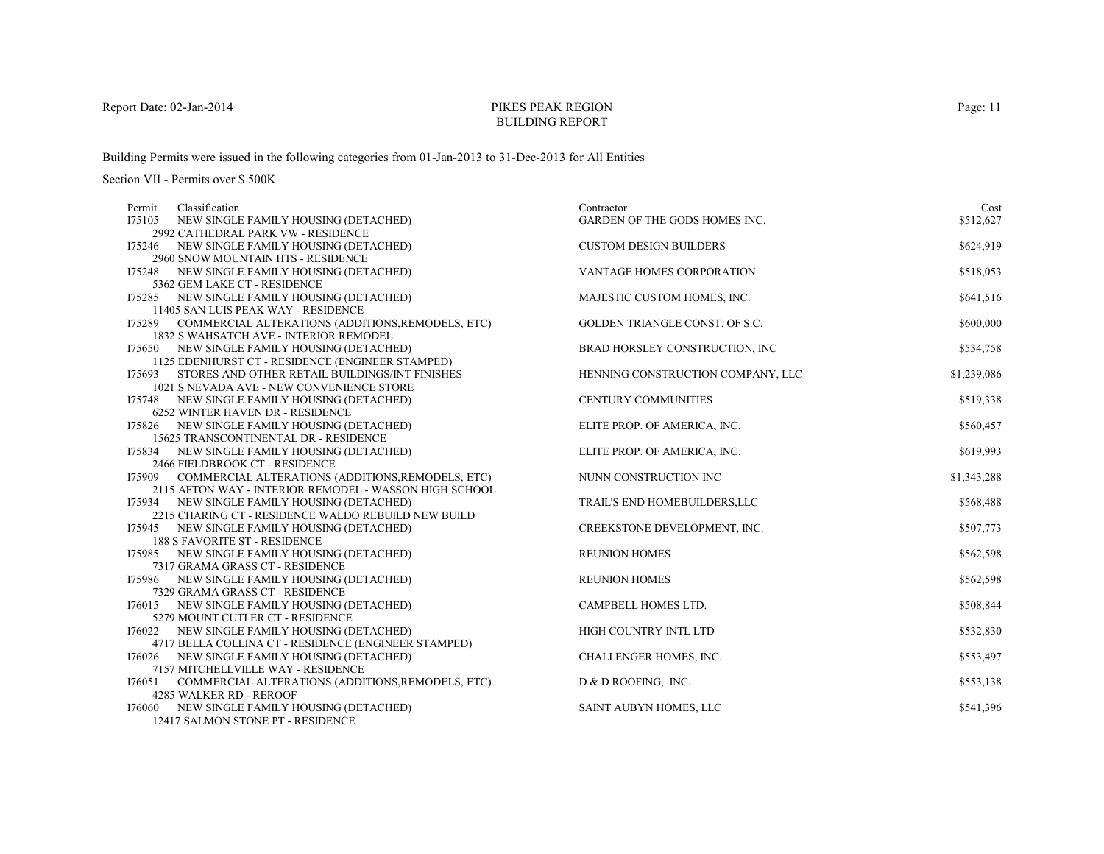# PIKES PEAK REGIONBUILDING REPORT

Building Permits were issued in the following categories from 01-Jan-2013 to 31-Dec-2013 for All Entities

Section VII - Permits over \$ 500K

| Permit | Classification                                                                    | Contractor                           | Cost        |
|--------|-----------------------------------------------------------------------------------|--------------------------------------|-------------|
| I75105 | NEW SINGLE FAMILY HOUSING (DETACHED)                                              | <b>GARDEN OF THE GODS HOMES INC.</b> | \$512,627   |
|        | 2992 CATHEDRAL PARK VW - RESIDENCE                                                |                                      |             |
|        | 175246 NEW SINGLE FAMILY HOUSING (DETACHED)                                       | <b>CUSTOM DESIGN BUILDERS</b>        | \$624,919   |
|        | 2960 SNOW MOUNTAIN HTS - RESIDENCE                                                |                                      |             |
|        | 175248 NEW SINGLE FAMILY HOUSING (DETACHED)                                       | VANTAGE HOMES CORPORATION            | \$518,053   |
|        | 5362 GEM LAKE CT - RESIDENCE                                                      |                                      |             |
|        | 175285 NEW SINGLE FAMILY HOUSING (DETACHED)                                       | MAJESTIC CUSTOM HOMES, INC.          | \$641,516   |
|        | 11405 SAN LUIS PEAK WAY - RESIDENCE                                               |                                      |             |
|        | I75289 COMMERCIAL ALTERATIONS (ADDITIONS, REMODELS, ETC)                          | GOLDEN TRIANGLE CONST. OF S.C.       | \$600,000   |
|        | <b>1832 S WAHSATCH AVE - INTERIOR REMODEL</b>                                     |                                      |             |
|        | 175650 NEW SINGLE FAMILY HOUSING (DETACHED)                                       | BRAD HORSLEY CONSTRUCTION, INC.      | \$534,758   |
|        | 1125 EDENHURST CT - RESIDENCE (ENGINEER STAMPED)                                  |                                      |             |
|        | I75693 STORES AND OTHER RETAIL BUILDINGS/INT FINISHES                             | HENNING CONSTRUCTION COMPANY, LLC    | \$1,239,086 |
|        | 1021 S NEVADA AVE - NEW CONVENIENCE STORE                                         |                                      |             |
|        | 175748 NEW SINGLE FAMILY HOUSING (DETACHED)                                       | CENTURY COMMUNITIES                  | \$519,338   |
|        | 6252 WINTER HAVEN DR - RESIDENCE                                                  |                                      |             |
|        | 175826 NEW SINGLE FAMILY HOUSING (DETACHED)                                       | ELITE PROP. OF AMERICA, INC.         | \$560,457   |
|        | 15625 TRANSCONTINENTAL DR - RESIDENCE                                             |                                      |             |
|        | 175834 NEW SINGLE FAMILY HOUSING (DETACHED)                                       | ELITE PROP. OF AMERICA, INC.         | \$619,993   |
|        | 2466 FIELDBROOK CT - RESIDENCE                                                    |                                      |             |
|        | 175909 COMMERCIAL ALTERATIONS (ADDITIONS, REMODELS, ETC)                          | NUNN CONSTRUCTION INC                | \$1,343,288 |
|        | 2115 AFTON WAY - INTERIOR REMODEL - WASSON HIGH SCHOOL                            |                                      |             |
|        | 175934 NEW SINGLE FAMILY HOUSING (DETACHED)                                       | TRAIL'S END HOMEBUILDERS, LLC        | \$568,488   |
|        | 2215 CHARING CT - RESIDENCE WALDO REBUILD NEW BUILD                               |                                      |             |
| 175945 | NEW SINGLE FAMILY HOUSING (DETACHED)                                              | CREEKSTONE DEVELOPMENT, INC.         | \$507,773   |
|        | <b>188 S FAVORITE ST - RESIDENCE</b>                                              |                                      |             |
|        | 175985 NEW SINGLE FAMILY HOUSING (DETACHED)                                       | <b>REUNION HOMES</b>                 | \$562,598   |
|        | 7317 GRAMA GRASS CT - RESIDENCE                                                   |                                      |             |
|        | 175986 NEW SINGLE FAMILY HOUSING (DETACHED)                                       | <b>REUNION HOMES</b>                 | \$562,598   |
|        | 7329 GRAMA GRASS CT - RESIDENCE                                                   |                                      |             |
|        | 176015 NEW SINGLE FAMILY HOUSING (DETACHED)                                       | CAMPBELL HOMES LTD.                  | \$508,844   |
|        | 5279 MOUNT CUTLER CT - RESIDENCE                                                  |                                      |             |
|        | 176022 NEW SINGLE FAMILY HOUSING (DETACHED)                                       | HIGH COUNTRY INTL LTD                | \$532,830   |
|        | 4717 BELLA COLLINA CT - RESIDENCE (ENGINEER STAMPED)                              |                                      |             |
|        | 176026 NEW SINGLE FAMILY HOUSING (DETACHED)                                       | CHALLENGER HOMES, INC.               | \$553,497   |
|        | 7157 MITCHELLVILLE WAY - RESIDENCE                                                |                                      |             |
| I76051 | COMMERCIAL ALTERATIONS (ADDITIONS, REMODELS, ETC)                                 | D & D ROOFING, INC.                  | \$553,138   |
|        | 4285 WALKER RD - REROOF                                                           |                                      |             |
|        | 176060 NEW SINGLE FAMILY HOUSING (DETACHED)<br>$12417$ CALMON CTOME BT. BECIDEMON | SAINT AUBYN HOMES, LLC               | \$541,396   |

12417 SALMON STONE PT - RESIDENCE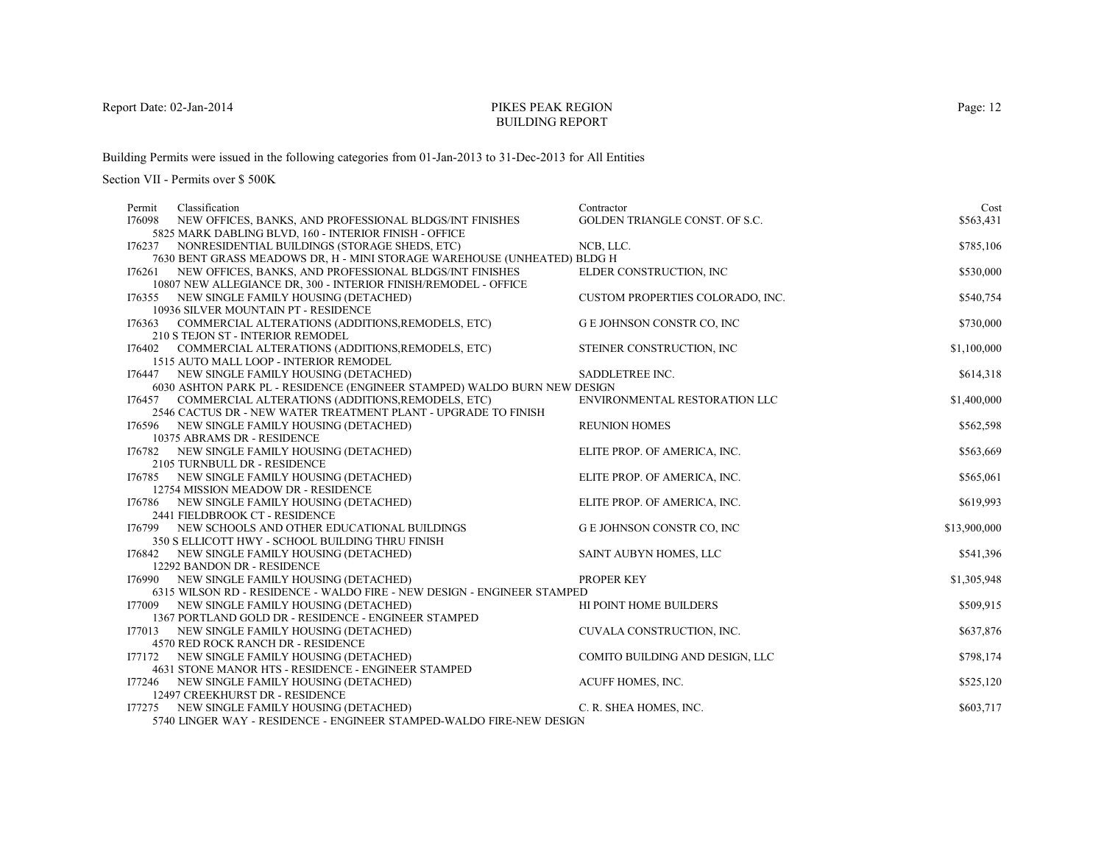# PIKES PEAK REGIONBUILDING REPORT

Building Permits were issued in the following categories from 01-Jan-2013 to 31-Dec-2013 for All Entities

| Classification<br>Permit                                                       | Contractor                       | Cost         |
|--------------------------------------------------------------------------------|----------------------------------|--------------|
| I76098<br>NEW OFFICES, BANKS, AND PROFESSIONAL BLDGS/INT FINISHES              | GOLDEN TRIANGLE CONST. OF S.C.   | \$563,431    |
| 5825 MARK DABLING BLVD, 160 - INTERIOR FINISH - OFFICE                         |                                  |              |
| 176237 NONRESIDENTIAL BUILDINGS (STORAGE SHEDS, ETC)                           | NCB, LLC.                        | \$785,106    |
| 7630 BENT GRASS MEADOWS DR, H - MINI STORAGE WAREHOUSE (UNHEATED) BLDG H       |                                  |              |
| 176261 NEW OFFICES, BANKS, AND PROFESSIONAL BLDGS/INT FINISHES                 | ELDER CONSTRUCTION, INC          | \$530,000    |
| 10807 NEW ALLEGIANCE DR, 300 - INTERIOR FINISH/REMODEL - OFFICE                |                                  |              |
| 176355 NEW SINGLE FAMILY HOUSING (DETACHED)                                    | CUSTOM PROPERTIES COLORADO, INC. | \$540,754    |
| 10936 SILVER MOUNTAIN PT - RESIDENCE                                           |                                  |              |
| COMMERCIAL ALTERATIONS (ADDITIONS, REMODELS, ETC)<br>176363                    | G E JOHNSON CONSTR CO, INC       | \$730,000    |
| 210 S TEJON ST - INTERIOR REMODEL                                              |                                  |              |
| COMMERCIAL ALTERATIONS (ADDITIONS, REMODELS, ETC)<br>I76402                    | STEINER CONSTRUCTION, INC.       | \$1,100,000  |
| 1515 AUTO MALL LOOP - INTERIOR REMODEL                                         |                                  |              |
| 176447 NEW SINGLE FAMILY HOUSING (DETACHED)                                    | SADDLETREE INC.                  | \$614,318    |
| 6030 ASHTON PARK PL - RESIDENCE (ENGINEER STAMPED) WALDO BURN NEW DESIGN       |                                  |              |
| COMMERCIAL ALTERATIONS (ADDITIONS, REMODELS, ETC)<br>176457                    | ENVIRONMENTAL RESTORATION LLC    | \$1,400,000  |
| 2546 CACTUS DR - NEW WATER TREATMENT PLANT - UPGRADE TO FINISH                 |                                  |              |
| 176596 NEW SINGLE FAMILY HOUSING (DETACHED)                                    | <b>REUNION HOMES</b>             | \$562,598    |
| 10375 ABRAMS DR - RESIDENCE                                                    |                                  |              |
| NEW SINGLE FAMILY HOUSING (DETACHED)<br>I76782<br>2105 TURNBULL DR - RESIDENCE | ELITE PROP. OF AMERICA, INC.     | \$563,669    |
| 176785 NEW SINGLE FAMILY HOUSING (DETACHED)                                    | ELITE PROP. OF AMERICA, INC.     | \$565,061    |
| 12754 MISSION MEADOW DR - RESIDENCE                                            |                                  |              |
| NEW SINGLE FAMILY HOUSING (DETACHED)<br>176786                                 | ELITE PROP. OF AMERICA, INC.     | \$619,993    |
| 2441 FIELDBROOK CT - RESIDENCE                                                 |                                  |              |
| 176799 NEW SCHOOLS AND OTHER EDUCATIONAL BUILDINGS                             | <b>GE JOHNSON CONSTR CO, INC</b> | \$13,900,000 |
| 350 S ELLICOTT HWY - SCHOOL BUILDING THRU FINISH                               |                                  |              |
| 176842 NEW SINGLE FAMILY HOUSING (DETACHED)                                    | SAINT AUBYN HOMES, LLC           | \$541,396    |
| 12292 BANDON DR - RESIDENCE                                                    |                                  |              |
| 176990 NEW SINGLE FAMILY HOUSING (DETACHED)                                    | PROPER KEY                       | \$1,305,948  |
| 6315 WILSON RD - RESIDENCE - WALDO FIRE - NEW DESIGN - ENGINEER STAMPED        |                                  |              |
| I77009<br>NEW SINGLE FAMILY HOUSING (DETACHED)                                 | HI POINT HOME BUILDERS           | \$509,915    |
| 1367 PORTLAND GOLD DR - RESIDENCE - ENGINEER STAMPED                           |                                  |              |
| NEW SINGLE FAMILY HOUSING (DETACHED)<br>177013                                 | CUVALA CONSTRUCTION, INC.        | \$637,876    |
| 4570 RED ROCK RANCH DR - RESIDENCE                                             |                                  |              |
| I77172<br>NEW SINGLE FAMILY HOUSING (DETACHED)                                 | COMITO BUILDING AND DESIGN, LLC  | \$798,174    |
| 4631 STONE MANOR HTS - RESIDENCE - ENGINEER STAMPED                            |                                  |              |
| 177246 NEW SINGLE FAMILY HOUSING (DETACHED)                                    | ACUFF HOMES, INC.                | \$525,120    |
| 12497 CREEKHURST DR - RESIDENCE                                                |                                  |              |
| 177275 NEW SINGLE FAMILY HOUSING (DETACHED)                                    | C. R. SHEA HOMES, INC.           | \$603,717    |
| 5740 LINGER WAY - RESIDENCE - ENGINEER STAMPED-WALDO FIRE-NEW DESIGN           |                                  |              |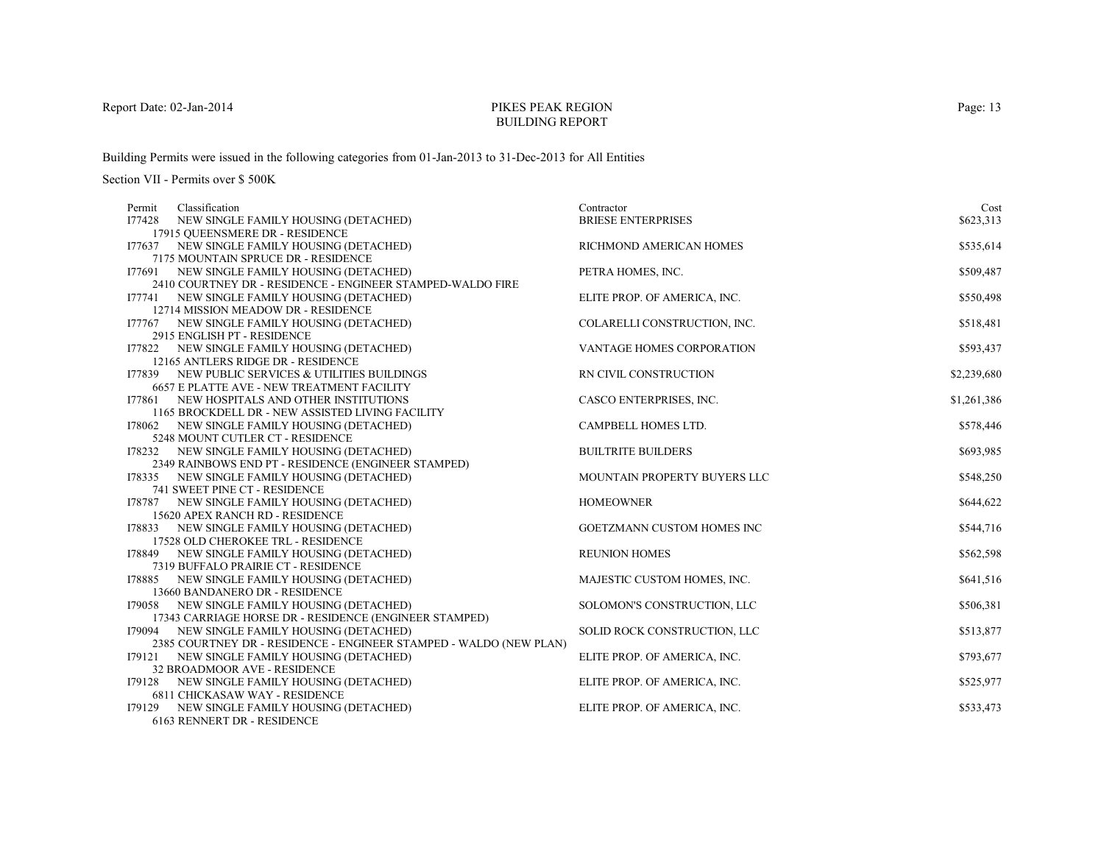# PIKES PEAK REGIONBUILDING REPORT

Building Permits were issued in the following categories from 01-Jan-2013 to 31-Dec-2013 for All Entities

Section VII - Permits over \$ 500K

| Classification<br>Permit                                                       | Contractor                        | Cost        |
|--------------------------------------------------------------------------------|-----------------------------------|-------------|
| I77428<br>NEW SINGLE FAMILY HOUSING (DETACHED)                                 | <b>BRIESE ENTERPRISES</b>         | \$623,313   |
| 17915 QUEENSMERE DR - RESIDENCE                                                |                                   |             |
| 177637 NEW SINGLE FAMILY HOUSING (DETACHED)                                    | RICHMOND AMERICAN HOMES           | \$535,614   |
| 7175 MOUNTAIN SPRUCE DR - RESIDENCE                                            |                                   |             |
| 177691 NEW SINGLE FAMILY HOUSING (DETACHED)                                    | PETRA HOMES, INC.                 | \$509,487   |
| 2410 COURTNEY DR - RESIDENCE - ENGINEER STAMPED-WALDO FIRE                     |                                   |             |
| 177741 NEW SINGLE FAMILY HOUSING (DETACHED)                                    | ELITE PROP. OF AMERICA, INC.      | \$550,498   |
| 12714 MISSION MEADOW DR - RESIDENCE                                            |                                   |             |
| 177767 NEW SINGLE FAMILY HOUSING (DETACHED)                                    | COLARELLI CONSTRUCTION, INC.      | \$518,481   |
| 2915 ENGLISH PT - RESIDENCE                                                    |                                   |             |
| 177822 NEW SINGLE FAMILY HOUSING (DETACHED)                                    | VANTAGE HOMES CORPORATION         | \$593,437   |
| 12165 ANTLERS RIDGE DR - RESIDENCE                                             |                                   |             |
| 177839 NEW PUBLIC SERVICES & UTILITIES BUILDINGS                               | RN CIVIL CONSTRUCTION             | \$2,239,680 |
| <b>6657 E PLATTE AVE - NEW TREATMENT FACILITY</b>                              |                                   |             |
| 177861 NEW HOSPITALS AND OTHER INSTITUTIONS                                    | CASCO ENTERPRISES, INC.           | \$1,261,386 |
| 1165 BROCKDELL DR - NEW ASSISTED LIVING FACILITY                               |                                   |             |
| 178062 NEW SINGLE FAMILY HOUSING (DETACHED)                                    | CAMPBELL HOMES LTD.               | \$578,446   |
| 5248 MOUNT CUTLER CT - RESIDENCE                                               |                                   |             |
| 178232 NEW SINGLE FAMILY HOUSING (DETACHED)                                    | <b>BUILTRITE BUILDERS</b>         | \$693,985   |
| 2349 RAINBOWS END PT - RESIDENCE (ENGINEER STAMPED)                            |                                   |             |
| NEW SINGLE FAMILY HOUSING (DETACHED)<br>I78335                                 | MOUNTAIN PROPERTY BUYERS LLC      | \$548,250   |
| 741 SWEET PINE CT - RESIDENCE                                                  | <b>HOMEOWNER</b>                  |             |
| 178787 NEW SINGLE FAMILY HOUSING (DETACHED)<br>15620 APEX RANCH RD - RESIDENCE |                                   | \$644,622   |
| 178833 NEW SINGLE FAMILY HOUSING (DETACHED)                                    | <b>GOETZMANN CUSTOM HOMES INC</b> | \$544,716   |
| 17528 OLD CHEROKEE TRL - RESIDENCE                                             |                                   |             |
| 178849 NEW SINGLE FAMILY HOUSING (DETACHED)                                    | <b>REUNION HOMES</b>              | \$562,598   |
| 7319 BUFFALO PRAIRIE CT - RESIDENCE                                            |                                   |             |
| 178885 NEW SINGLE FAMILY HOUSING (DETACHED)                                    | MAJESTIC CUSTOM HOMES, INC.       | \$641,516   |
| 13660 BANDANERO DR - RESIDENCE                                                 |                                   |             |
| 179058 NEW SINGLE FAMILY HOUSING (DETACHED)                                    | SOLOMON'S CONSTRUCTION, LLC       | \$506,381   |
| 17343 CARRIAGE HORSE DR - RESIDENCE (ENGINEER STAMPED)                         |                                   |             |
| NEW SINGLE FAMILY HOUSING (DETACHED)<br>179094                                 | SOLID ROCK CONSTRUCTION, LLC      | \$513,877   |
| 2385 COURTNEY DR - RESIDENCE - ENGINEER STAMPED - WALDO (NEW PLAN)             |                                   |             |
| NEW SINGLE FAMILY HOUSING (DETACHED)<br>179121                                 | ELITE PROP. OF AMERICA, INC.      | \$793,677   |
| 32 BROADMOOR AVE - RESIDENCE                                                   |                                   |             |
| NEW SINGLE FAMILY HOUSING (DETACHED)<br>I79128                                 | ELITE PROP. OF AMERICA, INC.      | \$525,977   |
| 6811 CHICKASAW WAY - RESIDENCE                                                 |                                   |             |
| NEW SINGLE FAMILY HOUSING (DETACHED)<br>I79129                                 | ELITE PROP. OF AMERICA, INC.      | \$533,473   |
| 6163 RENNERT DR - RESIDENCE                                                    |                                   |             |

Page: 13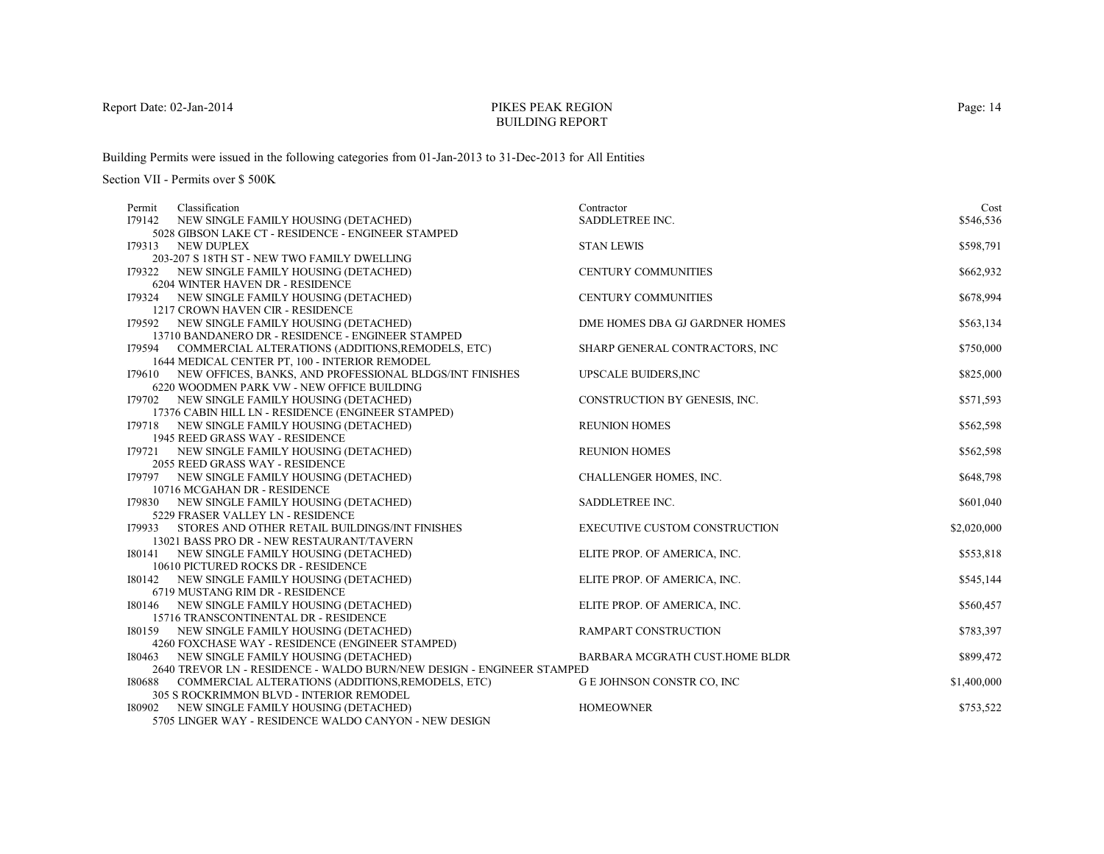# PIKES PEAK REGIONBUILDING REPORT

Building Permits were issued in the following categories from 01-Jan-2013 to 31-Dec-2013 for All Entities

Section VII - Permits over \$ 500K

| Classification<br>Permit                                                                          | Contractor                           | Cost        |
|---------------------------------------------------------------------------------------------------|--------------------------------------|-------------|
| I79142<br>NEW SINGLE FAMILY HOUSING (DETACHED)                                                    | SADDLETREE INC.                      | \$546,536   |
| 5028 GIBSON LAKE CT - RESIDENCE - ENGINEER STAMPED                                                |                                      |             |
| I79313<br>NEW DUPLEX                                                                              | <b>STAN LEWIS</b>                    | \$598,791   |
| 203-207 S 18TH ST - NEW TWO FAMILY DWELLING                                                       |                                      |             |
| 179322 NEW SINGLE FAMILY HOUSING (DETACHED)                                                       | <b>CENTURY COMMUNITIES</b>           | \$662,932   |
| 6204 WINTER HAVEN DR - RESIDENCE                                                                  |                                      |             |
| I79324<br>NEW SINGLE FAMILY HOUSING (DETACHED)                                                    | <b>CENTURY COMMUNITIES</b>           | \$678,994   |
| 1217 CROWN HAVEN CIR - RESIDENCE                                                                  |                                      |             |
| 179592 NEW SINGLE FAMILY HOUSING (DETACHED)                                                       | DME HOMES DBA GJ GARDNER HOMES       | \$563,134   |
| 13710 BANDANERO DR - RESIDENCE - ENGINEER STAMPED                                                 |                                      |             |
| 179594 COMMERCIAL ALTERATIONS (ADDITIONS, REMODELS, ETC)                                          | SHARP GENERAL CONTRACTORS, INC       | \$750,000   |
| 1644 MEDICAL CENTER PT, 100 - INTERIOR REMODEL                                                    |                                      |             |
| 179610 NEW OFFICES, BANKS, AND PROFESSIONAL BLDGS/INT FINISHES                                    | <b>UPSCALE BUIDERS, INC</b>          | \$825,000   |
| 6220 WOODMEN PARK VW - NEW OFFICE BUILDING                                                        | CONSTRUCTION BY GENESIS, INC.        |             |
| 179702 NEW SINGLE FAMILY HOUSING (DETACHED)                                                       |                                      | \$571,593   |
| 17376 CABIN HILL LN - RESIDENCE (ENGINEER STAMPED)<br>179718 NEW SINGLE FAMILY HOUSING (DETACHED) | <b>REUNION HOMES</b>                 | \$562,598   |
| 1945 REED GRASS WAY - RESIDENCE                                                                   |                                      |             |
| 179721 NEW SINGLE FAMILY HOUSING (DETACHED)                                                       | <b>REUNION HOMES</b>                 | \$562,598   |
| 2055 REED GRASS WAY - RESIDENCE                                                                   |                                      |             |
| NEW SINGLE FAMILY HOUSING (DETACHED)<br>179797                                                    | CHALLENGER HOMES, INC.               | \$648,798   |
| 10716 MCGAHAN DR - RESIDENCE                                                                      |                                      |             |
| NEW SINGLE FAMILY HOUSING (DETACHED)<br>179830                                                    | SADDLETREE INC.                      | \$601,040   |
| 5229 FRASER VALLEY LN - RESIDENCE                                                                 |                                      |             |
| STORES AND OTHER RETAIL BUILDINGS/INT FINISHES<br>179933                                          | <b>EXECUTIVE CUSTOM CONSTRUCTION</b> | \$2,020,000 |
| 13021 BASS PRO DR - NEW RESTAURANT/TAVERN                                                         |                                      |             |
| NEW SINGLE FAMILY HOUSING (DETACHED)<br>180141                                                    | ELITE PROP. OF AMERICA, INC.         | \$553,818   |
| 10610 PICTURED ROCKS DR - RESIDENCE                                                               |                                      |             |
| 180142 NEW SINGLE FAMILY HOUSING (DETACHED)                                                       | ELITE PROP. OF AMERICA, INC.         | \$545,144   |
| 6719 MUSTANG RIM DR - RESIDENCE                                                                   |                                      |             |
| 180146<br>NEW SINGLE FAMILY HOUSING (DETACHED)                                                    | ELITE PROP. OF AMERICA, INC.         | \$560,457   |
| 15716 TRANSCONTINENTAL DR - RESIDENCE                                                             |                                      |             |
| NEW SINGLE FAMILY HOUSING (DETACHED)<br>180159                                                    | RAMPART CONSTRUCTION                 | \$783,397   |
| 4260 FOXCHASE WAY - RESIDENCE (ENGINEER STAMPED)                                                  |                                      |             |
| NEW SINGLE FAMILY HOUSING (DETACHED)<br>180463                                                    | BARBARA MCGRATH CUST.HOME BLDR       | \$899,472   |
| 2640 TREVOR LN - RESIDENCE - WALDO BURN/NEW DESIGN - ENGINEER STAMPED                             |                                      |             |
| 180688<br>COMMERCIAL ALTERATIONS (ADDITIONS, REMODELS, ETC)                                       | G E JOHNSON CONSTR CO, INC           | \$1,400,000 |
| 305 S ROCKRIMMON BLVD - INTERIOR REMODEL                                                          |                                      |             |
| 180902 NEW SINGLE FAMILY HOUSING (DETACHED)                                                       | <b>HOMEOWNER</b>                     | \$753,522   |
| 5705 LINGER WAY - RESIDENCE WALDO CANYON - NEW DESIGN                                             |                                      |             |

Page: 14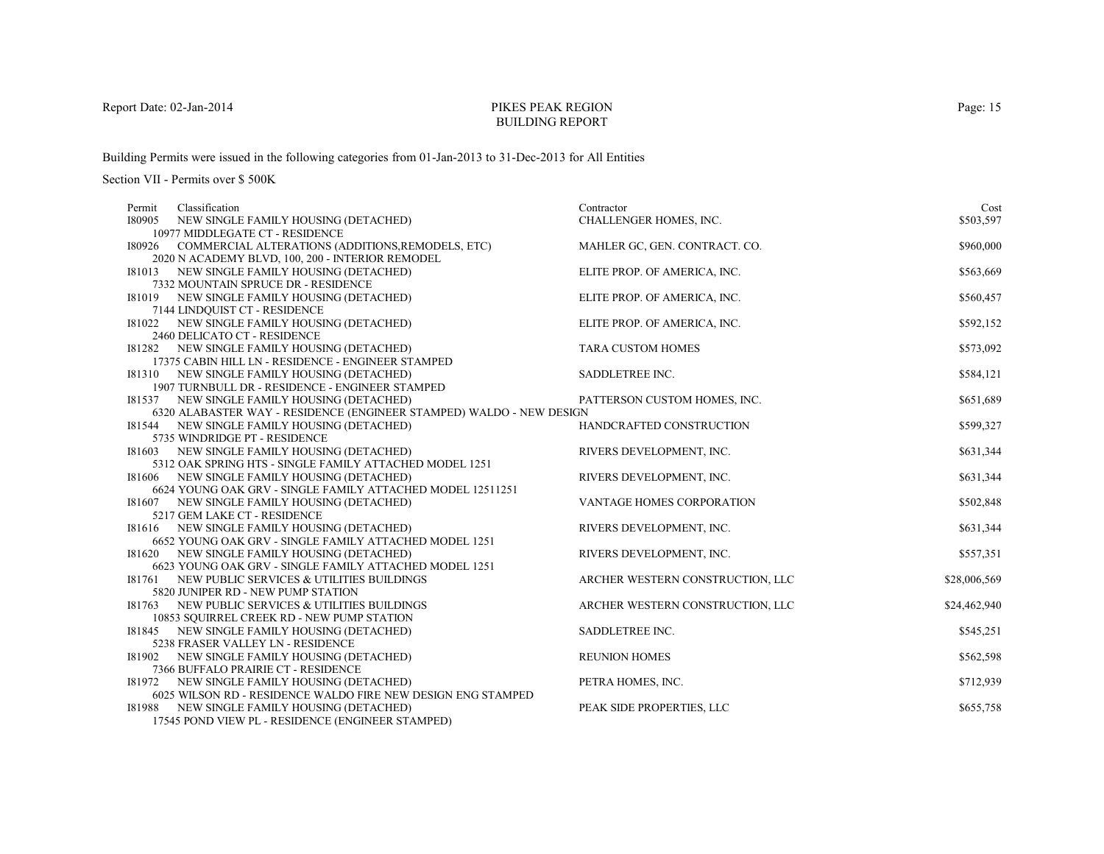# PIKES PEAK REGIONBUILDING REPORT

Building Permits were issued in the following categories from 01-Jan-2013 to 31-Dec-2013 for All Entities

| Classification<br>Permit                                                     | Contractor                       | Cost         |
|------------------------------------------------------------------------------|----------------------------------|--------------|
| 180905<br>NEW SINGLE FAMILY HOUSING (DETACHED)                               | CHALLENGER HOMES, INC.           | \$503,597    |
| 10977 MIDDLEGATE CT - RESIDENCE                                              |                                  |              |
| COMMERCIAL ALTERATIONS (ADDITIONS, REMODELS, ETC)<br>180926                  | MAHLER GC, GEN. CONTRACT. CO.    | \$960,000    |
| 2020 N ACADEMY BLVD, 100, 200 - INTERIOR REMODEL                             |                                  |              |
| I81013 NEW SINGLE FAMILY HOUSING (DETACHED)                                  | ELITE PROP. OF AMERICA, INC.     | \$563,669    |
| 7332 MOUNTAIN SPRUCE DR - RESIDENCE                                          |                                  |              |
| 181019<br>NEW SINGLE FAMILY HOUSING (DETACHED)                               | ELITE PROP. OF AMERICA, INC.     | \$560,457    |
| 7144 LINDOUIST CT - RESIDENCE                                                |                                  |              |
| I81022 NEW SINGLE FAMILY HOUSING (DETACHED)                                  | ELITE PROP. OF AMERICA, INC.     | \$592,152    |
| 2460 DELICATO CT - RESIDENCE                                                 |                                  |              |
| I81282 NEW SINGLE FAMILY HOUSING (DETACHED)                                  | <b>TARA CUSTOM HOMES</b>         | \$573,092    |
| 17375 CABIN HILL LN - RESIDENCE - ENGINEER STAMPED                           |                                  |              |
| I81310 NEW SINGLE FAMILY HOUSING (DETACHED)                                  | SADDLETREE INC.                  | \$584,121    |
| 1907 TURNBULL DR - RESIDENCE - ENGINEER STAMPED                              |                                  |              |
| 181537 NEW SINGLE FAMILY HOUSING (DETACHED)                                  | PATTERSON CUSTOM HOMES, INC.     | \$651,689    |
| 6320 ALABASTER WAY - RESIDENCE (ENGINEER STAMPED) WALDO - NEW DESIGN         |                                  |              |
| I81544 NEW SINGLE FAMILY HOUSING (DETACHED)                                  | HANDCRAFTED CONSTRUCTION         | \$599,327    |
| 5735 WINDRIDGE PT - RESIDENCE<br>I81603 NEW SINGLE FAMILY HOUSING (DETACHED) | RIVERS DEVELOPMENT, INC.         | \$631,344    |
| 5312 OAK SPRING HTS - SINGLE FAMILY ATTACHED MODEL 1251                      |                                  |              |
| NEW SINGLE FAMILY HOUSING (DETACHED)<br>181606                               | RIVERS DEVELOPMENT, INC.         | \$631,344    |
| 6624 YOUNG OAK GRV - SINGLE FAMILY ATTACHED MODEL 12511251                   |                                  |              |
| I81607 NEW SINGLE FAMILY HOUSING (DETACHED)                                  | VANTAGE HOMES CORPORATION        | \$502,848    |
| 5217 GEM LAKE CT - RESIDENCE                                                 |                                  |              |
| I81616 NEW SINGLE FAMILY HOUSING (DETACHED)                                  | RIVERS DEVELOPMENT, INC.         | \$631,344    |
| 6652 YOUNG OAK GRV - SINGLE FAMILY ATTACHED MODEL 1251                       |                                  |              |
| NEW SINGLE FAMILY HOUSING (DETACHED)<br>181620                               | RIVERS DEVELOPMENT, INC.         | \$557,351    |
| 6623 YOUNG OAK GRV - SINGLE FAMILY ATTACHED MODEL 1251                       |                                  |              |
| 181761 NEW PUBLIC SERVICES & UTILITIES BUILDINGS                             | ARCHER WESTERN CONSTRUCTION, LLC | \$28,006,569 |
| 5820 JUNIPER RD - NEW PUMP STATION                                           |                                  |              |
| 181763<br>NEW PUBLIC SERVICES & UTILITIES BUILDINGS                          | ARCHER WESTERN CONSTRUCTION, LLC | \$24,462,940 |
| 10853 SQUIRREL CREEK RD - NEW PUMP STATION                                   |                                  |              |
| NEW SINGLE FAMILY HOUSING (DETACHED)<br>181845                               | SADDLETREE INC.                  | \$545,251    |
| 5238 FRASER VALLEY LN - RESIDENCE                                            |                                  |              |
| NEW SINGLE FAMILY HOUSING (DETACHED)<br>181902                               | <b>REUNION HOMES</b>             | \$562,598    |
| 7366 BUFFALO PRAIRIE CT - RESIDENCE                                          |                                  |              |
| I81972 NEW SINGLE FAMILY HOUSING (DETACHED)                                  | PETRA HOMES, INC.                | \$712,939    |
| 6025 WILSON RD - RESIDENCE WALDO FIRE NEW DESIGN ENG STAMPED                 |                                  |              |
| I81988<br>NEW SINGLE FAMILY HOUSING (DETACHED)                               | PEAK SIDE PROPERTIES, LLC        | \$655,758    |
| 17545 POND VIEW PL - RESIDENCE (ENGINEER STAMPED)                            |                                  |              |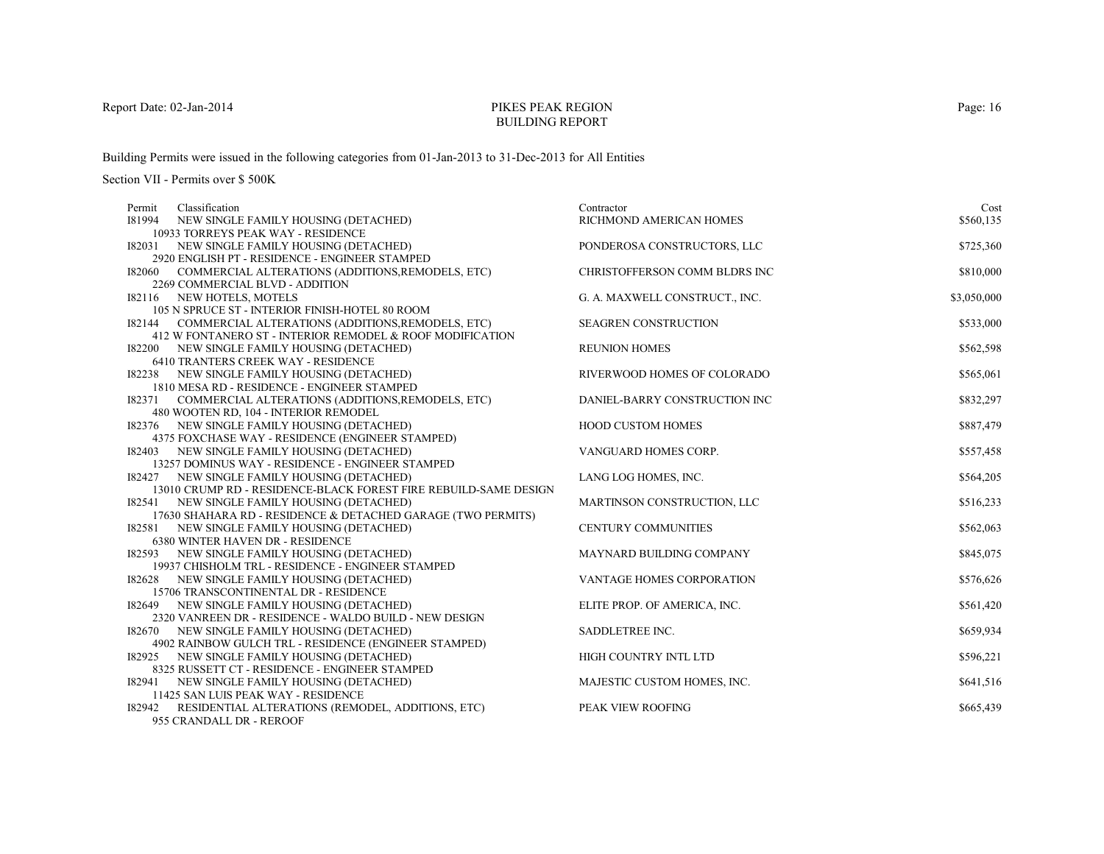# PIKES PEAK REGIONBUILDING REPORT

Building Permits were issued in the following categories from 01-Jan-2013 to 31-Dec-2013 for All Entities

Section VII - Permits over \$ 500K

| Classification<br>Permit                                                                 | Contractor                     | Cost        |
|------------------------------------------------------------------------------------------|--------------------------------|-------------|
| I81994<br>NEW SINGLE FAMILY HOUSING (DETACHED)                                           | RICHMOND AMERICAN HOMES        | \$560,135   |
| 10933 TORREYS PEAK WAY - RESIDENCE                                                       |                                |             |
| I82031 NEW SINGLE FAMILY HOUSING (DETACHED)                                              | PONDEROSA CONSTRUCTORS, LLC    | \$725,360   |
| 2920 ENGLISH PT - RESIDENCE - ENGINEER STAMPED                                           |                                |             |
| 182060<br>COMMERCIAL ALTERATIONS (ADDITIONS, REMODELS, ETC)                              | CHRISTOFFERSON COMM BLDRS INC  | \$810,000   |
| 2269 COMMERCIAL BLVD - ADDITION                                                          |                                |             |
| 182116 NEW HOTELS, MOTELS                                                                | G. A. MAXWELL CONSTRUCT., INC. | \$3,050,000 |
| 105 N SPRUCE ST - INTERIOR FINISH-HOTEL 80 ROOM                                          |                                |             |
| COMMERCIAL ALTERATIONS (ADDITIONS, REMODELS, ETC)<br>182144                              | <b>SEAGREN CONSTRUCTION</b>    | \$533,000   |
| 412 W FONTANERO ST - INTERIOR REMODEL & ROOF MODIFICATION                                |                                |             |
| NEW SINGLE FAMILY HOUSING (DETACHED)<br>182200                                           | <b>REUNION HOMES</b>           | \$562,598   |
| 6410 TRANTERS CREEK WAY - RESIDENCE                                                      |                                |             |
| 182238 NEW SINGLE FAMILY HOUSING (DETACHED)                                              | RIVERWOOD HOMES OF COLORADO    | \$565,061   |
| 1810 MESA RD - RESIDENCE - ENGINEER STAMPED                                              |                                |             |
| I82371 COMMERCIAL ALTERATIONS (ADDITIONS, REMODELS, ETC)                                 | DANIEL-BARRY CONSTRUCTION INC  | \$832,297   |
| 480 WOOTEN RD, 104 - INTERIOR REMODEL                                                    |                                |             |
| 182376 NEW SINGLE FAMILY HOUSING (DETACHED)                                              | <b>HOOD CUSTOM HOMES</b>       | \$887,479   |
| 4375 FOXCHASE WAY - RESIDENCE (ENGINEER STAMPED)                                         |                                |             |
| I82403 NEW SINGLE FAMILY HOUSING (DETACHED)                                              | VANGUARD HOMES CORP.           | \$557,458   |
| 13257 DOMINUS WAY - RESIDENCE - ENGINEER STAMPED                                         |                                |             |
| I82427 NEW SINGLE FAMILY HOUSING (DETACHED)                                              | LANG LOG HOMES, INC.           | \$564,205   |
| 13010 CRUMP RD - RESIDENCE-BLACK FOREST FIRE REBUILD-SAME DESIGN                         |                                |             |
| I82541 NEW SINGLE FAMILY HOUSING (DETACHED)                                              | MARTINSON CONSTRUCTION, LLC    | \$516,233   |
| 17630 SHAHARA RD - RESIDENCE & DETACHED GARAGE (TWO PERMITS)                             |                                |             |
| I82581 NEW SINGLE FAMILY HOUSING (DETACHED)                                              | <b>CENTURY COMMUNITIES</b>     | \$562,063   |
| 6380 WINTER HAVEN DR - RESIDENCE                                                         |                                |             |
| 182593 NEW SINGLE FAMILY HOUSING (DETACHED)                                              | MAYNARD BUILDING COMPANY       | \$845,075   |
| 19937 CHISHOLM TRL - RESIDENCE - ENGINEER STAMPED                                        |                                |             |
| I82628 NEW SINGLE FAMILY HOUSING (DETACHED)                                              | VANTAGE HOMES CORPORATION      | \$576,626   |
| 15706 TRANSCONTINENTAL DR - RESIDENCE                                                    |                                |             |
| NEW SINGLE FAMILY HOUSING (DETACHED)<br>182649                                           | ELITE PROP. OF AMERICA, INC.   | \$561,420   |
| 2320 VANREEN DR - RESIDENCE - WALDO BUILD - NEW DESIGN                                   |                                |             |
| 182670 NEW SINGLE FAMILY HOUSING (DETACHED)                                              | SADDLETREE INC.                | \$659,934   |
| 4902 RAINBOW GULCH TRL - RESIDENCE (ENGINEER STAMPED)                                    |                                |             |
| I82925 NEW SINGLE FAMILY HOUSING (DETACHED)                                              | HIGH COUNTRY INTL LTD          | \$596,221   |
| 8325 RUSSETT CT - RESIDENCE - ENGINEER STAMPED                                           |                                |             |
| NEW SINGLE FAMILY HOUSING (DETACHED)<br>182941                                           | MAJESTIC CUSTOM HOMES, INC.    | \$641,516   |
| 11425 SAN LUIS PEAK WAY - RESIDENCE                                                      |                                |             |
| I82942 RESIDENTIAL ALTERATIONS (REMODEL, ADDITIONS, ETC)<br>$0.55$ CD AND ALL DD. DEDOOF | PEAK VIEW ROOFING              | \$665,439   |

955 CRANDALL DR - REROOF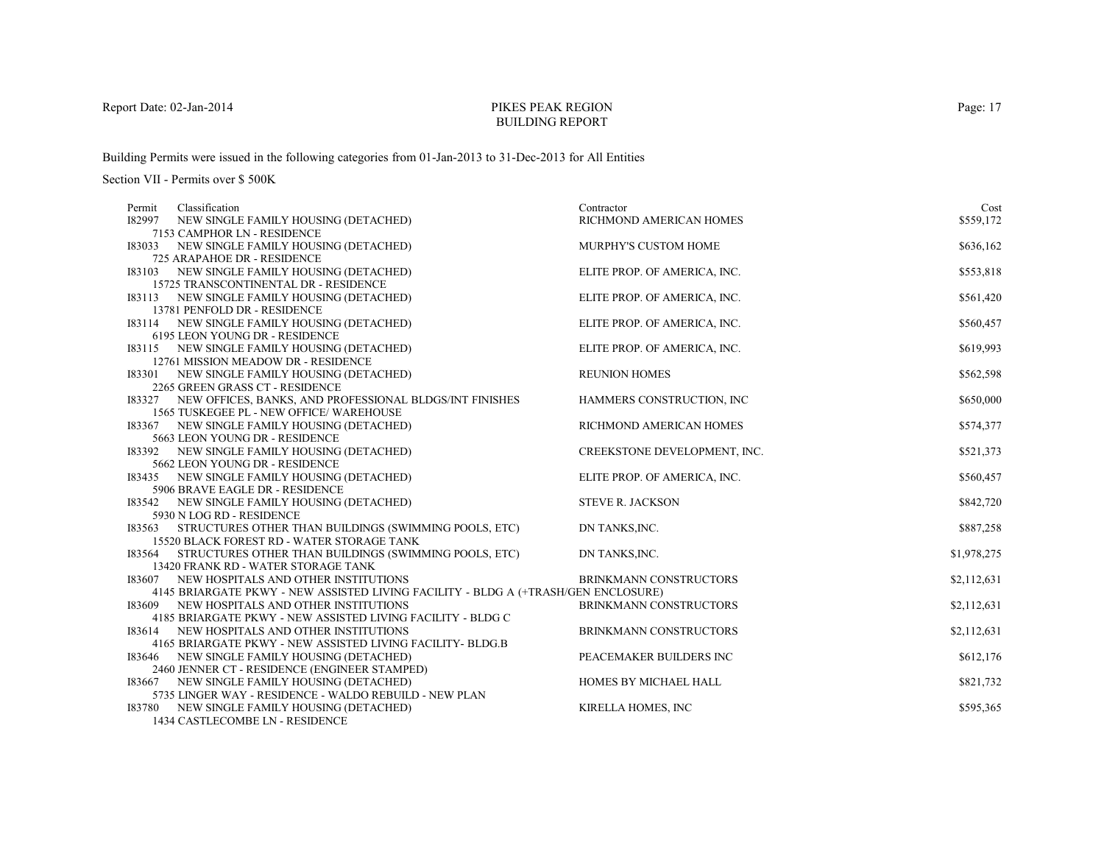# PIKES PEAK REGIONBUILDING REPORT

Building Permits were issued in the following categories from 01-Jan-2013 to 31-Dec-2013 for All Entities

| Classification<br>Permit                                                           | Contractor                    | Cost        |
|------------------------------------------------------------------------------------|-------------------------------|-------------|
| 182997<br>NEW SINGLE FAMILY HOUSING (DETACHED)                                     | RICHMOND AMERICAN HOMES       | \$559,172   |
| 7153 CAMPHOR LN - RESIDENCE                                                        |                               |             |
| I83033 NEW SINGLE FAMILY HOUSING (DETACHED)                                        | MURPHY'S CUSTOM HOME          | \$636,162   |
| 725 ARAPAHOE DR - RESIDENCE                                                        |                               |             |
| 183103<br>NEW SINGLE FAMILY HOUSING (DETACHED)                                     | ELITE PROP. OF AMERICA, INC.  | \$553,818   |
| 15725 TRANSCONTINENTAL DR - RESIDENCE                                              |                               |             |
| I83113 NEW SINGLE FAMILY HOUSING (DETACHED)                                        | ELITE PROP. OF AMERICA, INC.  | \$561,420   |
| 13781 PENFOLD DR - RESIDENCE                                                       |                               |             |
| I83114 NEW SINGLE FAMILY HOUSING (DETACHED)                                        | ELITE PROP. OF AMERICA, INC.  | \$560,457   |
| 6195 LEON YOUNG DR - RESIDENCE                                                     |                               |             |
| I83115 NEW SINGLE FAMILY HOUSING (DETACHED)                                        | ELITE PROP. OF AMERICA, INC.  | \$619,993   |
| 12761 MISSION MEADOW DR - RESIDENCE                                                |                               |             |
| I83301 NEW SINGLE FAMILY HOUSING (DETACHED)                                        | <b>REUNION HOMES</b>          | \$562,598   |
| 2265 GREEN GRASS CT - RESIDENCE                                                    |                               |             |
| 183327 NEW OFFICES, BANKS, AND PROFESSIONAL BLDGS/INT FINISHES                     | HAMMERS CONSTRUCTION, INC.    | \$650,000   |
| 1565 TUSKEGEE PL - NEW OFFICE/ WAREHOUSE                                           | RICHMOND AMERICAN HOMES       |             |
| 183367 NEW SINGLE FAMILY HOUSING (DETACHED)<br>5663 LEON YOUNG DR - RESIDENCE      |                               | \$574,377   |
| I83392 NEW SINGLE FAMILY HOUSING (DETACHED)                                        | CREEKSTONE DEVELOPMENT, INC.  | \$521,373   |
| 5662 LEON YOUNG DR - RESIDENCE                                                     |                               |             |
| I83435 NEW SINGLE FAMILY HOUSING (DETACHED)                                        | ELITE PROP. OF AMERICA, INC.  | \$560,457   |
| 5906 BRAVE EAGLE DR - RESIDENCE                                                    |                               |             |
| I83542 NEW SINGLE FAMILY HOUSING (DETACHED)                                        | <b>STEVE R. JACKSON</b>       | \$842,720   |
| 5930 N LOG RD - RESIDENCE                                                          |                               |             |
| STRUCTURES OTHER THAN BUILDINGS (SWIMMING POOLS, ETC)<br>183563                    | DN TANKS, INC.                | \$887,258   |
| 15520 BLACK FOREST RD - WATER STORAGE TANK                                         |                               |             |
| STRUCTURES OTHER THAN BUILDINGS (SWIMMING POOLS, ETC)<br>183564                    | DN TANKS, INC.                | \$1,978,275 |
| 13420 FRANK RD - WATER STORAGE TANK                                                |                               |             |
| <b>I83607 NEW HOSPITALS AND OTHER INSTITUTIONS</b>                                 | BRINKMANN CONSTRUCTORS        | \$2,112,631 |
| 4145 BRIARGATE PKWY - NEW ASSISTED LIVING FACILITY - BLDG A (+TRASH/GEN ENCLOSURE) |                               |             |
| NEW HOSPITALS AND OTHER INSTITUTIONS<br>183609                                     | <b>BRINKMANN CONSTRUCTORS</b> | \$2,112,631 |
| 4185 BRIARGATE PKWY - NEW ASSISTED LIVING FACILITY - BLDG C                        |                               |             |
| NEW HOSPITALS AND OTHER INSTITUTIONS<br>183614                                     | BRINKMANN CONSTRUCTORS        | \$2,112,631 |
| 4165 BRIARGATE PKWY - NEW ASSISTED LIVING FACILITY- BLDG.B                         |                               |             |
| I83646 NEW SINGLE FAMILY HOUSING (DETACHED)                                        | PEACEMAKER BUILDERS INC       | \$612,176   |
| 2460 JENNER CT - RESIDENCE (ENGINEER STAMPED)                                      |                               |             |
| I83667 NEW SINGLE FAMILY HOUSING (DETACHED)                                        | HOMES BY MICHAEL HALL         | \$821,732   |
| 5735 LINGER WAY - RESIDENCE - WALDO REBUILD - NEW PLAN                             |                               |             |
| NEW SINGLE FAMILY HOUSING (DETACHED)<br>183780                                     | KIRELLA HOMES, INC            | \$595,365   |
| 1434 CASTLECOMBE LN - RESIDENCE                                                    |                               |             |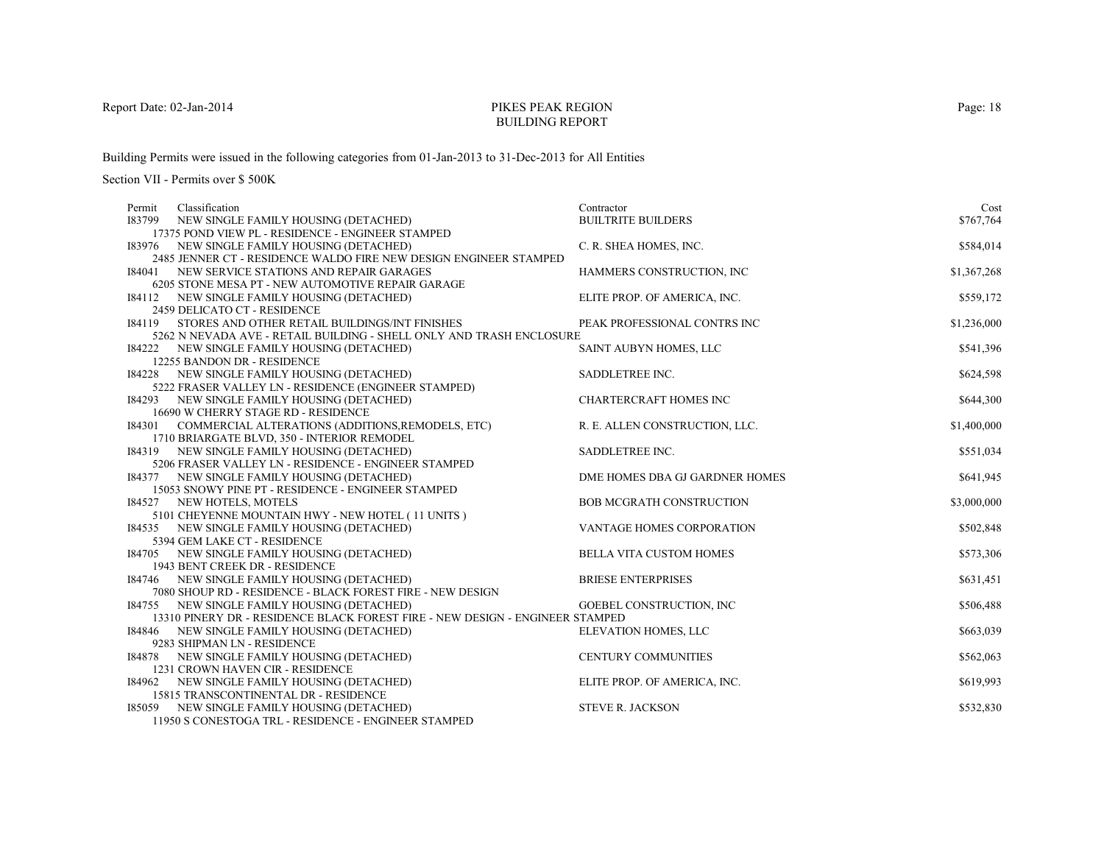# PIKES PEAK REGIONBUILDING REPORT

Building Permits were issued in the following categories from 01-Jan-2013 to 31-Dec-2013 for All Entities

| Permit | Classification                                                                 | Contractor                      | Cost        |
|--------|--------------------------------------------------------------------------------|---------------------------------|-------------|
|        | I83799 NEW SINGLE FAMILY HOUSING (DETACHED)                                    | <b>BUILTRITE BUILDERS</b>       | \$767,764   |
|        | 17375 POND VIEW PL - RESIDENCE - ENGINEER STAMPED                              |                                 |             |
|        | 183976 NEW SINGLE FAMILY HOUSING (DETACHED)                                    | C. R. SHEA HOMES, INC.          | \$584,014   |
|        | 2485 JENNER CT - RESIDENCE WALDO FIRE NEW DESIGN ENGINEER STAMPED              |                                 |             |
|        | 184041 NEW SERVICE STATIONS AND REPAIR GARAGES                                 | HAMMERS CONSTRUCTION, INC       | \$1,367,268 |
|        | 6205 STONE MESA PT - NEW AUTOMOTIVE REPAIR GARAGE                              |                                 |             |
| 184112 | NEW SINGLE FAMILY HOUSING (DETACHED)                                           | ELITE PROP. OF AMERICA, INC.    | \$559,172   |
|        | 2459 DELICATO CT - RESIDENCE                                                   |                                 |             |
| 184119 | STORES AND OTHER RETAIL BUILDINGS/INT FINISHES                                 | PEAK PROFESSIONAL CONTRS INC    | \$1,236,000 |
|        | 5262 N NEVADA AVE - RETAIL BUILDING - SHELL ONLY AND TRASH ENCLOSURE           |                                 |             |
|        | 184222 NEW SINGLE FAMILY HOUSING (DETACHED)                                    | SAINT AUBYN HOMES, LLC          | \$541,396   |
|        | 12255 BANDON DR - RESIDENCE                                                    |                                 |             |
|        | I84228 NEW SINGLE FAMILY HOUSING (DETACHED)                                    | SADDLETREE INC.                 | \$624,598   |
|        | 5222 FRASER VALLEY LN - RESIDENCE (ENGINEER STAMPED)                           |                                 |             |
|        | 184293 NEW SINGLE FAMILY HOUSING (DETACHED)                                    | <b>CHARTERCRAFT HOMES INC</b>   | \$644,300   |
|        | 16690 W CHERRY STAGE RD - RESIDENCE                                            |                                 |             |
|        | I84301 COMMERCIAL ALTERATIONS (ADDITIONS, REMODELS, ETC)                       | R. E. ALLEN CONSTRUCTION, LLC.  | \$1,400,000 |
|        | 1710 BRIARGATE BLVD, 350 - INTERIOR REMODEL                                    |                                 |             |
|        | I84319 NEW SINGLE FAMILY HOUSING (DETACHED)                                    | SADDLETREE INC.                 | \$551,034   |
|        | 5206 FRASER VALLEY LN - RESIDENCE - ENGINEER STAMPED                           |                                 |             |
|        | 184377 NEW SINGLE FAMILY HOUSING (DETACHED)                                    | DME HOMES DBA GJ GARDNER HOMES  | \$641,945   |
|        | 15053 SNOWY PINE PT - RESIDENCE - ENGINEER STAMPED                             |                                 |             |
|        | I84527 NEW HOTELS, MOTELS<br>5101 CHEYENNE MOUNTAIN HWY - NEW HOTEL (11 UNITS) | <b>BOB MCGRATH CONSTRUCTION</b> | \$3,000,000 |
|        | 184535 NEW SINGLE FAMILY HOUSING (DETACHED)                                    | VANTAGE HOMES CORPORATION       | \$502,848   |
|        | 5394 GEM LAKE CT - RESIDENCE                                                   |                                 |             |
|        | 184705 NEW SINGLE FAMILY HOUSING (DETACHED)                                    | <b>BELLA VITA CUSTOM HOMES</b>  | \$573,306   |
|        | 1943 BENT CREEK DR - RESIDENCE                                                 |                                 |             |
|        | 184746 NEW SINGLE FAMILY HOUSING (DETACHED)                                    | <b>BRIESE ENTERPRISES</b>       | \$631,451   |
|        | 7080 SHOUP RD - RESIDENCE - BLACK FOREST FIRE - NEW DESIGN                     |                                 |             |
|        | 184755 NEW SINGLE FAMILY HOUSING (DETACHED)                                    | GOEBEL CONSTRUCTION, INC        | \$506,488   |
|        | 13310 PINERY DR - RESIDENCE BLACK FOREST FIRE - NEW DESIGN - ENGINEER STAMPED  |                                 |             |
| 184846 | NEW SINGLE FAMILY HOUSING (DETACHED)                                           | ELEVATION HOMES, LLC            | \$663,039   |
|        | 9283 SHIPMAN LN - RESIDENCE                                                    |                                 |             |
| 184878 | NEW SINGLE FAMILY HOUSING (DETACHED)                                           | <b>CENTURY COMMUNITIES</b>      | \$562,063   |
|        | 1231 CROWN HAVEN CIR - RESIDENCE                                               |                                 |             |
|        | 184962 NEW SINGLE FAMILY HOUSING (DETACHED)                                    | ELITE PROP. OF AMERICA, INC.    | \$619,993   |
|        | 15815 TRANSCONTINENTAL DR - RESIDENCE                                          |                                 |             |
| 185059 | NEW SINGLE FAMILY HOUSING (DETACHED)                                           | <b>STEVE R. JACKSON</b>         | \$532,830   |
|        | 11950 S CONESTOGA TRL - RESIDENCE - ENGINEER STAMPED                           |                                 |             |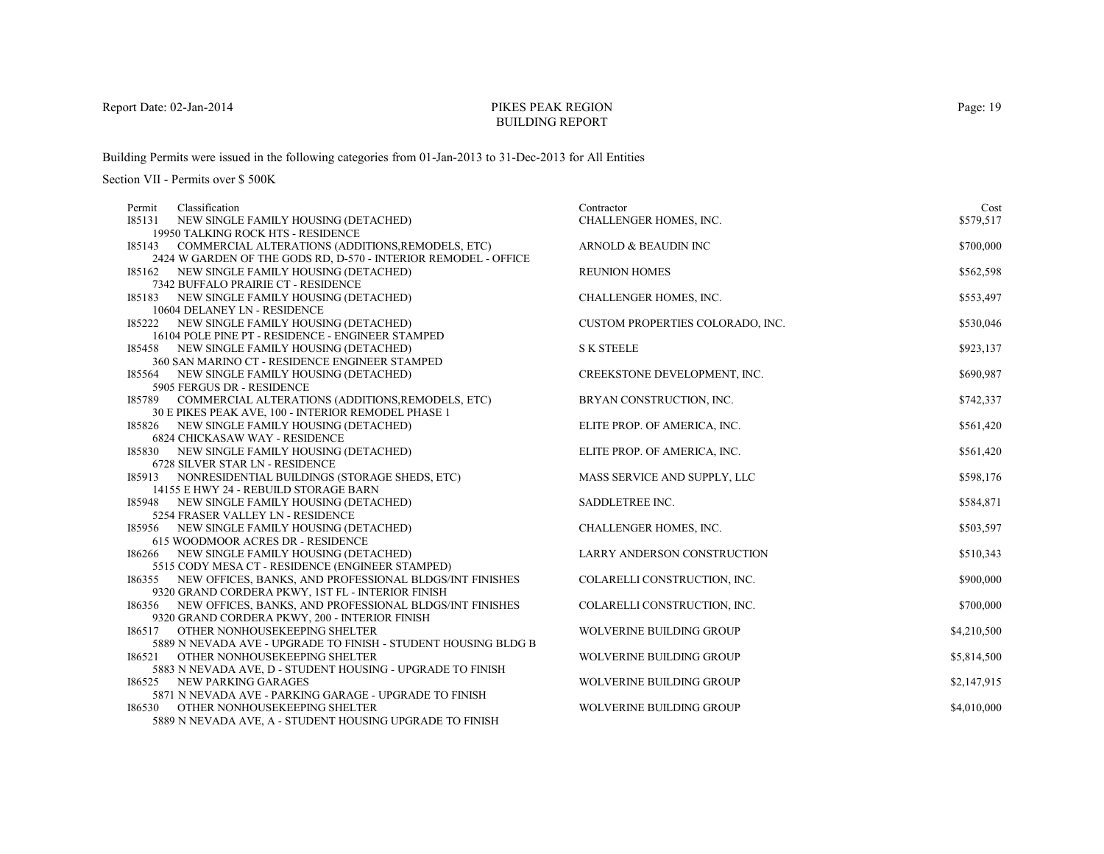# PIKES PEAK REGIONBUILDING REPORT

Building Permits were issued in the following categories from 01-Jan-2013 to 31-Dec-2013 for All Entities

| Classification<br>Permit                                                                         | Contractor                       | Cost        |
|--------------------------------------------------------------------------------------------------|----------------------------------|-------------|
| I85131<br>NEW SINGLE FAMILY HOUSING (DETACHED)                                                   | CHALLENGER HOMES, INC.           | \$579,517   |
| 19950 TALKING ROCK HTS - RESIDENCE                                                               |                                  |             |
| 185143<br>COMMERCIAL ALTERATIONS (ADDITIONS, REMODELS, ETC)                                      | ARNOLD & BEAUDIN INC             | \$700,000   |
| 2424 W GARDEN OF THE GODS RD, D-570 - INTERIOR REMODEL - OFFICE                                  |                                  |             |
| 185162 NEW SINGLE FAMILY HOUSING (DETACHED)                                                      | <b>REUNION HOMES</b>             | \$562,598   |
| 7342 BUFFALO PRAIRIE CT - RESIDENCE                                                              |                                  |             |
| I85183<br>NEW SINGLE FAMILY HOUSING (DETACHED)                                                   | CHALLENGER HOMES, INC.           | \$553,497   |
| 10604 DELANEY LN - RESIDENCE                                                                     |                                  |             |
| NEW SINGLE FAMILY HOUSING (DETACHED)<br>185222                                                   | CUSTOM PROPERTIES COLORADO, INC. | \$530,046   |
| 16104 POLE PINE PT - RESIDENCE - ENGINEER STAMPED<br>185458 NEW SINGLE FAMILY HOUSING (DETACHED) | <b>S K STEELE</b>                | \$923,137   |
| 360 SAN MARINO CT - RESIDENCE ENGINEER STAMPED                                                   |                                  |             |
| 185564 NEW SINGLE FAMILY HOUSING (DETACHED)                                                      | CREEKSTONE DEVELOPMENT, INC.     | \$690,987   |
| 5905 FERGUS DR - RESIDENCE                                                                       |                                  |             |
| COMMERCIAL ALTERATIONS (ADDITIONS, REMODELS, ETC)<br>185789                                      | BRYAN CONSTRUCTION, INC.         | \$742,337   |
| 30 E PIKES PEAK AVE, 100 - INTERIOR REMODEL PHASE 1                                              |                                  |             |
| 185826 NEW SINGLE FAMILY HOUSING (DETACHED)                                                      | ELITE PROP. OF AMERICA, INC.     | \$561,420   |
| <b>6824 CHICKASAW WAY - RESIDENCE</b>                                                            |                                  |             |
| I85830 NEW SINGLE FAMILY HOUSING (DETACHED)                                                      | ELITE PROP. OF AMERICA, INC.     | \$561,420   |
| 6728 SILVER STAR LN - RESIDENCE                                                                  |                                  |             |
| 185913<br>NONRESIDENTIAL BUILDINGS (STORAGE SHEDS, ETC)                                          | MASS SERVICE AND SUPPLY, LLC     | \$598,176   |
| 14155 E HWY 24 - REBUILD STORAGE BARN                                                            |                                  |             |
| 185948 NEW SINGLE FAMILY HOUSING (DETACHED)                                                      | SADDLETREE INC.                  | \$584,871   |
| 5254 FRASER VALLEY LN - RESIDENCE                                                                |                                  |             |
| 185956 NEW SINGLE FAMILY HOUSING (DETACHED)                                                      | CHALLENGER HOMES, INC.           | \$503,597   |
| <b>615 WOODMOOR ACRES DR - RESIDENCE</b>                                                         |                                  |             |
| 186266 NEW SINGLE FAMILY HOUSING (DETACHED)<br>5515 CODY MESA CT - RESIDENCE (ENGINEER STAMPED)  | LARRY ANDERSON CONSTRUCTION      | \$510,343   |
| 186355 NEW OFFICES, BANKS, AND PROFESSIONAL BLDGS/INT FINISHES                                   | COLARELLI CONSTRUCTION, INC.     | \$900,000   |
| 9320 GRAND CORDERA PKWY, 1ST FL - INTERIOR FINISH                                                |                                  |             |
| 186356 NEW OFFICES, BANKS, AND PROFESSIONAL BLDGS/INT FINISHES                                   | COLARELLI CONSTRUCTION, INC.     | \$700,000   |
| 9320 GRAND CORDERA PKWY, 200 - INTERIOR FINISH                                                   |                                  |             |
| 186517<br>OTHER NONHOUSEKEEPING SHELTER                                                          | WOLVERINE BUILDING GROUP         | \$4,210,500 |
| 5889 N NEVADA AVE - UPGRADE TO FINISH - STUDENT HOUSING BLDG B                                   |                                  |             |
| 186521<br>OTHER NONHOUSEKEEPING SHELTER                                                          | <b>WOLVERINE BUILDING GROUP</b>  | \$5,814,500 |
| 5883 N NEVADA AVE, D - STUDENT HOUSING - UPGRADE TO FINISH                                       |                                  |             |
| 186525 NEW PARKING GARAGES                                                                       | <b>WOLVERINE BUILDING GROUP</b>  | \$2,147,915 |
| 5871 N NEVADA AVE - PARKING GARAGE - UPGRADE TO FINISH                                           |                                  |             |
| 186530<br>OTHER NONHOUSEKEEPING SHELTER                                                          | <b>WOLVERINE BUILDING GROUP</b>  | \$4,010,000 |
| 5889 N NEVADA AVE, A - STUDENT HOUSING UPGRADE TO FINISH                                         |                                  |             |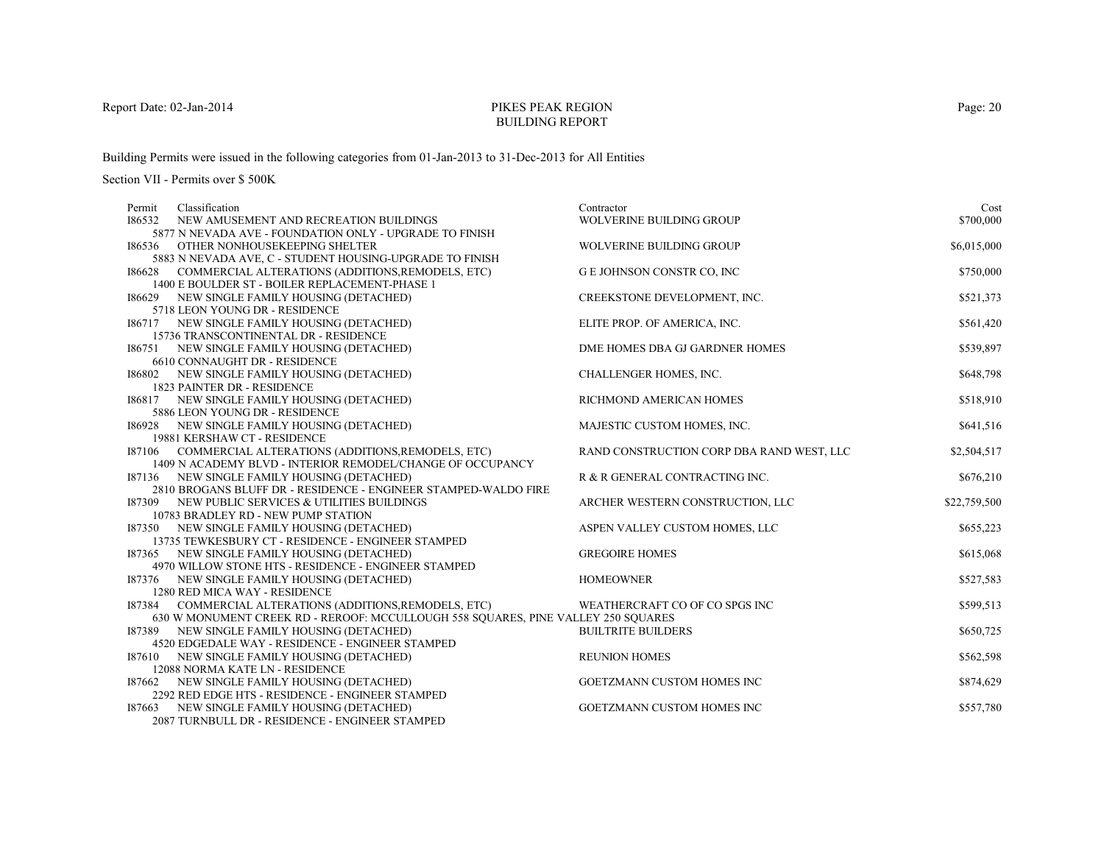# PIKES PEAK REGIONBUILDING REPORT

Building Permits were issued in the following categories from 01-Jan-2013 to 31-Dec-2013 for All Entities

| Classification<br>Permit                                                                          | Contractor                                | Cost         |
|---------------------------------------------------------------------------------------------------|-------------------------------------------|--------------|
| 186532<br>NEW AMUSEMENT AND RECREATION BUILDINGS                                                  | WOLVERINE BUILDING GROUP                  | \$700,000    |
| 5877 N NEVADA AVE - FOUNDATION ONLY - UPGRADE TO FINISH                                           |                                           |              |
| 186536 OTHER NONHOUSEKEEPING SHELTER                                                              | <b>WOLVERINE BUILDING GROUP</b>           | \$6,015,000  |
| 5883 N NEVADA AVE, C - STUDENT HOUSING-UPGRADE TO FINISH                                          |                                           |              |
| 186628 COMMERCIAL ALTERATIONS (ADDITIONS, REMODELS, ETC)                                          | G E JOHNSON CONSTR CO, INC                | \$750,000    |
| 1400 E BOULDER ST - BOILER REPLACEMENT-PHASE 1                                                    |                                           |              |
| 186629 NEW SINGLE FAMILY HOUSING (DETACHED)                                                       | CREEKSTONE DEVELOPMENT, INC.              | \$521,373    |
| 5718 LEON YOUNG DR - RESIDENCE                                                                    |                                           |              |
| 186717 NEW SINGLE FAMILY HOUSING (DETACHED)                                                       | ELITE PROP. OF AMERICA, INC.              | \$561,420    |
| 15736 TRANSCONTINENTAL DR - RESIDENCE                                                             |                                           |              |
| 186751 NEW SINGLE FAMILY HOUSING (DETACHED)                                                       | DME HOMES DBA GJ GARDNER HOMES            | \$539,897    |
| 6610 CONNAUGHT DR - RESIDENCE                                                                     |                                           |              |
| I86802 NEW SINGLE FAMILY HOUSING (DETACHED)                                                       | CHALLENGER HOMES, INC.                    | \$648,798    |
| 1823 PAINTER DR - RESIDENCE                                                                       |                                           |              |
| 186817 NEW SINGLE FAMILY HOUSING (DETACHED)                                                       | RICHMOND AMERICAN HOMES                   | \$518,910    |
| 5886 LEON YOUNG DR - RESIDENCE                                                                    |                                           |              |
| 186928 NEW SINGLE FAMILY HOUSING (DETACHED)                                                       | MAJESTIC CUSTOM HOMES, INC.               | \$641,516    |
| 19881 KERSHAW CT - RESIDENCE                                                                      |                                           |              |
| I87106 COMMERCIAL ALTERATIONS (ADDITIONS, REMODELS, ETC)                                          | RAND CONSTRUCTION CORP DBA RAND WEST, LLC | \$2,504,517  |
| 1409 N ACADEMY BLVD - INTERIOR REMODEL/CHANGE OF OCCUPANCY                                        |                                           |              |
| 187136 NEW SINGLE FAMILY HOUSING (DETACHED)                                                       | R & R GENERAL CONTRACTING INC.            | \$676,210    |
| 2810 BROGANS BLUFF DR - RESIDENCE - ENGINEER STAMPED-WALDO FIRE                                   |                                           |              |
| 187309 NEW PUBLIC SERVICES & UTILITIES BUILDINGS                                                  | ARCHER WESTERN CONSTRUCTION, LLC          | \$22,759,500 |
| 10783 BRADLEY RD - NEW PUMP STATION                                                               |                                           |              |
| 187350 NEW SINGLE FAMILY HOUSING (DETACHED)                                                       | ASPEN VALLEY CUSTOM HOMES, LLC            | \$655,223    |
| 13735 TEWKESBURY CT - RESIDENCE - ENGINEER STAMPED<br>187365 NEW SINGLE FAMILY HOUSING (DETACHED) | <b>GREGOIRE HOMES</b>                     |              |
| 4970 WILLOW STONE HTS - RESIDENCE - ENGINEER STAMPED                                              |                                           | \$615,068    |
| 187376 NEW SINGLE FAMILY HOUSING (DETACHED)                                                       | <b>HOMEOWNER</b>                          | \$527,583    |
| 1280 RED MICA WAY - RESIDENCE                                                                     |                                           |              |
| I87384 COMMERCIAL ALTERATIONS (ADDITIONS, REMODELS, ETC)                                          | WEATHERCRAFT CO OF CO SPGS INC            | \$599,513    |
| 630 W MONUMENT CREEK RD - REROOF: MCCULLOUGH 558 SOUARES, PINE VALLEY 250 SOUARES                 |                                           |              |
| NEW SINGLE FAMILY HOUSING (DETACHED)<br>187389                                                    | <b>BUILTRITE BUILDERS</b>                 | \$650,725    |
| 4520 EDGEDALE WAY - RESIDENCE - ENGINEER STAMPED                                                  |                                           |              |
| 187610 NEW SINGLE FAMILY HOUSING (DETACHED)                                                       | <b>REUNION HOMES</b>                      | \$562,598    |
| 12088 NORMA KATE LN - RESIDENCE                                                                   |                                           |              |
| 187662 NEW SINGLE FAMILY HOUSING (DETACHED)                                                       | GOETZMANN CUSTOM HOMES INC                | \$874,629    |
| 2292 RED EDGE HTS - RESIDENCE - ENGINEER STAMPED                                                  |                                           |              |
| 187663 NEW SINGLE FAMILY HOUSING (DETACHED)                                                       | <b>GOETZMANN CUSTOM HOMES INC</b>         | \$557,780    |
| 2087 TURNBULL DR - RESIDENCE - ENGINEER STAMPED                                                   |                                           |              |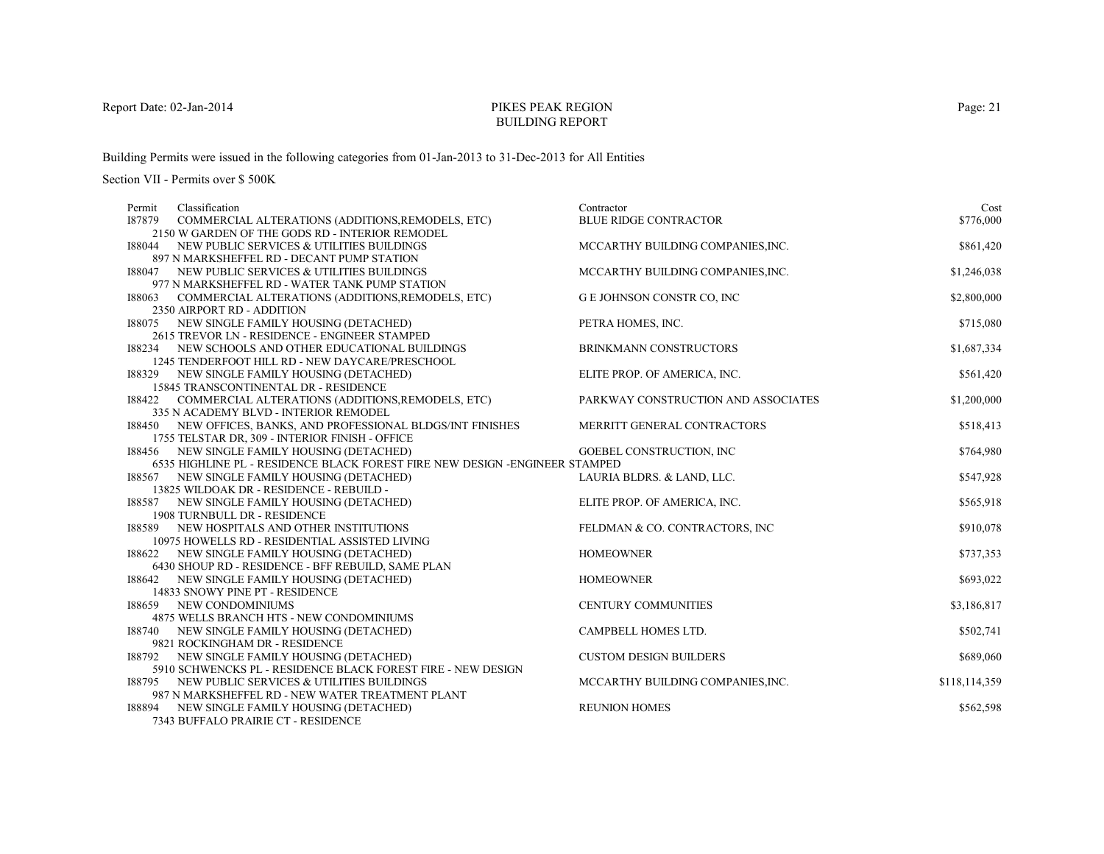# PIKES PEAK REGIONBUILDING REPORT

Building Permits were issued in the following categories from 01-Jan-2013 to 31-Dec-2013 for All Entities

Section VII - Permits over \$ 500K

| Classification<br>Permit                                                                | Contractor                          | Cost          |
|-----------------------------------------------------------------------------------------|-------------------------------------|---------------|
| I87879<br>COMMERCIAL ALTERATIONS (ADDITIONS, REMODELS, ETC)                             | <b>BLUE RIDGE CONTRACTOR</b>        | \$776,000     |
| 2150 W GARDEN OF THE GODS RD - INTERIOR REMODEL                                         |                                     |               |
| NEW PUBLIC SERVICES & UTILITIES BUILDINGS<br>188044                                     | MCCARTHY BUILDING COMPANIES, INC.   | \$861,420     |
| 897 N MARKSHEFFEL RD - DECANT PUMP STATION                                              |                                     |               |
| I88047<br>NEW PUBLIC SERVICES & UTILITIES BUILDINGS                                     | MCCARTHY BUILDING COMPANIES, INC.   | \$1,246,038   |
| 977 N MARKSHEFFEL RD - WATER TANK PUMP STATION                                          |                                     |               |
| 188063<br>COMMERCIAL ALTERATIONS (ADDITIONS, REMODELS, ETC)                             | <b>G E JOHNSON CONSTR CO, INC</b>   | \$2,800,000   |
| 2350 AIRPORT RD - ADDITION                                                              |                                     |               |
| 188075<br>NEW SINGLE FAMILY HOUSING (DETACHED)                                          | PETRA HOMES, INC.                   | \$715,080     |
| 2615 TREVOR LN - RESIDENCE - ENGINEER STAMPED                                           |                                     |               |
| 188234<br>NEW SCHOOLS AND OTHER EDUCATIONAL BUILDINGS                                   | <b>BRINKMANN CONSTRUCTORS</b>       | \$1,687,334   |
| 1245 TENDERFOOT HILL RD - NEW DAYCARE/PRESCHOOL                                         |                                     |               |
| 188329 NEW SINGLE FAMILY HOUSING (DETACHED)                                             | ELITE PROP. OF AMERICA, INC.        | \$561,420     |
| 15845 TRANSCONTINENTAL DR - RESIDENCE                                                   |                                     |               |
| COMMERCIAL ALTERATIONS (ADDITIONS, REMODELS, ETC)<br>188422                             | PARKWAY CONSTRUCTION AND ASSOCIATES | \$1,200,000   |
| 335 N ACADEMY BLVD - INTERIOR REMODEL                                                   |                                     |               |
| 188450 NEW OFFICES, BANKS, AND PROFESSIONAL BLDGS/INT FINISHES                          | MERRITT GENERAL CONTRACTORS         | \$518,413     |
| 1755 TELSTAR DR, 309 - INTERIOR FINISH - OFFICE                                         |                                     |               |
| 188456 NEW SINGLE FAMILY HOUSING (DETACHED)                                             | <b>GOEBEL CONSTRUCTION, INC</b>     | \$764,980     |
| 6535 HIGHLINE PL - RESIDENCE BLACK FOREST FIRE NEW DESIGN -ENGINEER STAMPED             |                                     |               |
| 188567 NEW SINGLE FAMILY HOUSING (DETACHED)                                             | LAURIA BLDRS. & LAND, LLC.          | \$547,928     |
| 13825 WILDOAK DR - RESIDENCE - REBUILD -                                                |                                     |               |
| NEW SINGLE FAMILY HOUSING (DETACHED)<br>188587                                          | ELITE PROP. OF AMERICA, INC.        | \$565,918     |
| <b>1908 TURNBULL DR - RESIDENCE</b>                                                     |                                     |               |
| NEW HOSPITALS AND OTHER INSTITUTIONS<br>188589                                          | FELDMAN & CO. CONTRACTORS, INC.     | \$910,078     |
| 10975 HOWELLS RD - RESIDENTIAL ASSISTED LIVING                                          |                                     |               |
| NEW SINGLE FAMILY HOUSING (DETACHED)<br>188622                                          | <b>HOMEOWNER</b>                    | \$737,353     |
| 6430 SHOUP RD - RESIDENCE - BFF REBUILD, SAME PLAN                                      |                                     |               |
| 188642 NEW SINGLE FAMILY HOUSING (DETACHED)                                             | <b>HOMEOWNER</b>                    | \$693,022     |
| 14833 SNOWY PINE PT - RESIDENCE                                                         |                                     |               |
| NEW CONDOMINIUMS<br>188659                                                              | <b>CENTURY COMMUNITIES</b>          | \$3,186,817   |
| 4875 WELLS BRANCH HTS - NEW CONDOMINIUMS                                                |                                     |               |
| 188740 NEW SINGLE FAMILY HOUSING (DETACHED)                                             | CAMPBELL HOMES LTD.                 | \$502,741     |
| 9821 ROCKINGHAM DR - RESIDENCE                                                          |                                     |               |
| 188792<br>NEW SINGLE FAMILY HOUSING (DETACHED)                                          | <b>CUSTOM DESIGN BUILDERS</b>       | \$689,060     |
| 5910 SCHWENCKS PL - RESIDENCE BLACK FOREST FIRE - NEW DESIGN                            |                                     |               |
| NEW PUBLIC SERVICES & UTILITIES BUILDINGS<br>188795                                     | MCCARTHY BUILDING COMPANIES, INC.   | \$118,114,359 |
| 987 N MARKSHEFFEL RD - NEW WATER TREATMENT PLANT                                        |                                     |               |
| 188894<br>NEW SINGLE FAMILY HOUSING (DETACHED)<br>$7242$ DUERALO DD AIDIE CT. DECIDEMOR | <b>REUNION HOMES</b>                | \$562,598     |
|                                                                                         |                                     |               |

7343 BUFFALO PRAIRIE CT - RESIDENCE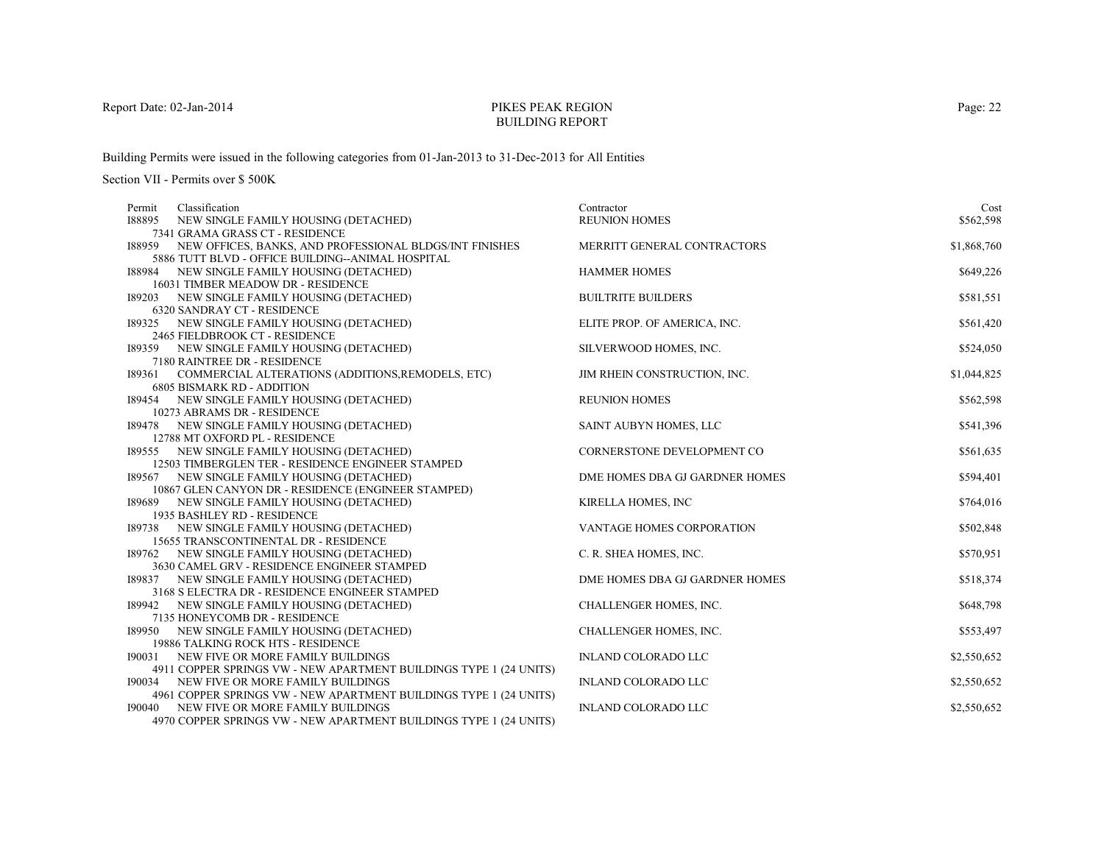# PIKES PEAK REGIONBUILDING REPORT

Building Permits were issued in the following categories from 01-Jan-2013 to 31-Dec-2013 for All Entities

| Classification<br>Permit                                                      | Contractor                       | Cost        |
|-------------------------------------------------------------------------------|----------------------------------|-------------|
| 188895<br>NEW SINGLE FAMILY HOUSING (DETACHED)                                | <b>REUNION HOMES</b>             | \$562,598   |
| 7341 GRAMA GRASS CT - RESIDENCE                                               |                                  |             |
| NEW OFFICES, BANKS, AND PROFESSIONAL BLDGS/INT FINISHES<br>188959             | MERRITT GENERAL CONTRACTORS      | \$1,868,760 |
| 5886 TUTT BLVD - OFFICE BUILDING--ANIMAL HOSPITAL                             |                                  |             |
| 188984 NEW SINGLE FAMILY HOUSING (DETACHED)                                   | <b>HAMMER HOMES</b>              | \$649,226   |
| 16031 TIMBER MEADOW DR - RESIDENCE                                            |                                  |             |
| NEW SINGLE FAMILY HOUSING (DETACHED)<br>189203                                | <b>BUILTRITE BUILDERS</b>        | \$581,551   |
| <b>6320 SANDRAY CT - RESIDENCE</b>                                            |                                  |             |
| 189325<br>NEW SINGLE FAMILY HOUSING (DETACHED)                                | ELITE PROP. OF AMERICA, INC.     | \$561,420   |
| 2465 FIELDBROOK CT - RESIDENCE                                                |                                  |             |
| 189359 NEW SINGLE FAMILY HOUSING (DETACHED)                                   | SILVERWOOD HOMES, INC.           | \$524,050   |
| 7180 RAINTREE DR - RESIDENCE                                                  |                                  |             |
| COMMERCIAL ALTERATIONS (ADDITIONS, REMODELS, ETC)<br>189361                   | JIM RHEIN CONSTRUCTION, INC.     | \$1,044,825 |
| <b>6805 BISMARK RD - ADDITION</b>                                             |                                  |             |
| 189454 NEW SINGLE FAMILY HOUSING (DETACHED)                                   | <b>REUNION HOMES</b>             | \$562,598   |
| 10273 ABRAMS DR - RESIDENCE                                                   |                                  | \$541,396   |
| 189478 NEW SINGLE FAMILY HOUSING (DETACHED)<br>12788 MT OXFORD PL - RESIDENCE | SAINT AUBYN HOMES, LLC           |             |
| 189555 NEW SINGLE FAMILY HOUSING (DETACHED)                                   | CORNERSTONE DEVELOPMENT CO       | \$561,635   |
| 12503 TIMBERGLEN TER - RESIDENCE ENGINEER STAMPED                             |                                  |             |
| NEW SINGLE FAMILY HOUSING (DETACHED)<br>189567                                | DME HOMES DBA GJ GARDNER HOMES   | \$594,401   |
| 10867 GLEN CANYON DR - RESIDENCE (ENGINEER STAMPED)                           |                                  |             |
| 189689 NEW SINGLE FAMILY HOUSING (DETACHED)                                   | KIRELLA HOMES, INC               | \$764,016   |
| 1935 BASHLEY RD - RESIDENCE                                                   |                                  |             |
| 189738 NEW SINGLE FAMILY HOUSING (DETACHED)                                   | <b>VANTAGE HOMES CORPORATION</b> | \$502,848   |
| 15655 TRANSCONTINENTAL DR - RESIDENCE                                         |                                  |             |
| 189762 NEW SINGLE FAMILY HOUSING (DETACHED)                                   | C. R. SHEA HOMES, INC.           | \$570,951   |
| 3630 CAMEL GRV - RESIDENCE ENGINEER STAMPED                                   |                                  |             |
| 189837 NEW SINGLE FAMILY HOUSING (DETACHED)                                   | DME HOMES DBA GJ GARDNER HOMES   | \$518,374   |
| 3168 S ELECTRA DR - RESIDENCE ENGINEER STAMPED                                |                                  |             |
| 189942 NEW SINGLE FAMILY HOUSING (DETACHED)                                   | CHALLENGER HOMES, INC.           | \$648,798   |
| 7135 HONEYCOMB DR - RESIDENCE                                                 |                                  |             |
| 189950<br>NEW SINGLE FAMILY HOUSING (DETACHED)                                | CHALLENGER HOMES, INC.           | \$553,497   |
| 19886 TALKING ROCK HTS - RESIDENCE                                            |                                  |             |
| 190031<br>NEW FIVE OR MORE FAMILY BUILDINGS                                   | <b>INLAND COLORADO LLC</b>       | \$2,550,652 |
| 4911 COPPER SPRINGS VW - NEW APARTMENT BUILDINGS TYPE 1 (24 UNITS)            |                                  |             |
| NEW FIVE OR MORE FAMILY BUILDINGS<br>190034                                   | <b>INLAND COLORADO LLC</b>       | \$2,550,652 |
| 4961 COPPER SPRINGS VW - NEW APARTMENT BUILDINGS TYPE 1 (24 UNITS)            |                                  |             |
| 190040<br>NEW FIVE OR MORE FAMILY BUILDINGS                                   | <b>INLAND COLORADO LLC</b>       | \$2,550,652 |
| 4970 COPPER SPRINGS VW - NEW APARTMENT BUILDINGS TYPE 1 (24 UNITS)            |                                  |             |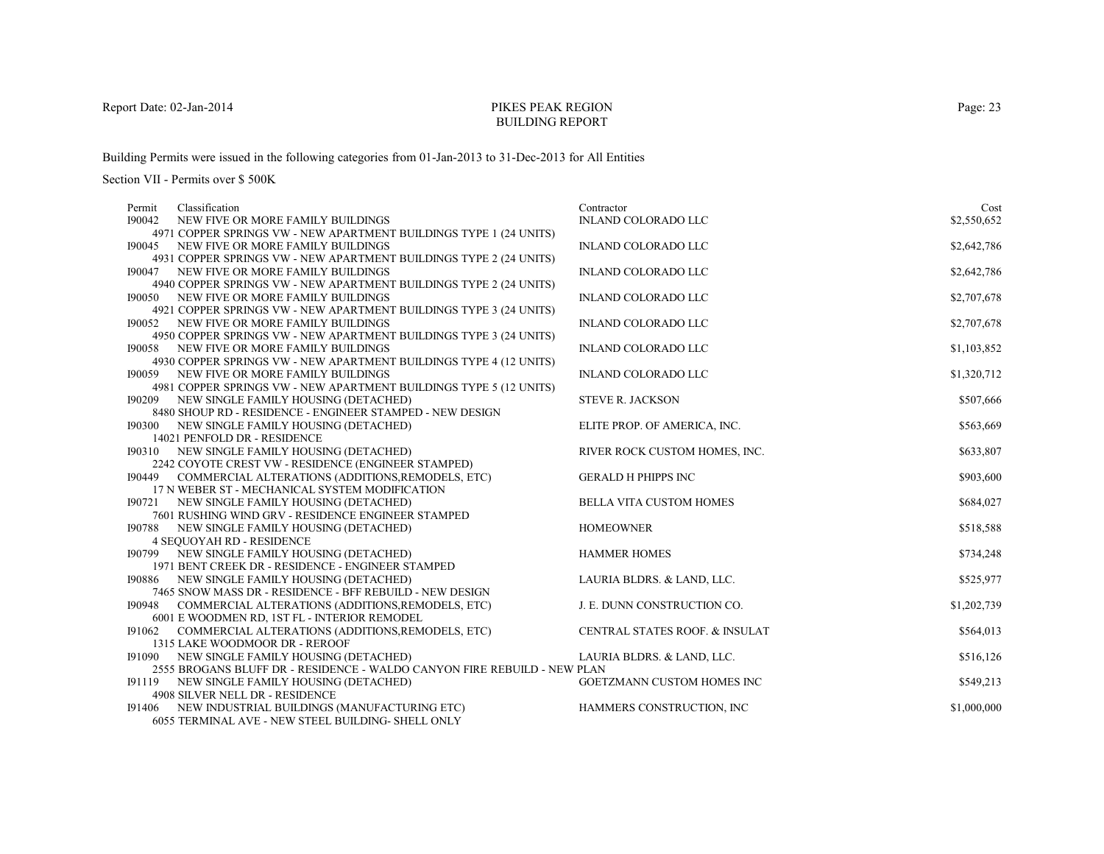# PIKES PEAK REGIONBUILDING REPORT

Building Permits were issued in the following categories from 01-Jan-2013 to 31-Dec-2013 for All Entities

| Classification<br>Permit                                                    | Contractor                        | Cost        |
|-----------------------------------------------------------------------------|-----------------------------------|-------------|
| 190042<br>NEW FIVE OR MORE FAMILY BUILDINGS                                 | <b>INLAND COLORADO LLC</b>        | \$2,550,652 |
| 4971 COPPER SPRINGS VW - NEW APARTMENT BUILDINGS TYPE 1 (24 UNITS)          |                                   |             |
| 190045 NEW FIVE OR MORE FAMILY BUILDINGS                                    | <b>INLAND COLORADO LLC</b>        | \$2,642,786 |
| 4931 COPPER SPRINGS VW - NEW APARTMENT BUILDINGS TYPE 2 (24 UNITS)          |                                   |             |
| NEW FIVE OR MORE FAMILY BUILDINGS<br>190047                                 | <b>INLAND COLORADO LLC</b>        | \$2,642,786 |
| 4940 COPPER SPRINGS VW - NEW APARTMENT BUILDINGS TYPE 2 (24 UNITS)          |                                   |             |
| 190050<br>NEW FIVE OR MORE FAMILY BUILDINGS                                 | <b>INLAND COLORADO LLC</b>        | \$2,707,678 |
| 4921 COPPER SPRINGS VW - NEW APARTMENT BUILDINGS TYPE 3 (24 UNITS)          |                                   |             |
| 190052<br>NEW FIVE OR MORE FAMILY BUILDINGS                                 | <b>INLAND COLORADO LLC</b>        | \$2,707,678 |
| 4950 COPPER SPRINGS VW - NEW APARTMENT BUILDINGS TYPE 3 (24 UNITS)          |                                   |             |
| NEW FIVE OR MORE FAMILY BUILDINGS<br>190058                                 | <b>INLAND COLORADO LLC</b>        | \$1,103,852 |
| 4930 COPPER SPRINGS VW - NEW APARTMENT BUILDINGS TYPE 4 (12 UNITS)          |                                   |             |
| 190059 NEW FIVE OR MORE FAMILY BUILDINGS                                    | <b>INLAND COLORADO LLC</b>        | \$1,320,712 |
| 4981 COPPER SPRINGS VW - NEW APARTMENT BUILDINGS TYPE 5 (12 UNITS)          |                                   |             |
| 190209 NEW SINGLE FAMILY HOUSING (DETACHED)                                 | <b>STEVE R. JACKSON</b>           | \$507,666   |
| 8480 SHOUP RD - RESIDENCE - ENGINEER STAMPED - NEW DESIGN                   |                                   |             |
| 190300 NEW SINGLE FAMILY HOUSING (DETACHED)                                 | ELITE PROP. OF AMERICA, INC.      | \$563,669   |
| 14021 PENFOLD DR - RESIDENCE<br>190310 NEW SINGLE FAMILY HOUSING (DETACHED) | RIVER ROCK CUSTOM HOMES, INC.     | \$633,807   |
| 2242 COYOTE CREST VW - RESIDENCE (ENGINEER STAMPED)                         |                                   |             |
| 190449<br>COMMERCIAL ALTERATIONS (ADDITIONS, REMODELS, ETC)                 | <b>GERALD H PHIPPS INC</b>        | \$903,600   |
| 17 N WEBER ST - MECHANICAL SYSTEM MODIFICATION                              |                                   |             |
| NEW SINGLE FAMILY HOUSING (DETACHED)<br>190721                              | <b>BELLA VITA CUSTOM HOMES</b>    | \$684,027   |
| 7601 RUSHING WIND GRV - RESIDENCE ENGINEER STAMPED                          |                                   |             |
| 190788 NEW SINGLE FAMILY HOUSING (DETACHED)                                 | <b>HOMEOWNER</b>                  | \$518,588   |
| <b>4 SEQUOYAH RD - RESIDENCE</b>                                            |                                   |             |
| 190799 NEW SINGLE FAMILY HOUSING (DETACHED)                                 | <b>HAMMER HOMES</b>               | \$734,248   |
| 1971 BENT CREEK DR - RESIDENCE - ENGINEER STAMPED                           |                                   |             |
| 190886 NEW SINGLE FAMILY HOUSING (DETACHED)                                 | LAURIA BLDRS. & LAND, LLC.        | \$525,977   |
| 7465 SNOW MASS DR - RESIDENCE - BFF REBUILD - NEW DESIGN                    |                                   |             |
| 190948 COMMERCIAL ALTERATIONS (ADDITIONS, REMODELS, ETC)                    | J. E. DUNN CONSTRUCTION CO.       | \$1,202,739 |
| 6001 E WOODMEN RD, 1ST FL - INTERIOR REMODEL                                |                                   |             |
| COMMERCIAL ALTERATIONS (ADDITIONS, REMODELS, ETC)<br>191062                 | CENTRAL STATES ROOF. & INSULAT    | \$564,013   |
| 1315 LAKE WOODMOOR DR - REROOF                                              |                                   |             |
| NEW SINGLE FAMILY HOUSING (DETACHED)<br>191090                              | LAURIA BLDRS. & LAND, LLC.        | \$516,126   |
| 2555 BROGANS BLUFF DR - RESIDENCE - WALDO CANYON FIRE REBUILD - NEW PLAN    |                                   |             |
| 191119 NEW SINGLE FAMILY HOUSING (DETACHED)                                 | <b>GOETZMANN CUSTOM HOMES INC</b> | \$549,213   |
| 4908 SILVER NELL DR - RESIDENCE                                             |                                   |             |
| 191406 NEW INDUSTRIAL BUILDINGS (MANUFACTURING ETC)                         | HAMMERS CONSTRUCTION, INC         | \$1,000,000 |
| 6055 TERMINAL AVE - NEW STEEL BUILDING- SHELL ONLY                          |                                   |             |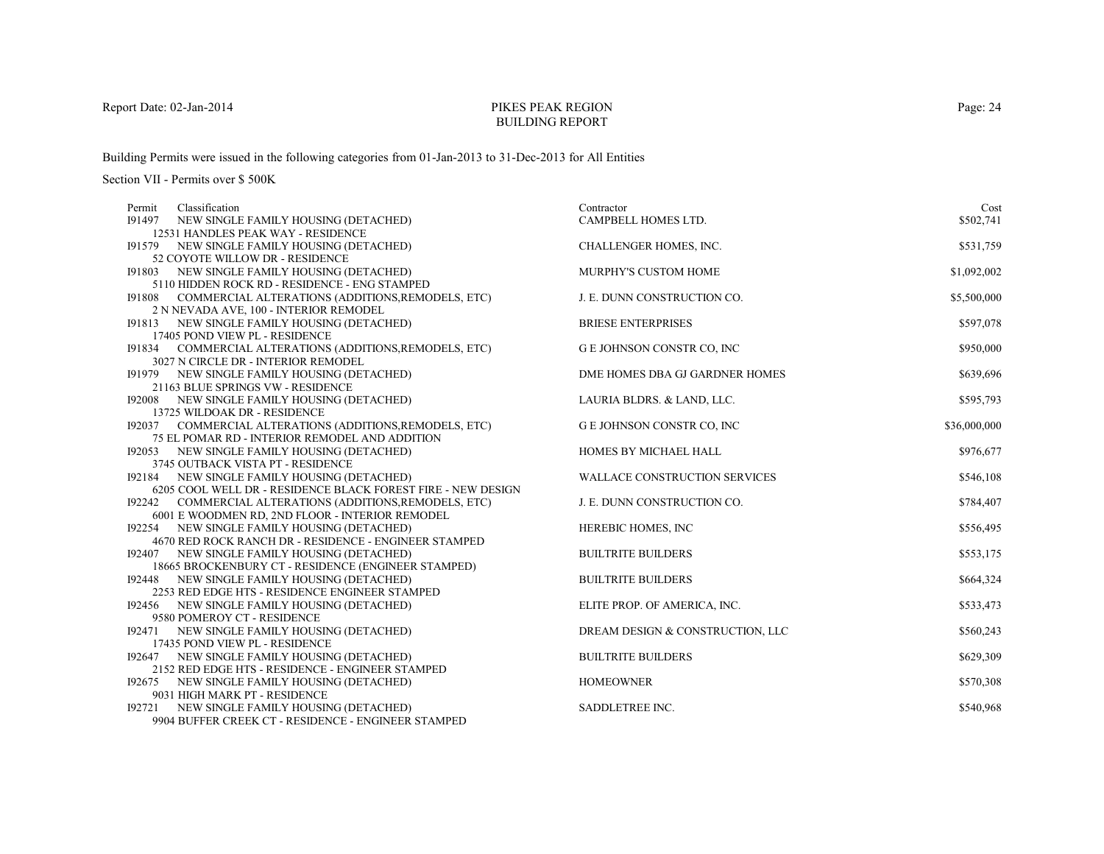# PIKES PEAK REGIONBUILDING REPORT

Building Permits were issued in the following categories from 01-Jan-2013 to 31-Dec-2013 for All Entities

| Classification<br>Permit                                                                                | Contractor                           | Cost         |
|---------------------------------------------------------------------------------------------------------|--------------------------------------|--------------|
| 191497 NEW SINGLE FAMILY HOUSING (DETACHED)                                                             | CAMPBELL HOMES LTD.                  | \$502,741    |
| 12531 HANDLES PEAK WAY - RESIDENCE                                                                      |                                      |              |
| 191579 NEW SINGLE FAMILY HOUSING (DETACHED)                                                             | CHALLENGER HOMES, INC.               | \$531,759    |
| 52 COYOTE WILLOW DR - RESIDENCE                                                                         |                                      |              |
| 191803<br>NEW SINGLE FAMILY HOUSING (DETACHED)                                                          | MURPHY'S CUSTOM HOME                 | \$1,092,002  |
| 5110 HIDDEN ROCK RD - RESIDENCE - ENG STAMPED                                                           |                                      |              |
| 191808 COMMERCIAL ALTERATIONS (ADDITIONS, REMODELS, ETC)                                                | J. E. DUNN CONSTRUCTION CO.          | \$5,500,000  |
| 2 N NEVADA AVE, 100 - INTERIOR REMODEL                                                                  |                                      |              |
| 191813 NEW SINGLE FAMILY HOUSING (DETACHED)                                                             | <b>BRIESE ENTERPRISES</b>            | \$597,078    |
| 17405 POND VIEW PL - RESIDENCE                                                                          |                                      |              |
| 191834 COMMERCIAL ALTERATIONS (ADDITIONS, REMODELS, ETC)                                                | G E JOHNSON CONSTR CO, INC           | \$950,000    |
| 3027 N CIRCLE DR - INTERIOR REMODEL                                                                     |                                      |              |
| 191979 NEW SINGLE FAMILY HOUSING (DETACHED)                                                             | DME HOMES DBA GJ GARDNER HOMES       | \$639,696    |
| 21163 BLUE SPRINGS VW - RESIDENCE                                                                       |                                      |              |
| 192008 NEW SINGLE FAMILY HOUSING (DETACHED)                                                             | LAURIA BLDRS. & LAND, LLC.           | \$595,793    |
| 13725 WILDOAK DR - RESIDENCE                                                                            |                                      |              |
| 192037 COMMERCIAL ALTERATIONS (ADDITIONS, REMODELS, ETC)                                                | G E JOHNSON CONSTR CO, INC           | \$36,000,000 |
| 75 EL POMAR RD - INTERIOR REMODEL AND ADDITION                                                          |                                      |              |
| 192053 NEW SINGLE FAMILY HOUSING (DETACHED)                                                             | HOMES BY MICHAEL HALL                | \$976,677    |
| 3745 OUTBACK VISTA PT - RESIDENCE                                                                       |                                      |              |
| 192184<br>NEW SINGLE FAMILY HOUSING (DETACHED)                                                          | <b>WALLACE CONSTRUCTION SERVICES</b> | \$546,108    |
| 6205 COOL WELL DR - RESIDENCE BLACK FOREST FIRE - NEW DESIGN                                            |                                      |              |
| COMMERCIAL ALTERATIONS (ADDITIONS, REMODELS, ETC)<br>192242                                             | J. E. DUNN CONSTRUCTION CO.          | \$784,407    |
| 6001 E WOODMEN RD, 2ND FLOOR - INTERIOR REMODEL                                                         |                                      | \$556,495    |
| NEW SINGLE FAMILY HOUSING (DETACHED)<br>192254<br>4670 RED ROCK RANCH DR - RESIDENCE - ENGINEER STAMPED | <b>HEREBIC HOMES, INC</b>            |              |
| 192407 NEW SINGLE FAMILY HOUSING (DETACHED)                                                             | <b>BUILTRITE BUILDERS</b>            | \$553,175    |
| 18665 BROCKENBURY CT - RESIDENCE (ENGINEER STAMPED)                                                     |                                      |              |
| 192448 NEW SINGLE FAMILY HOUSING (DETACHED)                                                             | <b>BUILTRITE BUILDERS</b>            | \$664,324    |
| 2253 RED EDGE HTS - RESIDENCE ENGINEER STAMPED                                                          |                                      |              |
| 192456 NEW SINGLE FAMILY HOUSING (DETACHED)                                                             | ELITE PROP. OF AMERICA, INC.         | \$533,473    |
| 9580 POMEROY CT - RESIDENCE                                                                             |                                      |              |
| NEW SINGLE FAMILY HOUSING (DETACHED)<br>192471                                                          | DREAM DESIGN & CONSTRUCTION, LLC     | \$560,243    |
| 17435 POND VIEW PL - RESIDENCE                                                                          |                                      |              |
| NEW SINGLE FAMILY HOUSING (DETACHED)<br>192647                                                          | <b>BUILTRITE BUILDERS</b>            | \$629,309    |
| 2152 RED EDGE HTS - RESIDENCE - ENGINEER STAMPED                                                        |                                      |              |
| NEW SINGLE FAMILY HOUSING (DETACHED)<br>192675                                                          | <b>HOMEOWNER</b>                     | \$570,308    |
| 9031 HIGH MARK PT - RESIDENCE                                                                           |                                      |              |
| NEW SINGLE FAMILY HOUSING (DETACHED)<br>192721                                                          | SADDLETREE INC.                      | \$540,968    |
| 9904 BUFFER CREEK CT - RESIDENCE - ENGINEER STAMPED                                                     |                                      |              |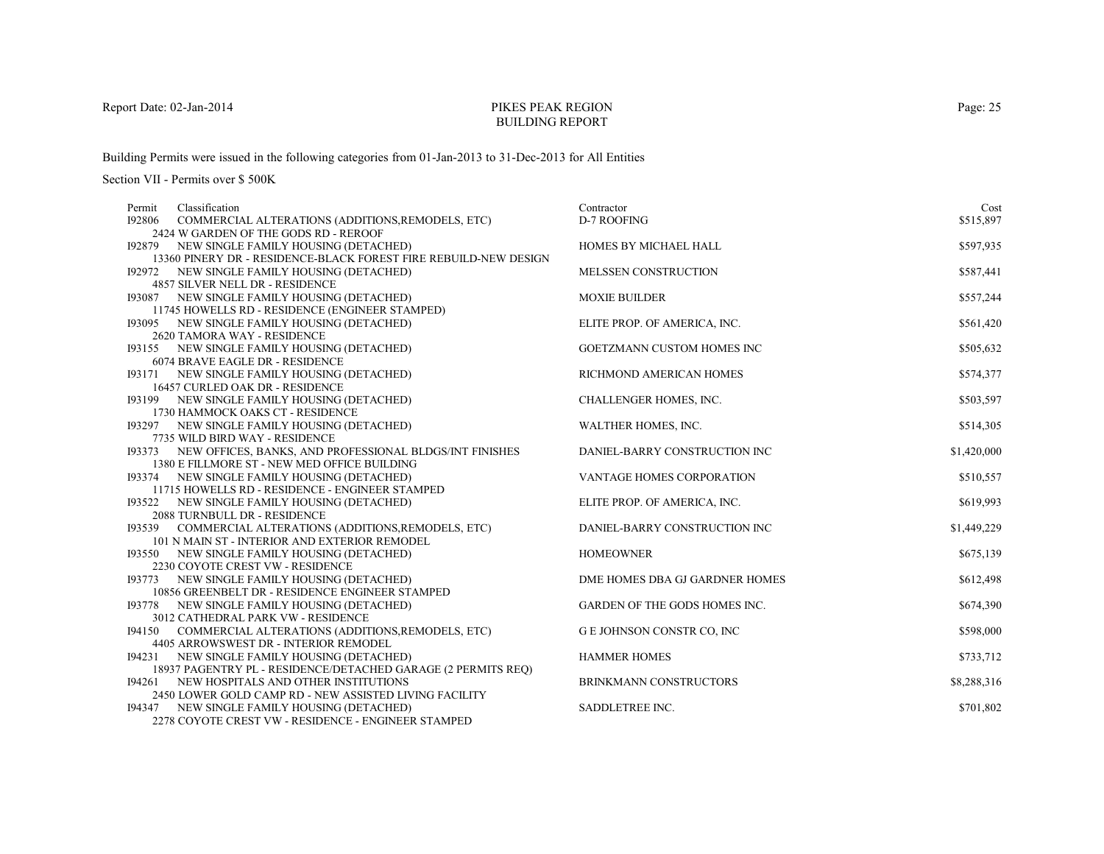# PIKES PEAK REGIONBUILDING REPORT

Building Permits were issued in the following categories from 01-Jan-2013 to 31-Dec-2013 for All Entities

| Classification<br>Permit                                                      | Contractor                     | Cost        |
|-------------------------------------------------------------------------------|--------------------------------|-------------|
| 192806<br>COMMERCIAL ALTERATIONS (ADDITIONS, REMODELS, ETC)                   | D-7 ROOFING                    | \$515,897   |
| 2424 W GARDEN OF THE GODS RD - REROOF                                         |                                |             |
| 192879 NEW SINGLE FAMILY HOUSING (DETACHED)                                   | HOMES BY MICHAEL HALL          | \$597,935   |
| 13360 PINERY DR - RESIDENCE-BLACK FOREST FIRE REBUILD-NEW DESIGN              |                                |             |
| 192972 NEW SINGLE FAMILY HOUSING (DETACHED)                                   | MELSSEN CONSTRUCTION           | \$587,441   |
| 4857 SILVER NELL DR - RESIDENCE                                               |                                |             |
| 193087 NEW SINGLE FAMILY HOUSING (DETACHED)                                   | <b>MOXIE BUILDER</b>           | \$557,244   |
| 11745 HOWELLS RD - RESIDENCE (ENGINEER STAMPED)                               |                                |             |
| 193095 NEW SINGLE FAMILY HOUSING (DETACHED)                                   | ELITE PROP. OF AMERICA, INC.   | \$561,420   |
| 2620 TAMORA WAY - RESIDENCE                                                   |                                |             |
| 193155 NEW SINGLE FAMILY HOUSING (DETACHED)                                   | GOETZMANN CUSTOM HOMES INC     | \$505,632   |
| 6074 BRAVE EAGLE DR - RESIDENCE                                               |                                |             |
| 193171 NEW SINGLE FAMILY HOUSING (DETACHED)                                   | RICHMOND AMERICAN HOMES        | \$574,377   |
| 16457 CURLED OAK DR - RESIDENCE                                               |                                |             |
| 193199 NEW SINGLE FAMILY HOUSING (DETACHED)                                   | CHALLENGER HOMES, INC.         | \$503,597   |
| 1730 HAMMOCK OAKS CT - RESIDENCE                                              |                                |             |
| 193297 NEW SINGLE FAMILY HOUSING (DETACHED)<br>7735 WILD BIRD WAY - RESIDENCE | WALTHER HOMES, INC.            | \$514,305   |
| 193373 NEW OFFICES, BANKS, AND PROFESSIONAL BLDGS/INT FINISHES                | DANIEL-BARRY CONSTRUCTION INC  | \$1,420,000 |
| 1380 E FILLMORE ST - NEW MED OFFICE BUILDING                                  |                                |             |
| 193374 NEW SINGLE FAMILY HOUSING (DETACHED)                                   | VANTAGE HOMES CORPORATION      | \$510,557   |
| 11715 HOWELLS RD - RESIDENCE - ENGINEER STAMPED                               |                                |             |
| 193522 NEW SINGLE FAMILY HOUSING (DETACHED)                                   | ELITE PROP. OF AMERICA, INC.   | \$619,993   |
| 2088 TURNBULL DR - RESIDENCE                                                  |                                |             |
| 193539<br>COMMERCIAL ALTERATIONS (ADDITIONS,REMODELS, ETC)                    | DANIEL-BARRY CONSTRUCTION INC  | \$1,449,229 |
| 101 N MAIN ST - INTERIOR AND EXTERIOR REMODEL                                 |                                |             |
| 193550 NEW SINGLE FAMILY HOUSING (DETACHED)                                   | <b>HOMEOWNER</b>               | \$675,139   |
| 2230 COYOTE CREST VW - RESIDENCE                                              |                                |             |
| 193773 NEW SINGLE FAMILY HOUSING (DETACHED)                                   | DME HOMES DBA GJ GARDNER HOMES | \$612,498   |
| 10856 GREENBELT DR - RESIDENCE ENGINEER STAMPED                               |                                |             |
| 193778 NEW SINGLE FAMILY HOUSING (DETACHED)                                   | GARDEN OF THE GODS HOMES INC.  | \$674,390   |
| 3012 CATHEDRAL PARK VW - RESIDENCE                                            |                                |             |
| COMMERCIAL ALTERATIONS (ADDITIONS, REMODELS, ETC)<br>194150                   | G E JOHNSON CONSTR CO, INC     | \$598,000   |
| 4405 ARROWSWEST DR - INTERIOR REMODEL                                         |                                |             |
| NEW SINGLE FAMILY HOUSING (DETACHED)<br>194231                                | <b>HAMMER HOMES</b>            | \$733,712   |
| 18937 PAGENTRY PL - RESIDENCE/DETACHED GARAGE (2 PERMITS REQ)                 |                                |             |
| 194261 NEW HOSPITALS AND OTHER INSTITUTIONS                                   | <b>BRINKMANN CONSTRUCTORS</b>  | \$8,288,316 |
| 2450 LOWER GOLD CAMP RD - NEW ASSISTED LIVING FACILITY                        |                                |             |
| 194347 NEW SINGLE FAMILY HOUSING (DETACHED)                                   | SADDLETREE INC.                | \$701,802   |
| 2278 COYOTE CREST VW - RESIDENCE - ENGINEER STAMPED                           |                                |             |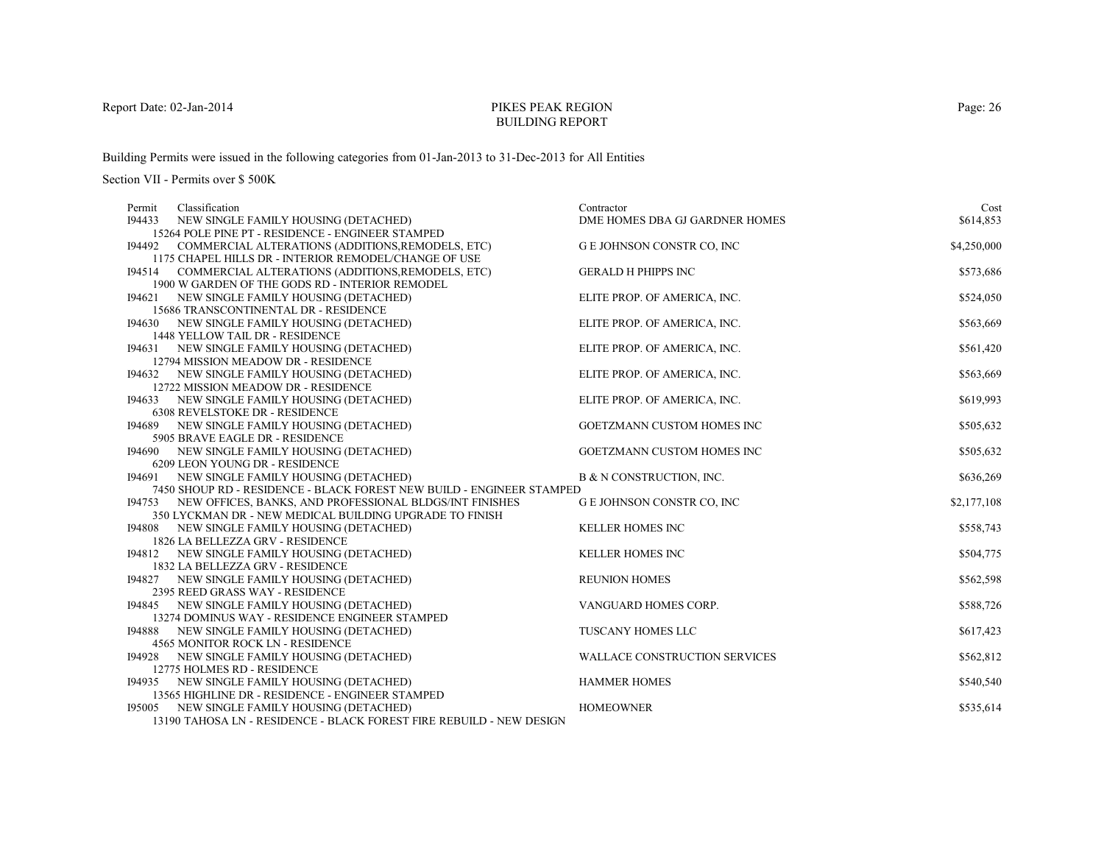# PIKES PEAK REGIONBUILDING REPORT

Building Permits were issued in the following categories from 01-Jan-2013 to 31-Dec-2013 for All Entities

| Permit | Classification                                                                                                       | Contractor                           | Cost        |
|--------|----------------------------------------------------------------------------------------------------------------------|--------------------------------------|-------------|
| 194433 | NEW SINGLE FAMILY HOUSING (DETACHED)                                                                                 | DME HOMES DBA GJ GARDNER HOMES       | \$614,853   |
|        | 15264 POLE PINE PT - RESIDENCE - ENGINEER STAMPED                                                                    |                                      |             |
|        | 194492 COMMERCIAL ALTERATIONS (ADDITIONS, REMODELS, ETC)                                                             | <b>G E JOHNSON CONSTR CO, INC</b>    | \$4,250,000 |
|        | 1175 CHAPEL HILLS DR - INTERIOR REMODEL/CHANGE OF USE                                                                |                                      |             |
|        | 194514 COMMERCIAL ALTERATIONS (ADDITIONS, REMODELS, ETC)                                                             | <b>GERALD H PHIPPS INC</b>           | \$573,686   |
|        | 1900 W GARDEN OF THE GODS RD - INTERIOR REMODEL                                                                      |                                      |             |
|        | 194621 NEW SINGLE FAMILY HOUSING (DETACHED)                                                                          | ELITE PROP. OF AMERICA, INC.         | \$524,050   |
|        | 15686 TRANSCONTINENTAL DR - RESIDENCE                                                                                |                                      |             |
|        | 194630 NEW SINGLE FAMILY HOUSING (DETACHED)                                                                          | ELITE PROP. OF AMERICA, INC.         | \$563,669   |
|        | 1448 YELLOW TAIL DR - RESIDENCE                                                                                      |                                      |             |
|        | 194631 NEW SINGLE FAMILY HOUSING (DETACHED)                                                                          | ELITE PROP. OF AMERICA, INC.         | \$561,420   |
|        | 12794 MISSION MEADOW DR - RESIDENCE                                                                                  |                                      |             |
|        | 194632 NEW SINGLE FAMILY HOUSING (DETACHED)                                                                          | ELITE PROP. OF AMERICA, INC.         | \$563,669   |
|        | 12722 MISSION MEADOW DR - RESIDENCE                                                                                  |                                      |             |
|        | 194633 NEW SINGLE FAMILY HOUSING (DETACHED)                                                                          | ELITE PROP. OF AMERICA, INC.         | \$619,993   |
|        | <b>6308 REVELSTOKE DR - RESIDENCE</b>                                                                                |                                      |             |
|        | 194689 NEW SINGLE FAMILY HOUSING (DETACHED)                                                                          | GOETZMANN CUSTOM HOMES INC           | \$505,632   |
|        | 5905 BRAVE EAGLE DR - RESIDENCE                                                                                      |                                      |             |
|        | 194690 NEW SINGLE FAMILY HOUSING (DETACHED)                                                                          | <b>GOETZMANN CUSTOM HOMES INC</b>    | \$505,632   |
|        | 6209 LEON YOUNG DR - RESIDENCE                                                                                       |                                      |             |
|        | 194691 NEW SINGLE FAMILY HOUSING (DETACHED)<br>7450 SHOUP RD - RESIDENCE - BLACK FOREST NEW BUILD - ENGINEER STAMPED | B & N CONSTRUCTION, INC.             | \$636,269   |
|        | 194753 NEW OFFICES, BANKS, AND PROFESSIONAL BLDGS/INT FINISHES                                                       | <b>G E JOHNSON CONSTR CO, INC</b>    | \$2,177,108 |
|        | 350 LYCKMAN DR - NEW MEDICAL BUILDING UPGRADE TO FINISH                                                              |                                      |             |
|        | 194808 NEW SINGLE FAMILY HOUSING (DETACHED)                                                                          | <b>KELLER HOMES INC</b>              | \$558,743   |
|        | 1826 LA BELLEZZA GRV - RESIDENCE                                                                                     |                                      |             |
|        | 194812 NEW SINGLE FAMILY HOUSING (DETACHED)                                                                          | <b>KELLER HOMES INC</b>              | \$504,775   |
|        | 1832 LA BELLEZZA GRV - RESIDENCE                                                                                     |                                      |             |
|        | 194827 NEW SINGLE FAMILY HOUSING (DETACHED)                                                                          | <b>REUNION HOMES</b>                 | \$562,598   |
|        | 2395 REED GRASS WAY - RESIDENCE                                                                                      |                                      |             |
|        | 194845 NEW SINGLE FAMILY HOUSING (DETACHED)                                                                          | VANGUARD HOMES CORP.                 | \$588,726   |
|        | 13274 DOMINUS WAY - RESIDENCE ENGINEER STAMPED                                                                       |                                      |             |
|        | 194888 NEW SINGLE FAMILY HOUSING (DETACHED)                                                                          | <b>TUSCANY HOMES LLC</b>             | \$617,423   |
|        | 4565 MONITOR ROCK LN - RESIDENCE                                                                                     |                                      |             |
| 194928 | NEW SINGLE FAMILY HOUSING (DETACHED)                                                                                 | <b>WALLACE CONSTRUCTION SERVICES</b> | \$562,812   |
|        | 12775 HOLMES RD - RESIDENCE                                                                                          |                                      |             |
|        | 194935 NEW SINGLE FAMILY HOUSING (DETACHED)                                                                          | <b>HAMMER HOMES</b>                  | \$540,540   |
|        | 13565 HIGHLINE DR - RESIDENCE - ENGINEER STAMPED                                                                     |                                      |             |
|        | 195005 NEW SINGLE FAMILY HOUSING (DETACHED)                                                                          | <b>HOMEOWNER</b>                     | \$535,614   |
|        | 13190 TAHOSA LN - RESIDENCE - BLACK FOREST FIRE REBUILD - NEW DESIGN                                                 |                                      |             |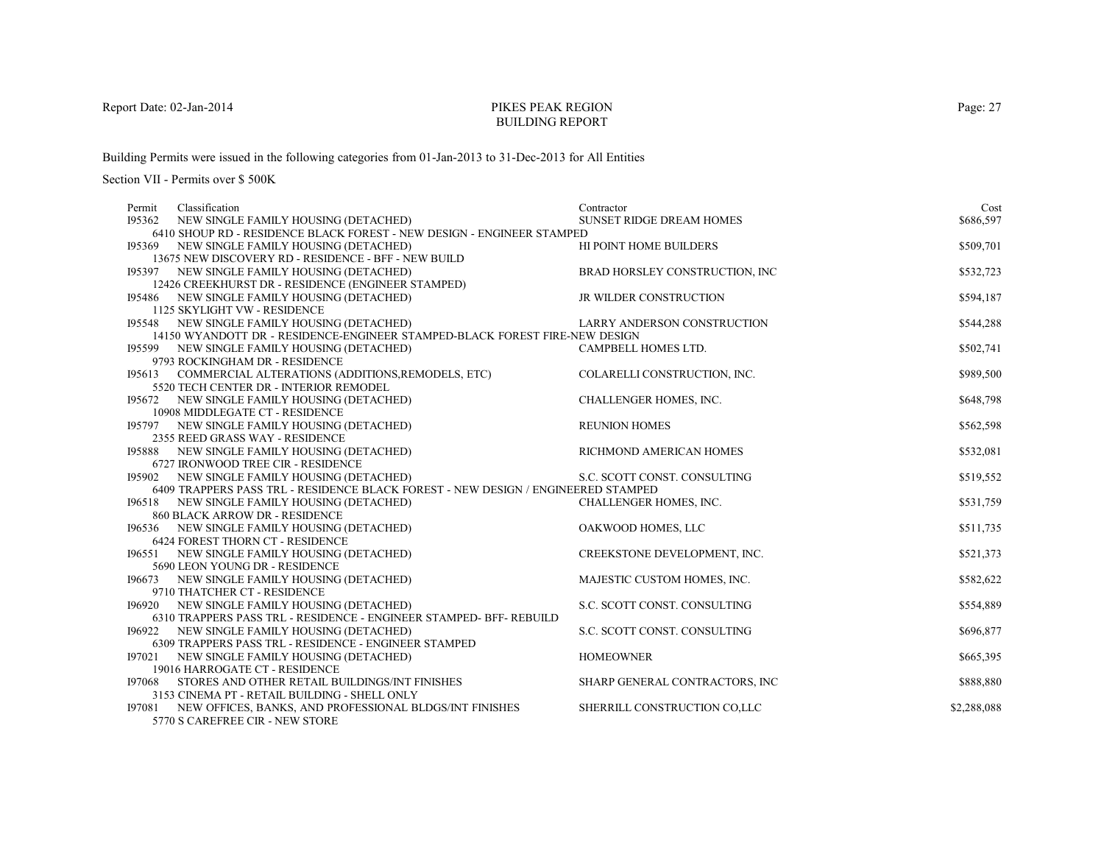# PIKES PEAK REGIONBUILDING REPORT

Building Permits were issued in the following categories from 01-Jan-2013 to 31-Dec-2013 for All Entities

Section VII - Permits over \$ 500K

| Permit | Classification                                                                        | Contractor                         | Cost        |
|--------|---------------------------------------------------------------------------------------|------------------------------------|-------------|
| 195362 | NEW SINGLE FAMILY HOUSING (DETACHED)                                                  | <b>SUNSET RIDGE DREAM HOMES</b>    | \$686,597   |
|        | 6410 SHOUP RD - RESIDENCE BLACK FOREST - NEW DESIGN - ENGINEER STAMPED                |                                    |             |
|        | 195369 NEW SINGLE FAMILY HOUSING (DETACHED)                                           | HI POINT HOME BUILDERS             | \$509,701   |
|        | 13675 NEW DISCOVERY RD - RESIDENCE - BFF - NEW BUILD                                  |                                    |             |
|        | 195397 NEW SINGLE FAMILY HOUSING (DETACHED)                                           | BRAD HORSLEY CONSTRUCTION, INC     | \$532,723   |
|        | 12426 CREEKHURST DR - RESIDENCE (ENGINEER STAMPED)                                    |                                    |             |
|        | 195486 NEW SINGLE FAMILY HOUSING (DETACHED)                                           | JR WILDER CONSTRUCTION             | \$594,187   |
|        | 1125 SKYLIGHT VW - RESIDENCE                                                          |                                    |             |
|        | 195548 NEW SINGLE FAMILY HOUSING (DETACHED)                                           | <b>LARRY ANDERSON CONSTRUCTION</b> | \$544,288   |
|        | 14150 WYANDOTT DR - RESIDENCE-ENGINEER STAMPED-BLACK FOREST FIRE-NEW DESIGN           |                                    |             |
|        | 195599 NEW SINGLE FAMILY HOUSING (DETACHED)                                           | CAMPBELL HOMES LTD.                | \$502,741   |
|        | 9793 ROCKINGHAM DR - RESIDENCE                                                        |                                    |             |
|        | 195613 COMMERCIAL ALTERATIONS (ADDITIONS, REMODELS, ETC)                              | COLARELLI CONSTRUCTION, INC.       | \$989,500   |
|        | 5520 TECH CENTER DR - INTERIOR REMODEL<br>195672 NEW SINGLE FAMILY HOUSING (DETACHED) | CHALLENGER HOMES, INC.             | \$648,798   |
|        | 10908 MIDDLEGATE CT - RESIDENCE                                                       |                                    |             |
|        | 195797 NEW SINGLE FAMILY HOUSING (DETACHED)                                           | <b>REUNION HOMES</b>               | \$562,598   |
|        | 2355 REED GRASS WAY - RESIDENCE                                                       |                                    |             |
|        | 195888 NEW SINGLE FAMILY HOUSING (DETACHED)                                           | RICHMOND AMERICAN HOMES            | \$532,081   |
|        | 6727 IRONWOOD TREE CIR - RESIDENCE                                                    |                                    |             |
| 195902 | NEW SINGLE FAMILY HOUSING (DETACHED)                                                  | S.C. SCOTT CONST. CONSULTING       | \$519,552   |
|        | 6409 TRAPPERS PASS TRL - RESIDENCE BLACK FOREST - NEW DESIGN / ENGINEERED STAMPED     |                                    |             |
|        | 196518 NEW SINGLE FAMILY HOUSING (DETACHED)                                           | CHALLENGER HOMES, INC.             | \$531,759   |
|        | 860 BLACK ARROW DR - RESIDENCE                                                        |                                    |             |
|        | 196536 NEW SINGLE FAMILY HOUSING (DETACHED)                                           | OAKWOOD HOMES, LLC                 | \$511,735   |
|        | <b>6424 FOREST THORN CT - RESIDENCE</b>                                               |                                    |             |
|        | 196551 NEW SINGLE FAMILY HOUSING (DETACHED)                                           | CREEKSTONE DEVELOPMENT, INC.       | \$521,373   |
|        | 5690 LEON YOUNG DR - RESIDENCE                                                        |                                    |             |
|        | 196673 NEW SINGLE FAMILY HOUSING (DETACHED)                                           | MAJESTIC CUSTOM HOMES, INC.        | \$582,622   |
|        | 9710 THATCHER CT - RESIDENCE                                                          |                                    |             |
|        | 196920 NEW SINGLE FAMILY HOUSING (DETACHED)                                           | S.C. SCOTT CONST. CONSULTING       | \$554,889   |
|        | 6310 TRAPPERS PASS TRL - RESIDENCE - ENGINEER STAMPED- BFF- REBUILD                   |                                    |             |
| 196922 | NEW SINGLE FAMILY HOUSING (DETACHED)                                                  | S.C. SCOTT CONST. CONSULTING       | \$696,877   |
|        | 6309 TRAPPERS PASS TRL - RESIDENCE - ENGINEER STAMPED                                 |                                    |             |
|        | 197021 NEW SINGLE FAMILY HOUSING (DETACHED)                                           | <b>HOMEOWNER</b>                   | \$665,395   |
|        | 19016 HARROGATE CT - RESIDENCE                                                        |                                    |             |
| 197068 | STORES AND OTHER RETAIL BUILDINGS/INT FINISHES                                        | SHARP GENERAL CONTRACTORS, INC     | \$888,880   |
|        | 3153 CINEMA PT - RETAIL BUILDING - SHELL ONLY                                         |                                    |             |
|        | 197081 NEW OFFICES, BANKS, AND PROFESSIONAL BLDGS/INT FINISHES                        | SHERRILL CONSTRUCTION CO.LLC       | \$2,288,088 |
|        | 5770 S CAREFREE CIR - NEW STORE                                                       |                                    |             |

Page: 27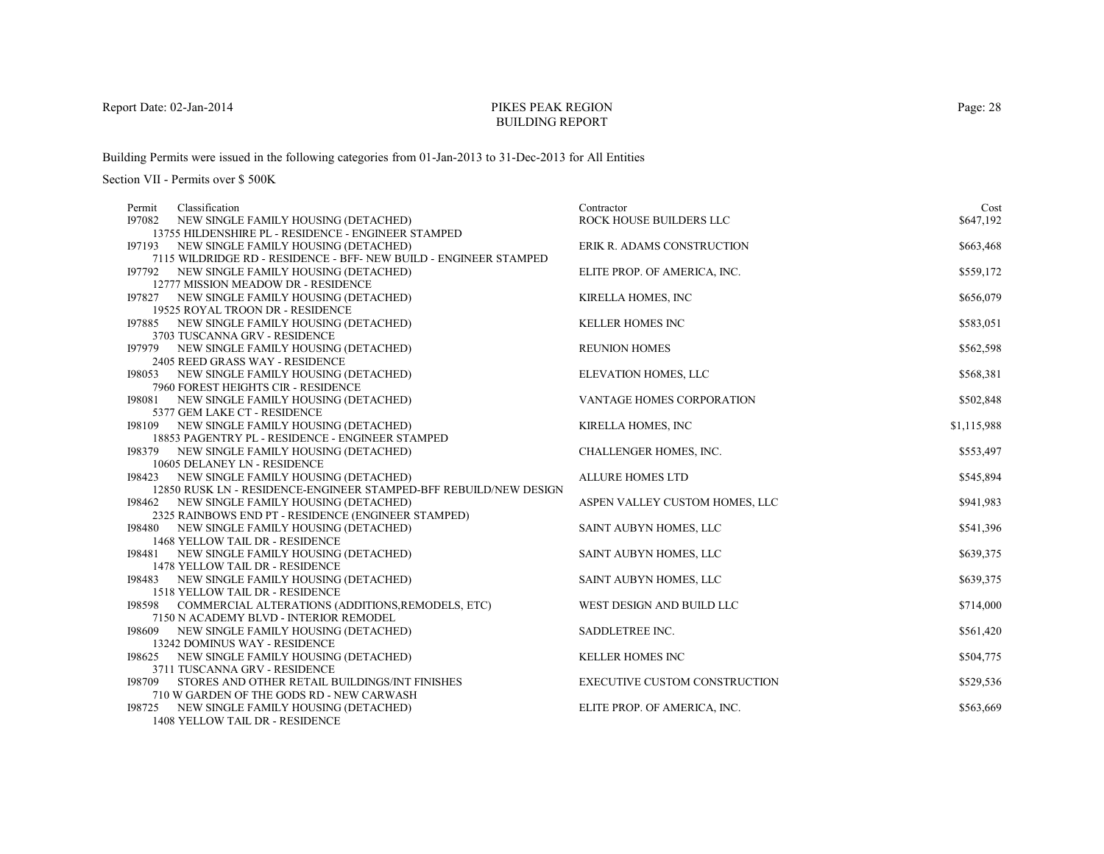# PIKES PEAK REGIONBUILDING REPORT

Building Permits were issued in the following categories from 01-Jan-2013 to 31-Dec-2013 for All Entities

Section VII - Permits over \$ 500K

| Permit | Classification                                                                                                   | Contractor                           | Cost        |
|--------|------------------------------------------------------------------------------------------------------------------|--------------------------------------|-------------|
| 197082 | NEW SINGLE FAMILY HOUSING (DETACHED)                                                                             | ROCK HOUSE BUILDERS LLC              | \$647,192   |
|        | 13755 HILDENSHIRE PL - RESIDENCE - ENGINEER STAMPED                                                              |                                      |             |
|        | 197193 NEW SINGLE FAMILY HOUSING (DETACHED)                                                                      | ERIK R. ADAMS CONSTRUCTION           | \$663,468   |
|        | 7115 WILDRIDGE RD - RESIDENCE - BFF-NEW BUILD - ENGINEER STAMPED                                                 |                                      |             |
|        | 197792 NEW SINGLE FAMILY HOUSING (DETACHED)                                                                      | ELITE PROP. OF AMERICA, INC.         | \$559,172   |
|        | 12777 MISSION MEADOW DR - RESIDENCE                                                                              |                                      |             |
|        | 197827 NEW SINGLE FAMILY HOUSING (DETACHED)                                                                      | KIRELLA HOMES, INC                   | \$656,079   |
|        | 19525 ROYAL TROON DR - RESIDENCE                                                                                 |                                      |             |
| 197885 | NEW SINGLE FAMILY HOUSING (DETACHED)                                                                             | <b>KELLER HOMES INC</b>              | \$583,051   |
|        | 3703 TUSCANNA GRV - RESIDENCE                                                                                    |                                      |             |
|        | 197979 NEW SINGLE FAMILY HOUSING (DETACHED)                                                                      | <b>REUNION HOMES</b>                 | \$562,598   |
|        | 2405 REED GRASS WAY - RESIDENCE                                                                                  |                                      |             |
|        | 198053 NEW SINGLE FAMILY HOUSING (DETACHED)                                                                      | ELEVATION HOMES, LLC                 | \$568,381   |
|        | 7960 FOREST HEIGHTS CIR - RESIDENCE                                                                              |                                      |             |
|        | 198081 NEW SINGLE FAMILY HOUSING (DETACHED)                                                                      | <b>VANTAGE HOMES CORPORATION</b>     | \$502,848   |
|        | 5377 GEM LAKE CT - RESIDENCE                                                                                     |                                      |             |
|        | 198109 NEW SINGLE FAMILY HOUSING (DETACHED)                                                                      | <b>KIRELLA HOMES, INC</b>            | \$1,115,988 |
|        | 18853 PAGENTRY PL - RESIDENCE - ENGINEER STAMPED                                                                 |                                      |             |
|        | 198379 NEW SINGLE FAMILY HOUSING (DETACHED)                                                                      | CHALLENGER HOMES, INC.               | \$553,497   |
|        | 10605 DELANEY LN - RESIDENCE                                                                                     |                                      |             |
|        | 198423 NEW SINGLE FAMILY HOUSING (DETACHED)<br>12850 RUSK LN - RESIDENCE-ENGINEER STAMPED-BFF REBUILD/NEW DESIGN | <b>ALLURE HOMES LTD</b>              | \$545,894   |
|        | 198462 NEW SINGLE FAMILY HOUSING (DETACHED)                                                                      |                                      | \$941,983   |
|        | 2325 RAINBOWS END PT - RESIDENCE (ENGINEER STAMPED)                                                              | ASPEN VALLEY CUSTOM HOMES, LLC       |             |
|        | 198480 NEW SINGLE FAMILY HOUSING (DETACHED)                                                                      | SAINT AUBYN HOMES, LLC               | \$541,396   |
|        | 1468 YELLOW TAIL DR - RESIDENCE                                                                                  |                                      |             |
| 198481 | NEW SINGLE FAMILY HOUSING (DETACHED)                                                                             | <b>SAINT AUBYN HOMES, LLC</b>        | \$639,375   |
|        | 1478 YELLOW TAIL DR - RESIDENCE                                                                                  |                                      |             |
|        | 198483 NEW SINGLE FAMILY HOUSING (DETACHED)                                                                      | SAINT AUBYN HOMES, LLC               | \$639,375   |
|        | 1518 YELLOW TAIL DR - RESIDENCE                                                                                  |                                      |             |
|        | 198598 COMMERCIAL ALTERATIONS (ADDITIONS, REMODELS, ETC)                                                         | WEST DESIGN AND BUILD LLC            | \$714,000   |
|        | 7150 N ACADEMY BLVD - INTERIOR REMODEL                                                                           |                                      |             |
| 198609 | NEW SINGLE FAMILY HOUSING (DETACHED)                                                                             | <b>SADDLETREE INC.</b>               | \$561,420   |
|        | 13242 DOMINUS WAY - RESIDENCE                                                                                    |                                      |             |
|        | 198625 NEW SINGLE FAMILY HOUSING (DETACHED)                                                                      | <b>KELLER HOMES INC</b>              | \$504,775   |
|        | 3711 TUSCANNA GRV - RESIDENCE                                                                                    |                                      |             |
| 198709 | STORES AND OTHER RETAIL BUILDINGS/INT FINISHES                                                                   | <b>EXECUTIVE CUSTOM CONSTRUCTION</b> | \$529,536   |
|        | 710 W GARDEN OF THE GODS RD - NEW CARWASH                                                                        |                                      |             |
|        | 198725 NEW SINGLE FAMILY HOUSING (DETACHED)                                                                      | ELITE PROP. OF AMERICA, INC.         | \$563,669   |
|        | 1408 YELLOW TAIL DR - RESIDENCE                                                                                  |                                      |             |

Page: 28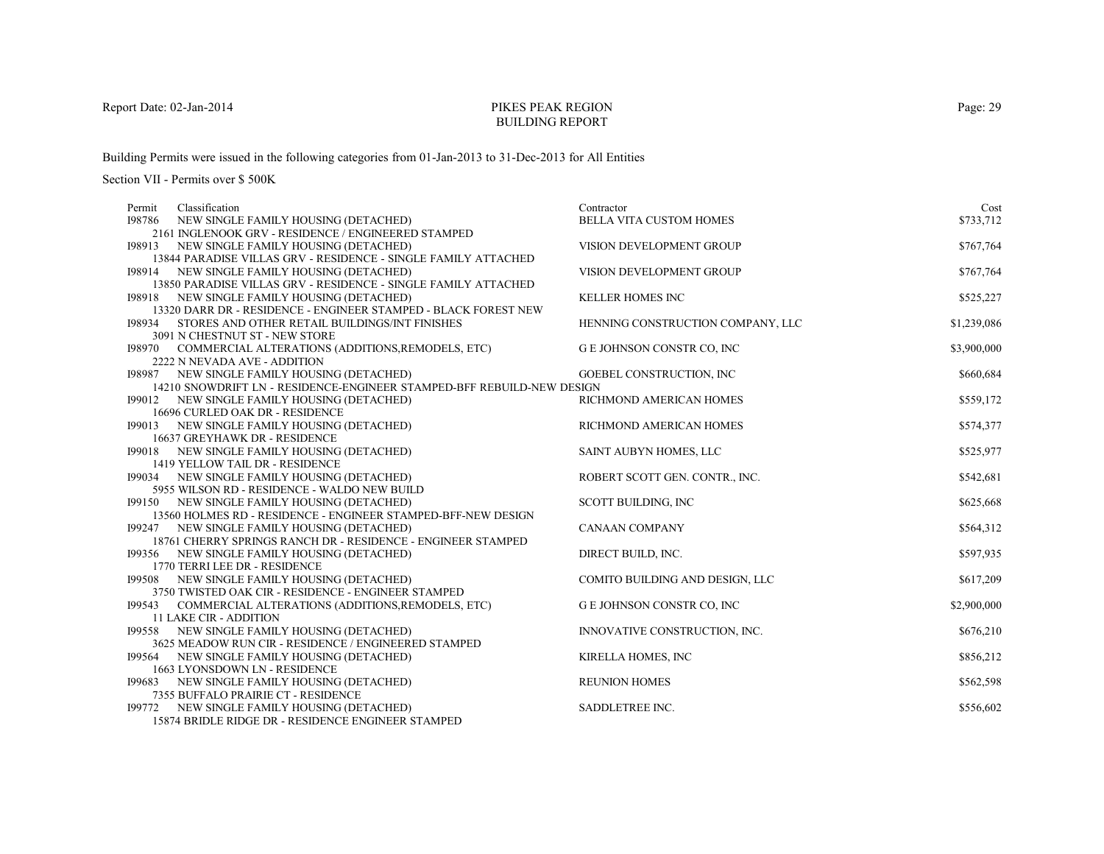# PIKES PEAK REGIONBUILDING REPORT

Building Permits were issued in the following categories from 01-Jan-2013 to 31-Dec-2013 for All Entities

| Cost                                                                   |
|------------------------------------------------------------------------|
| BELLA VITA CUSTOM HOMES<br>\$733,712                                   |
|                                                                        |
| \$767,764<br>VISION DEVELOPMENT GROUP                                  |
|                                                                        |
| \$767,764<br>VISION DEVELOPMENT GROUP                                  |
|                                                                        |
| \$525,227                                                              |
|                                                                        |
| \$1,239,086<br>HENNING CONSTRUCTION COMPANY, LLC                       |
| G E JOHNSON CONSTR CO, INC                                             |
| \$3,900,000                                                            |
| \$660,684<br>GOEBEL CONSTRUCTION, INC                                  |
|                                                                        |
| \$559,172<br>RICHMOND AMERICAN HOMES                                   |
|                                                                        |
| \$574,377<br>RICHMOND AMERICAN HOMES                                   |
|                                                                        |
| \$525,977<br>SAINT AUBYN HOMES, LLC                                    |
|                                                                        |
| \$542,681<br>ROBERT SCOTT GEN. CONTR., INC.                            |
|                                                                        |
| \$625,668<br>SCOTT BUILDING, INC                                       |
|                                                                        |
| \$564,312                                                              |
|                                                                        |
| \$597,935                                                              |
|                                                                        |
| COMITO BUILDING AND DESIGN, LLC<br>\$617,209                           |
|                                                                        |
| \$2,900,000<br>G E JOHNSON CONSTR CO, INC                              |
|                                                                        |
| INNOVATIVE CONSTRUCTION, INC.<br>\$676,210                             |
|                                                                        |
| \$856,212<br>KIRELLA HOMES, INC                                        |
| \$562,598                                                              |
|                                                                        |
| \$556,602                                                              |
|                                                                        |
| <b>KELLER HOMES INC</b><br><b>CANAAN COMPANY</b><br>DIRECT BUILD, INC. |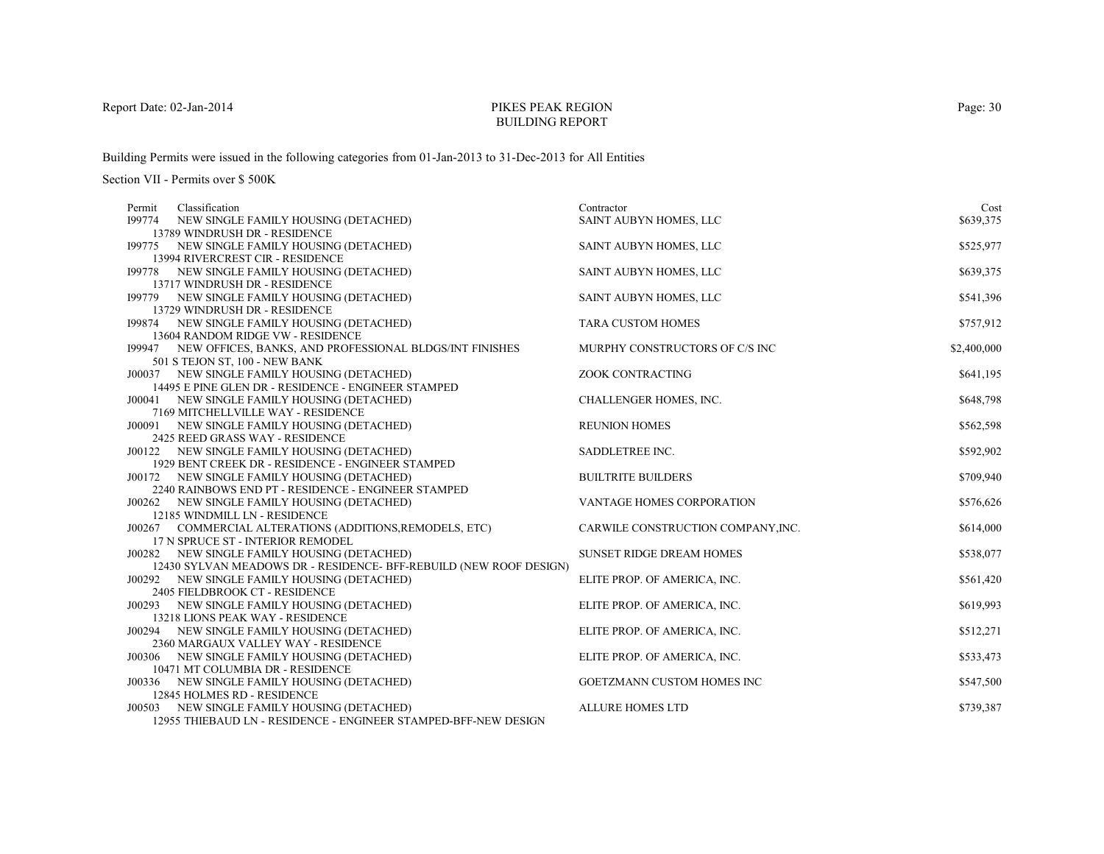# PIKES PEAK REGIONBUILDING REPORT

Building Permits were issued in the following categories from 01-Jan-2013 to 31-Dec-2013 for All Entities

| Classification<br>Permit                                                        | Contractor                         | Cost        |
|---------------------------------------------------------------------------------|------------------------------------|-------------|
| NEW SINGLE FAMILY HOUSING (DETACHED)<br>199774                                  | SAINT AUBYN HOMES, LLC             | \$639,375   |
| 13789 WINDRUSH DR - RESIDENCE                                                   |                                    |             |
| 199775 NEW SINGLE FAMILY HOUSING (DETACHED)                                     | SAINT AUBYN HOMES, LLC             | \$525,977   |
| 13994 RIVERCREST CIR - RESIDENCE                                                |                                    |             |
| 199778 NEW SINGLE FAMILY HOUSING (DETACHED)                                     | SAINT AUBYN HOMES, LLC             | \$639,375   |
| 13717 WINDRUSH DR - RESIDENCE                                                   |                                    |             |
| 199779 NEW SINGLE FAMILY HOUSING (DETACHED)                                     | SAINT AUBYN HOMES, LLC             | \$541,396   |
| 13729 WINDRUSH DR - RESIDENCE                                                   |                                    |             |
| 199874 NEW SINGLE FAMILY HOUSING (DETACHED)                                     | <b>TARA CUSTOM HOMES</b>           | \$757,912   |
| 13604 RANDOM RIDGE VW - RESIDENCE                                               |                                    |             |
| 199947 NEW OFFICES, BANKS, AND PROFESSIONAL BLDGS/INT FINISHES                  | MURPHY CONSTRUCTORS OF C/S INC     | \$2,400,000 |
| 501 S TEJON ST, 100 - NEW BANK                                                  |                                    |             |
| J00037 NEW SINGLE FAMILY HOUSING (DETACHED)                                     | ZOOK CONTRACTING                   | \$641,195   |
| 14495 E PINE GLEN DR - RESIDENCE - ENGINEER STAMPED                             |                                    |             |
| J00041 NEW SINGLE FAMILY HOUSING (DETACHED)                                     | CHALLENGER HOMES, INC.             | \$648,798   |
| 7169 MITCHELLVILLE WAY - RESIDENCE                                              |                                    |             |
| J00091 NEW SINGLE FAMILY HOUSING (DETACHED)                                     | <b>REUNION HOMES</b>               | \$562,598   |
| 2425 REED GRASS WAY - RESIDENCE                                                 |                                    |             |
| J00122 NEW SINGLE FAMILY HOUSING (DETACHED)                                     | SADDLETREE INC.                    | \$592,902   |
| 1929 BENT CREEK DR - RESIDENCE - ENGINEER STAMPED                               |                                    |             |
| J00172 NEW SINGLE FAMILY HOUSING (DETACHED)                                     | <b>BUILTRITE BUILDERS</b>          | \$709,940   |
| 2240 RAINBOWS END PT - RESIDENCE - ENGINEER STAMPED                             |                                    |             |
| NEW SINGLE FAMILY HOUSING (DETACHED)<br>J00262<br>12185 WINDMILL LN - RESIDENCE | VANTAGE HOMES CORPORATION          | \$576,626   |
| J00267 COMMERCIAL ALTERATIONS (ADDITIONS, REMODELS, ETC)                        | CARWILE CONSTRUCTION COMPANY, INC. | \$614,000   |
| 17 N SPRUCE ST - INTERIOR REMODEL                                               |                                    |             |
| J00282 NEW SINGLE FAMILY HOUSING (DETACHED)                                     | <b>SUNSET RIDGE DREAM HOMES</b>    | \$538,077   |
| 12430 SYLVAN MEADOWS DR - RESIDENCE- BFF-REBUILD (NEW ROOF DESIGN)              |                                    |             |
| J00292 NEW SINGLE FAMILY HOUSING (DETACHED)                                     | ELITE PROP. OF AMERICA, INC.       | \$561,420   |
| 2405 FIELDBROOK CT - RESIDENCE                                                  |                                    |             |
| J00293 NEW SINGLE FAMILY HOUSING (DETACHED)                                     | ELITE PROP. OF AMERICA, INC.       | \$619,993   |
| 13218 LIONS PEAK WAY - RESIDENCE                                                |                                    |             |
| J00294 NEW SINGLE FAMILY HOUSING (DETACHED)                                     | ELITE PROP. OF AMERICA, INC.       | \$512,271   |
| 2360 MARGAUX VALLEY WAY - RESIDENCE                                             |                                    |             |
| NEW SINGLE FAMILY HOUSING (DETACHED)<br>J00306                                  | ELITE PROP. OF AMERICA, INC.       | \$533,473   |
| 10471 MT COLUMBIA DR - RESIDENCE                                                |                                    |             |
| J00336 NEW SINGLE FAMILY HOUSING (DETACHED)                                     | GOETZMANN CUSTOM HOMES INC         | \$547,500   |
| 12845 HOLMES RD - RESIDENCE                                                     |                                    |             |
| J00503 NEW SINGLE FAMILY HOUSING (DETACHED)                                     | <b>ALLURE HOMES LTD</b>            | \$739,387   |
| 12955 THIEBAUD LN - RESIDENCE - ENGINEER STAMPED-BFF-NEW DESIGN                 |                                    |             |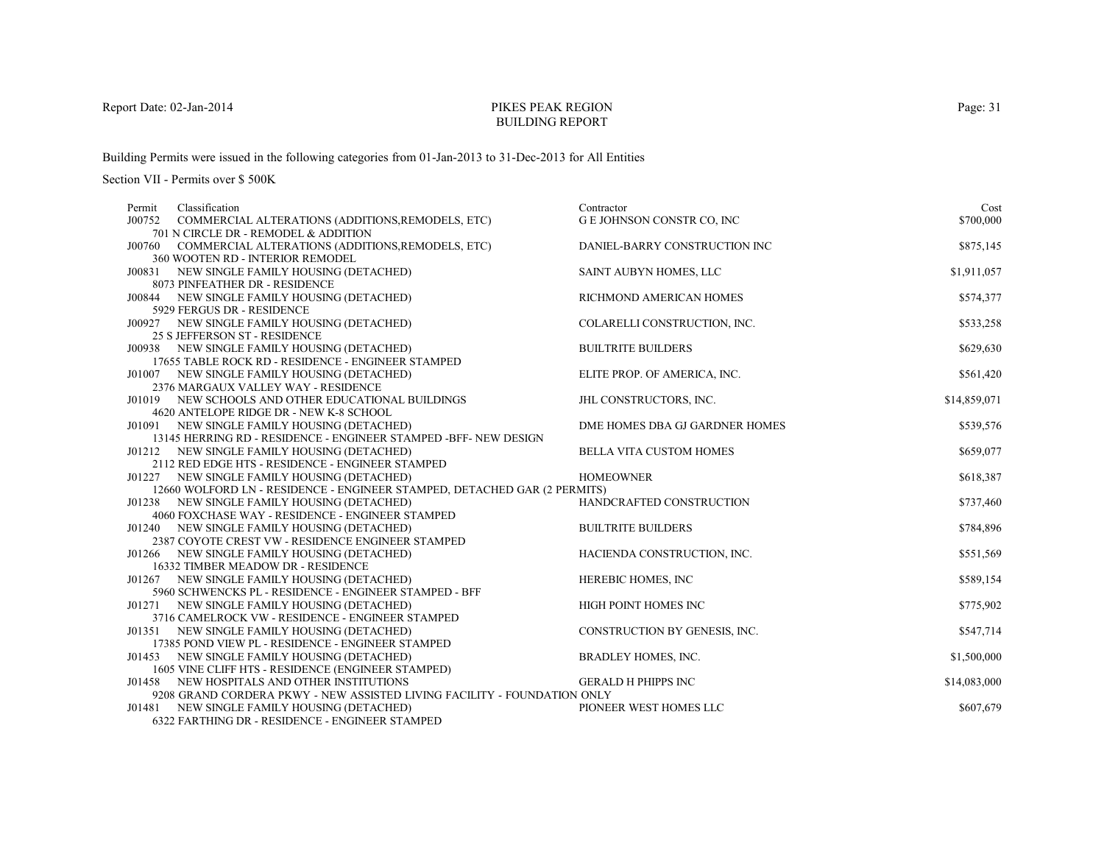# PIKES PEAK REGIONBUILDING REPORT

Building Permits were issued in the following categories from 01-Jan-2013 to 31-Dec-2013 for All Entities

| Classification<br>Permit                                                  | Contractor                        | Cost         |
|---------------------------------------------------------------------------|-----------------------------------|--------------|
| J00752<br>COMMERCIAL ALTERATIONS (ADDITIONS, REMODELS, ETC)               | <b>G E JOHNSON CONSTR CO, INC</b> | \$700,000    |
| 701 N CIRCLE DR - REMODEL & ADDITION                                      |                                   |              |
| J00760 COMMERCIAL ALTERATIONS (ADDITIONS, REMODELS, ETC)                  | DANIEL-BARRY CONSTRUCTION INC     | \$875,145    |
| 360 WOOTEN RD - INTERIOR REMODEL                                          |                                   |              |
| J00831 NEW SINGLE FAMILY HOUSING (DETACHED)                               | SAINT AUBYN HOMES, LLC            | \$1,911,057  |
| 8073 PINFEATHER DR - RESIDENCE                                            |                                   |              |
| J00844 NEW SINGLE FAMILY HOUSING (DETACHED)                               | RICHMOND AMERICAN HOMES           | \$574,377    |
| 5929 FERGUS DR - RESIDENCE                                                |                                   |              |
| J00927 NEW SINGLE FAMILY HOUSING (DETACHED)                               | COLARELLI CONSTRUCTION, INC.      | \$533,258    |
| 25 S JEFFERSON ST - RESIDENCE                                             |                                   |              |
| J00938 NEW SINGLE FAMILY HOUSING (DETACHED)                               | <b>BUILTRITE BUILDERS</b>         | \$629,630    |
| 17655 TABLE ROCK RD - RESIDENCE - ENGINEER STAMPED                        |                                   |              |
| J01007 NEW SINGLE FAMILY HOUSING (DETACHED)                               | ELITE PROP. OF AMERICA, INC.      | \$561,420    |
| 2376 MARGAUX VALLEY WAY - RESIDENCE                                       |                                   |              |
| J01019 NEW SCHOOLS AND OTHER EDUCATIONAL BUILDINGS                        | <b>JHL CONSTRUCTORS, INC.</b>     | \$14,859,071 |
| 4620 ANTELOPE RIDGE DR - NEW K-8 SCHOOL                                   |                                   |              |
| J01091 NEW SINGLE FAMILY HOUSING (DETACHED)                               | DME HOMES DBA GJ GARDNER HOMES    | \$539,576    |
| 13145 HERRING RD - RESIDENCE - ENGINEER STAMPED -BFF- NEW DESIGN          |                                   |              |
| J01212 NEW SINGLE FAMILY HOUSING (DETACHED)                               | <b>BELLA VITA CUSTOM HOMES</b>    | \$659,077    |
| 2112 RED EDGE HTS - RESIDENCE - ENGINEER STAMPED                          |                                   |              |
| J01227 NEW SINGLE FAMILY HOUSING (DETACHED)                               | <b>HOMEOWNER</b>                  | \$618,387    |
| 12660 WOLFORD LN - RESIDENCE - ENGINEER STAMPED, DETACHED GAR (2 PERMITS) |                                   |              |
| J01238 NEW SINGLE FAMILY HOUSING (DETACHED)                               | HANDCRAFTED CONSTRUCTION          | \$737,460    |
| 4060 FOXCHASE WAY - RESIDENCE - ENGINEER STAMPED                          |                                   |              |
| J01240 NEW SINGLE FAMILY HOUSING (DETACHED)                               | <b>BUILTRITE BUILDERS</b>         | \$784,896    |
| 2387 COYOTE CREST VW - RESIDENCE ENGINEER STAMPED                         |                                   |              |
| J01266 NEW SINGLE FAMILY HOUSING (DETACHED)                               | HACIENDA CONSTRUCTION, INC.       | \$551,569    |
| 16332 TIMBER MEADOW DR - RESIDENCE                                        |                                   |              |
| J01267 NEW SINGLE FAMILY HOUSING (DETACHED)                               | HEREBIC HOMES, INC                | \$589,154    |
| 5960 SCHWENCKS PL - RESIDENCE - ENGINEER STAMPED - BFF                    |                                   |              |
| J01271 NEW SINGLE FAMILY HOUSING (DETACHED)                               | HIGH POINT HOMES INC              | \$775,902    |
| 3716 CAMELROCK VW - RESIDENCE - ENGINEER STAMPED                          |                                   |              |
| J01351 NEW SINGLE FAMILY HOUSING (DETACHED)                               | CONSTRUCTION BY GENESIS, INC.     | \$547,714    |
| 17385 POND VIEW PL - RESIDENCE - ENGINEER STAMPED                         |                                   |              |
| J01453 NEW SINGLE FAMILY HOUSING (DETACHED)                               | BRADLEY HOMES, INC.               | \$1,500,000  |
| 1605 VINE CLIFF HTS - RESIDENCE (ENGINEER STAMPED)                        |                                   |              |
| J01458 NEW HOSPITALS AND OTHER INSTITUTIONS                               | <b>GERALD H PHIPPS INC</b>        | \$14,083,000 |
| 9208 GRAND CORDERA PKWY - NEW ASSISTED LIVING FACILITY - FOUNDATION ONLY  |                                   |              |
| J01481 NEW SINGLE FAMILY HOUSING (DETACHED)                               | PIONEER WEST HOMES LLC            | \$607,679    |
| 6322 FARTHING DR - RESIDENCE - ENGINEER STAMPED                           |                                   |              |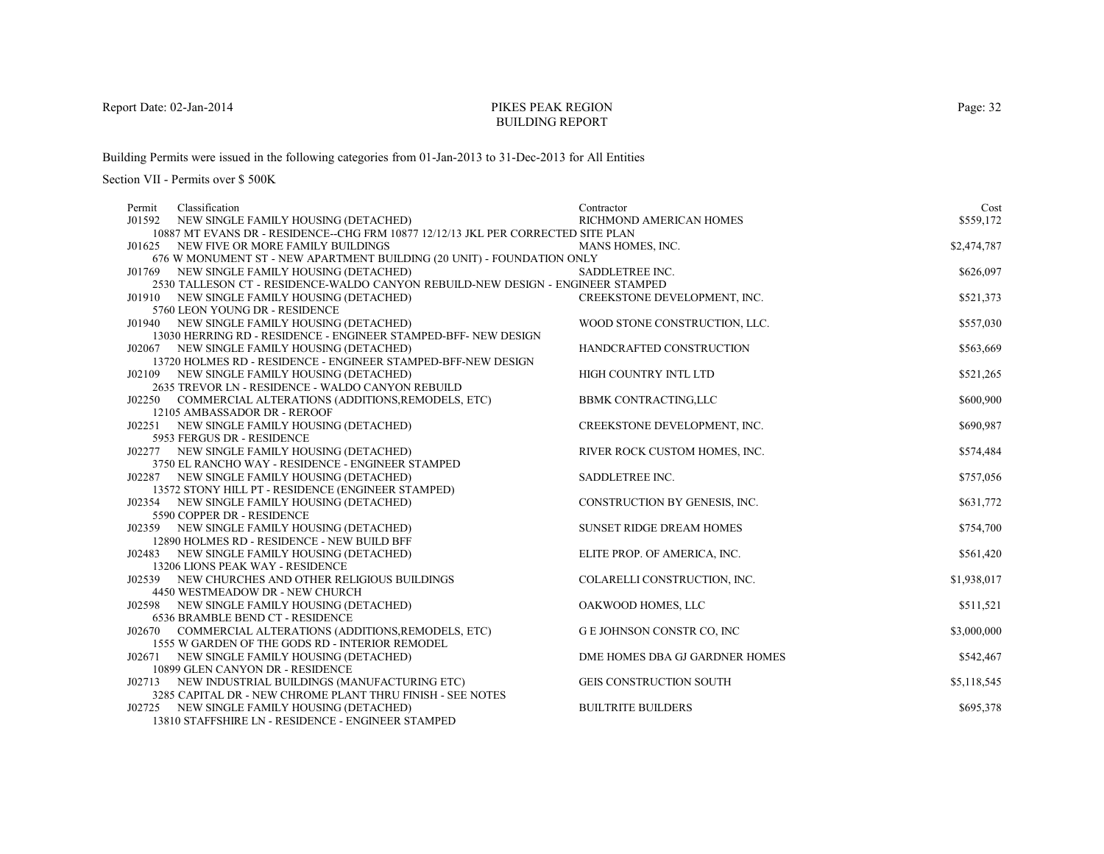# PIKES PEAK REGIONBUILDING REPORT

Building Permits were issued in the following categories from 01-Jan-2013 to 31-Dec-2013 for All Entities

| Permit | Classification                                                                                                                                                                                                                                                                                                                                                                                                    | Contractor                                                                                                                         | Cost                                                 |
|--------|-------------------------------------------------------------------------------------------------------------------------------------------------------------------------------------------------------------------------------------------------------------------------------------------------------------------------------------------------------------------------------------------------------------------|------------------------------------------------------------------------------------------------------------------------------------|------------------------------------------------------|
|        | J01592 NEW SINGLE FAMILY HOUSING (DETACHED)                                                                                                                                                                                                                                                                                                                                                                       | RICHMOND AMERICAN HOMES                                                                                                            | \$559,172                                            |
|        | 10887 MT EVANS DR - RESIDENCE--CHG FRM 10877 12/12/13 JKL PER CORRECTED SITE PLAN                                                                                                                                                                                                                                                                                                                                 |                                                                                                                                    |                                                      |
|        | J01625 NEW FIVE OR MORE FAMILY BUILDINGS                                                                                                                                                                                                                                                                                                                                                                          | MANS HOMES, INC.                                                                                                                   | \$2,474,787                                          |
|        | 676 W MONUMENT ST - NEW APARTMENT BUILDING (20 UNIT) - FOUNDATION ONLY                                                                                                                                                                                                                                                                                                                                            |                                                                                                                                    |                                                      |
|        | J01769 NEW SINGLE FAMILY HOUSING (DETACHED)                                                                                                                                                                                                                                                                                                                                                                       | SADDLETREE INC.                                                                                                                    | \$626,097                                            |
|        | 2530 TALLESON CT - RESIDENCE-WALDO CANYON REBUILD-NEW DESIGN - ENGINEER STAMPED                                                                                                                                                                                                                                                                                                                                   |                                                                                                                                    |                                                      |
|        | J01910 NEW SINGLE FAMILY HOUSING (DETACHED)                                                                                                                                                                                                                                                                                                                                                                       | CREEKSTONE DEVELOPMENT, INC.                                                                                                       | \$521,373                                            |
|        | 5760 LEON YOUNG DR - RESIDENCE                                                                                                                                                                                                                                                                                                                                                                                    |                                                                                                                                    |                                                      |
|        | J01940 NEW SINGLE FAMILY HOUSING (DETACHED)                                                                                                                                                                                                                                                                                                                                                                       | WOOD STONE CONSTRUCTION, LLC.                                                                                                      | \$557,030                                            |
|        | 13030 HERRING RD - RESIDENCE - ENGINEER STAMPED-BFF- NEW DESIGN                                                                                                                                                                                                                                                                                                                                                   |                                                                                                                                    |                                                      |
|        | J02067 NEW SINGLE FAMILY HOUSING (DETACHED)                                                                                                                                                                                                                                                                                                                                                                       | HANDCRAFTED CONSTRUCTION                                                                                                           | \$563,669                                            |
|        | 13720 HOLMES RD - RESIDENCE - ENGINEER STAMPED-BFF-NEW DESIGN                                                                                                                                                                                                                                                                                                                                                     |                                                                                                                                    |                                                      |
|        | J02109 NEW SINGLE FAMILY HOUSING (DETACHED)                                                                                                                                                                                                                                                                                                                                                                       | HIGH COUNTRY INTL LTD                                                                                                              | \$521,265                                            |
|        | 2635 TREVOR LN - RESIDENCE - WALDO CANYON REBUILD                                                                                                                                                                                                                                                                                                                                                                 |                                                                                                                                    |                                                      |
|        | J02250 COMMERCIAL ALTERATIONS (ADDITIONS, REMODELS, ETC)                                                                                                                                                                                                                                                                                                                                                          | <b>BBMK CONTRACTING,LLC</b>                                                                                                        | \$600,900                                            |
|        | 12105 AMBASSADOR DR - REROOF                                                                                                                                                                                                                                                                                                                                                                                      |                                                                                                                                    |                                                      |
|        | J02251 NEW SINGLE FAMILY HOUSING (DETACHED)                                                                                                                                                                                                                                                                                                                                                                       | CREEKSTONE DEVELOPMENT, INC.                                                                                                       | \$690,987                                            |
|        | 5953 FERGUS DR - RESIDENCE                                                                                                                                                                                                                                                                                                                                                                                        |                                                                                                                                    |                                                      |
|        | J02277 NEW SINGLE FAMILY HOUSING (DETACHED)                                                                                                                                                                                                                                                                                                                                                                       | RIVER ROCK CUSTOM HOMES, INC.                                                                                                      | \$574,484                                            |
|        | 3750 EL RANCHO WAY - RESIDENCE - ENGINEER STAMPED                                                                                                                                                                                                                                                                                                                                                                 |                                                                                                                                    |                                                      |
|        | J02287 NEW SINGLE FAMILY HOUSING (DETACHED)                                                                                                                                                                                                                                                                                                                                                                       | SADDLETREE INC.                                                                                                                    | \$757,056                                            |
|        | 13572 STONY HILL PT - RESIDENCE (ENGINEER STAMPED)                                                                                                                                                                                                                                                                                                                                                                |                                                                                                                                    |                                                      |
|        | J02354 NEW SINGLE FAMILY HOUSING (DETACHED)                                                                                                                                                                                                                                                                                                                                                                       | CONSTRUCTION BY GENESIS, INC.                                                                                                      | \$631,772                                            |
|        | 5590 COPPER DR - RESIDENCE                                                                                                                                                                                                                                                                                                                                                                                        |                                                                                                                                    |                                                      |
|        | J02359 NEW SINGLE FAMILY HOUSING (DETACHED)                                                                                                                                                                                                                                                                                                                                                                       | <b>SUNSET RIDGE DREAM HOMES</b>                                                                                                    | \$754,700                                            |
|        | 12890 HOLMES RD - RESIDENCE - NEW BUILD BFF                                                                                                                                                                                                                                                                                                                                                                       |                                                                                                                                    |                                                      |
|        | J02483 NEW SINGLE FAMILY HOUSING (DETACHED)                                                                                                                                                                                                                                                                                                                                                                       | ELITE PROP. OF AMERICA, INC.                                                                                                       | \$561,420                                            |
|        | 13206 LIONS PEAK WAY - RESIDENCE                                                                                                                                                                                                                                                                                                                                                                                  |                                                                                                                                    |                                                      |
|        | J02539 NEW CHURCHES AND OTHER RELIGIOUS BUILDINGS                                                                                                                                                                                                                                                                                                                                                                 | COLARELLI CONSTRUCTION, INC.                                                                                                       | \$1,938,017                                          |
|        | 4450 WESTMEADOW DR - NEW CHURCH                                                                                                                                                                                                                                                                                                                                                                                   |                                                                                                                                    |                                                      |
|        | J02598 NEW SINGLE FAMILY HOUSING (DETACHED)<br>6536 BRAMBLE BEND CT - RESIDENCE                                                                                                                                                                                                                                                                                                                                   | OAKWOOD HOMES, LLC                                                                                                                 | \$511,521                                            |
|        |                                                                                                                                                                                                                                                                                                                                                                                                                   |                                                                                                                                    |                                                      |
|        |                                                                                                                                                                                                                                                                                                                                                                                                                   |                                                                                                                                    |                                                      |
|        |                                                                                                                                                                                                                                                                                                                                                                                                                   |                                                                                                                                    |                                                      |
|        |                                                                                                                                                                                                                                                                                                                                                                                                                   |                                                                                                                                    |                                                      |
|        |                                                                                                                                                                                                                                                                                                                                                                                                                   |                                                                                                                                    |                                                      |
|        |                                                                                                                                                                                                                                                                                                                                                                                                                   |                                                                                                                                    |                                                      |
|        |                                                                                                                                                                                                                                                                                                                                                                                                                   |                                                                                                                                    |                                                      |
|        |                                                                                                                                                                                                                                                                                                                                                                                                                   |                                                                                                                                    |                                                      |
| J02670 | COMMERCIAL ALTERATIONS (ADDITIONS, REMODELS, ETC)<br>1555 W GARDEN OF THE GODS RD - INTERIOR REMODEL<br>J02671 NEW SINGLE FAMILY HOUSING (DETACHED)<br>10899 GLEN CANYON DR - RESIDENCE<br>J02713 NEW INDUSTRIAL BUILDINGS (MANUFACTURING ETC)<br>3285 CAPITAL DR - NEW CHROME PLANT THRU FINISH - SEE NOTES<br>J02725 NEW SINGLE FAMILY HOUSING (DETACHED)<br>13810 STAFFSHIRE LN - RESIDENCE - ENGINEER STAMPED | <b>G E JOHNSON CONSTR CO, INC</b><br>DME HOMES DBA GJ GARDNER HOMES<br><b>GEIS CONSTRUCTION SOUTH</b><br><b>BUILTRITE BUILDERS</b> | \$3,000,000<br>\$542,467<br>\$5,118,545<br>\$695,378 |